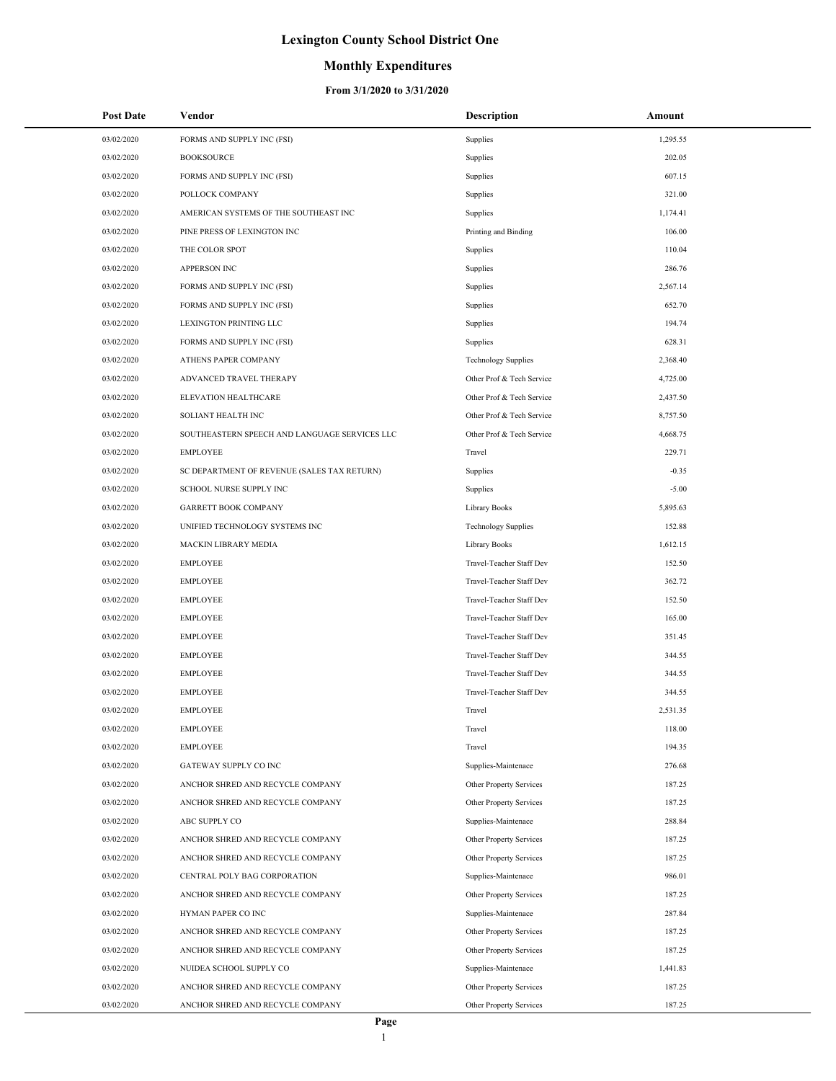## **Monthly Expenditures**

| <b>Post Date</b> | Vendor                                        | <b>Description</b>         | Amount   |
|------------------|-----------------------------------------------|----------------------------|----------|
| 03/02/2020       | FORMS AND SUPPLY INC (FSI)                    | Supplies                   | 1,295.55 |
| 03/02/2020       | <b>BOOKSOURCE</b>                             | Supplies                   | 202.05   |
| 03/02/2020       | FORMS AND SUPPLY INC (FSI)                    | Supplies                   | 607.15   |
| 03/02/2020       | POLLOCK COMPANY                               | Supplies                   | 321.00   |
| 03/02/2020       | AMERICAN SYSTEMS OF THE SOUTHEAST INC         | Supplies                   | 1,174.41 |
| 03/02/2020       | PINE PRESS OF LEXINGTON INC                   | Printing and Binding       | 106.00   |
| 03/02/2020       | THE COLOR SPOT                                | Supplies                   | 110.04   |
| 03/02/2020       | <b>APPERSON INC</b>                           | Supplies                   | 286.76   |
| 03/02/2020       | FORMS AND SUPPLY INC (FSI)                    | Supplies                   | 2,567.14 |
| 03/02/2020       | FORMS AND SUPPLY INC (FSI)                    | Supplies                   | 652.70   |
| 03/02/2020       | LEXINGTON PRINTING LLC                        | Supplies                   | 194.74   |
| 03/02/2020       | FORMS AND SUPPLY INC (FSI)                    | Supplies                   | 628.31   |
| 03/02/2020       | ATHENS PAPER COMPANY                          | <b>Technology Supplies</b> | 2,368.40 |
| 03/02/2020       | ADVANCED TRAVEL THERAPY                       | Other Prof & Tech Service  | 4,725.00 |
| 03/02/2020       | ELEVATION HEALTHCARE                          | Other Prof & Tech Service  | 2,437.50 |
| 03/02/2020       | SOLIANT HEALTH INC                            | Other Prof & Tech Service  | 8,757.50 |
| 03/02/2020       | SOUTHEASTERN SPEECH AND LANGUAGE SERVICES LLC | Other Prof & Tech Service  | 4,668.75 |
| 03/02/2020       | <b>EMPLOYEE</b>                               | Travel                     | 229.71   |
| 03/02/2020       | SC DEPARTMENT OF REVENUE (SALES TAX RETURN)   | Supplies                   | $-0.35$  |
| 03/02/2020       | SCHOOL NURSE SUPPLY INC                       | Supplies                   | $-5.00$  |
| 03/02/2020       | <b>GARRETT BOOK COMPANY</b>                   | Library Books              | 5,895.63 |
| 03/02/2020       | UNIFIED TECHNOLOGY SYSTEMS INC                | <b>Technology Supplies</b> | 152.88   |
| 03/02/2020       | MACKIN LIBRARY MEDIA                          | Library Books              | 1,612.15 |
| 03/02/2020       | <b>EMPLOYEE</b>                               | Travel-Teacher Staff Dev   | 152.50   |
| 03/02/2020       | <b>EMPLOYEE</b>                               | Travel-Teacher Staff Dev   | 362.72   |
| 03/02/2020       | <b>EMPLOYEE</b>                               | Travel-Teacher Staff Dev   | 152.50   |
| 03/02/2020       | <b>EMPLOYEE</b>                               | Travel-Teacher Staff Dev   | 165.00   |
| 03/02/2020       | <b>EMPLOYEE</b>                               | Travel-Teacher Staff Dev   | 351.45   |
| 03/02/2020       | <b>EMPLOYEE</b>                               | Travel-Teacher Staff Dev   | 344.55   |
| 03/02/2020       | <b>EMPLOYEE</b>                               | Travel-Teacher Staff Dev   | 344.55   |
| 03/02/2020       | <b>EMPLOYEE</b>                               | Travel-Teacher Staff Dev   | 344.55   |
| 03/02/2020       | <b>EMPLOYEE</b>                               | Travel                     | 2,531.35 |
| 03/02/2020       | <b>EMPLOYEE</b>                               | Travel                     | 118.00   |
| 03/02/2020       | <b>EMPLOYEE</b>                               | Travel                     | 194.35   |
| 03/02/2020       | GATEWAY SUPPLY CO INC                         | Supplies-Maintenace        | 276.68   |
| 03/02/2020       | ANCHOR SHRED AND RECYCLE COMPANY              | Other Property Services    | 187.25   |
| 03/02/2020       | ANCHOR SHRED AND RECYCLE COMPANY              | Other Property Services    | 187.25   |
| 03/02/2020       | ABC SUPPLY CO                                 | Supplies-Maintenace        | 288.84   |
| 03/02/2020       | ANCHOR SHRED AND RECYCLE COMPANY              | Other Property Services    | 187.25   |
| 03/02/2020       | ANCHOR SHRED AND RECYCLE COMPANY              | Other Property Services    | 187.25   |
| 03/02/2020       | CENTRAL POLY BAG CORPORATION                  | Supplies-Maintenace        | 986.01   |
| 03/02/2020       | ANCHOR SHRED AND RECYCLE COMPANY              | Other Property Services    | 187.25   |
| 03/02/2020       | HYMAN PAPER CO INC                            | Supplies-Maintenace        | 287.84   |
| 03/02/2020       | ANCHOR SHRED AND RECYCLE COMPANY              | Other Property Services    | 187.25   |
| 03/02/2020       | ANCHOR SHRED AND RECYCLE COMPANY              | Other Property Services    | 187.25   |
| 03/02/2020       | NUIDEA SCHOOL SUPPLY CO                       | Supplies-Maintenace        | 1,441.83 |
| 03/02/2020       | ANCHOR SHRED AND RECYCLE COMPANY              | Other Property Services    | 187.25   |
| 03/02/2020       | ANCHOR SHRED AND RECYCLE COMPANY              | Other Property Services    | 187.25   |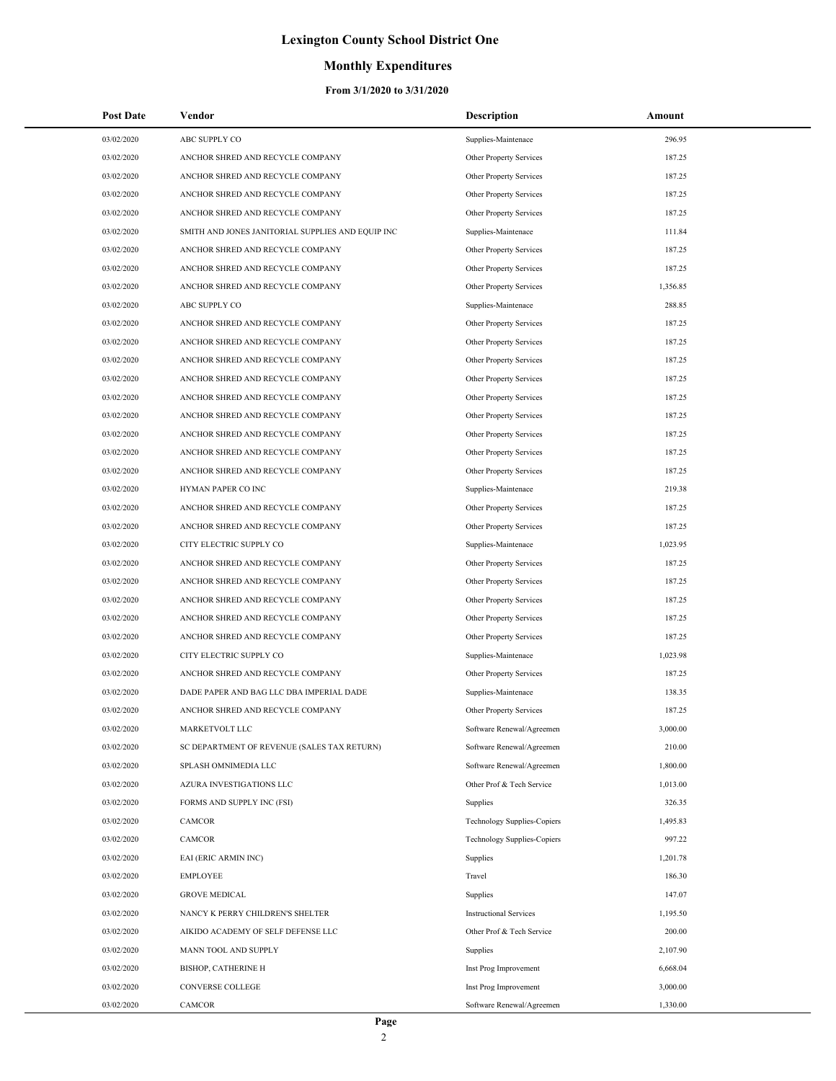### **Monthly Expenditures**

| 03/02/2020<br>ABC SUPPLY CO<br>Supplies-Maintenace<br>296.95<br>03/02/2020<br>187.25<br>ANCHOR SHRED AND RECYCLE COMPANY<br>Other Property Services<br>03/02/2020<br>ANCHOR SHRED AND RECYCLE COMPANY<br>187.25<br>Other Property Services<br>03/02/2020<br>ANCHOR SHRED AND RECYCLE COMPANY<br>187.25<br>Other Property Services<br>03/02/2020<br>ANCHOR SHRED AND RECYCLE COMPANY<br>187.25<br>Other Property Services<br>03/02/2020<br>111.84<br>SMITH AND JONES JANITORIAL SUPPLIES AND EQUIP INC<br>Supplies-Maintenace<br>03/02/2020<br>187.25<br>ANCHOR SHRED AND RECYCLE COMPANY<br>Other Property Services<br>03/02/2020<br>187.25<br>ANCHOR SHRED AND RECYCLE COMPANY<br>Other Property Services<br>03/02/2020<br>ANCHOR SHRED AND RECYCLE COMPANY<br>1,356.85<br>Other Property Services<br>03/02/2020<br>ABC SUPPLY CO<br>288.85<br>Supplies-Maintenace<br>03/02/2020<br>ANCHOR SHRED AND RECYCLE COMPANY<br>187.25<br>Other Property Services<br>03/02/2020<br>187.25<br>ANCHOR SHRED AND RECYCLE COMPANY<br>Other Property Services<br>03/02/2020<br>187.25<br>ANCHOR SHRED AND RECYCLE COMPANY<br>Other Property Services<br>03/02/2020<br>187.25<br>ANCHOR SHRED AND RECYCLE COMPANY<br>Other Property Services<br>03/02/2020<br>ANCHOR SHRED AND RECYCLE COMPANY<br>187.25<br>Other Property Services<br>03/02/2020<br>187.25<br>ANCHOR SHRED AND RECYCLE COMPANY<br>Other Property Services<br>03/02/2020<br>187.25<br>ANCHOR SHRED AND RECYCLE COMPANY<br>Other Property Services<br>03/02/2020<br>187.25<br>ANCHOR SHRED AND RECYCLE COMPANY<br>Other Property Services<br>03/02/2020<br>ANCHOR SHRED AND RECYCLE COMPANY<br>187.25<br>Other Property Services<br>03/02/2020<br>HYMAN PAPER CO INC<br>219.38<br>Supplies-Maintenace<br>03/02/2020<br>ANCHOR SHRED AND RECYCLE COMPANY<br>187.25<br>Other Property Services<br>03/02/2020<br>187.25<br>ANCHOR SHRED AND RECYCLE COMPANY<br>Other Property Services<br>03/02/2020<br>CITY ELECTRIC SUPPLY CO<br>1,023.95<br>Supplies-Maintenace<br>03/02/2020<br>187.25<br>ANCHOR SHRED AND RECYCLE COMPANY<br>Other Property Services<br>03/02/2020<br>ANCHOR SHRED AND RECYCLE COMPANY<br>187.25<br>Other Property Services<br>03/02/2020<br>187.25<br>ANCHOR SHRED AND RECYCLE COMPANY<br>Other Property Services<br>03/02/2020<br>187.25<br>ANCHOR SHRED AND RECYCLE COMPANY<br>Other Property Services<br>03/02/2020<br>187.25<br>ANCHOR SHRED AND RECYCLE COMPANY<br>Other Property Services<br>03/02/2020<br>CITY ELECTRIC SUPPLY CO<br>1,023.98<br>Supplies-Maintenace<br>03/02/2020<br>Other Property Services<br>187.25<br>ANCHOR SHRED AND RECYCLE COMPANY<br>03/02/2020<br>DADE PAPER AND BAG LLC DBA IMPERIAL DADE<br>138.35<br>Supplies-Maintenace<br>03/02/2020<br>ANCHOR SHRED AND RECYCLE COMPANY<br>187.25<br>Other Property Services<br>03/02/2020<br>3,000.00<br>MARKETVOLT LLC<br>Software Renewal/Agreemen<br>03/02/2020<br>210.00<br>SC DEPARTMENT OF REVENUE (SALES TAX RETURN)<br>Software Renewal/Agreemen<br>03/02/2020<br>SPLASH OMNIMEDIA LLC<br>Software Renewal/Agreemen<br>1,800.00<br>03/02/2020<br>AZURA INVESTIGATIONS LLC<br>Other Prof & Tech Service<br>1,013.00<br>03/02/2020<br>FORMS AND SUPPLY INC (FSI)<br>326.35<br>Supplies<br>03/02/2020<br>Technology Supplies-Copiers<br>1,495.83<br><b>CAMCOR</b><br>03/02/2020<br>CAMCOR<br>997.22<br>Technology Supplies-Copiers<br>03/02/2020<br>EAI (ERIC ARMIN INC)<br>1,201.78<br>Supplies<br>03/02/2020<br><b>EMPLOYEE</b><br>Travel<br>186.30<br>03/02/2020<br><b>GROVE MEDICAL</b><br>147.07<br>Supplies<br>03/02/2020<br>NANCY K PERRY CHILDREN'S SHELTER<br><b>Instructional Services</b><br>1,195.50<br>03/02/2020<br>AIKIDO ACADEMY OF SELF DEFENSE LLC<br>Other Prof & Tech Service<br>200.00<br>03/02/2020<br>MANN TOOL AND SUPPLY<br>Supplies<br>2,107.90<br>03/02/2020<br>6,668.04<br><b>BISHOP, CATHERINE H</b><br>Inst Prog Improvement<br>03/02/2020<br>CONVERSE COLLEGE<br>3,000.00<br>Inst Prog Improvement<br>03/02/2020<br>Software Renewal/Agreemen<br>1,330.00<br>CAMCOR | <b>Post Date</b> | Vendor | <b>Description</b> | Amount |
|-------------------------------------------------------------------------------------------------------------------------------------------------------------------------------------------------------------------------------------------------------------------------------------------------------------------------------------------------------------------------------------------------------------------------------------------------------------------------------------------------------------------------------------------------------------------------------------------------------------------------------------------------------------------------------------------------------------------------------------------------------------------------------------------------------------------------------------------------------------------------------------------------------------------------------------------------------------------------------------------------------------------------------------------------------------------------------------------------------------------------------------------------------------------------------------------------------------------------------------------------------------------------------------------------------------------------------------------------------------------------------------------------------------------------------------------------------------------------------------------------------------------------------------------------------------------------------------------------------------------------------------------------------------------------------------------------------------------------------------------------------------------------------------------------------------------------------------------------------------------------------------------------------------------------------------------------------------------------------------------------------------------------------------------------------------------------------------------------------------------------------------------------------------------------------------------------------------------------------------------------------------------------------------------------------------------------------------------------------------------------------------------------------------------------------------------------------------------------------------------------------------------------------------------------------------------------------------------------------------------------------------------------------------------------------------------------------------------------------------------------------------------------------------------------------------------------------------------------------------------------------------------------------------------------------------------------------------------------------------------------------------------------------------------------------------------------------------------------------------------------------------------------------------------------------------------------------------------------------------------------------------------------------------------------------------------------------------------------------------------------------------------------------------------------------------------------------------------------------------------------------------------------------------------------------------------------------------------------------------------------------------------------------------------------------------------------------------------------------------------------------------------------------------------------------------------------------------------------------------------------------------------------------------------------------------------------------------------------------------------------------------------------------------------------------|------------------|--------|--------------------|--------|
|                                                                                                                                                                                                                                                                                                                                                                                                                                                                                                                                                                                                                                                                                                                                                                                                                                                                                                                                                                                                                                                                                                                                                                                                                                                                                                                                                                                                                                                                                                                                                                                                                                                                                                                                                                                                                                                                                                                                                                                                                                                                                                                                                                                                                                                                                                                                                                                                                                                                                                                                                                                                                                                                                                                                                                                                                                                                                                                                                                                                                                                                                                                                                                                                                                                                                                                                                                                                                                                                                                                                                                                                                                                                                                                                                                                                                                                                                                                                                                                                                                                       |                  |        |                    |        |
|                                                                                                                                                                                                                                                                                                                                                                                                                                                                                                                                                                                                                                                                                                                                                                                                                                                                                                                                                                                                                                                                                                                                                                                                                                                                                                                                                                                                                                                                                                                                                                                                                                                                                                                                                                                                                                                                                                                                                                                                                                                                                                                                                                                                                                                                                                                                                                                                                                                                                                                                                                                                                                                                                                                                                                                                                                                                                                                                                                                                                                                                                                                                                                                                                                                                                                                                                                                                                                                                                                                                                                                                                                                                                                                                                                                                                                                                                                                                                                                                                                                       |                  |        |                    |        |
|                                                                                                                                                                                                                                                                                                                                                                                                                                                                                                                                                                                                                                                                                                                                                                                                                                                                                                                                                                                                                                                                                                                                                                                                                                                                                                                                                                                                                                                                                                                                                                                                                                                                                                                                                                                                                                                                                                                                                                                                                                                                                                                                                                                                                                                                                                                                                                                                                                                                                                                                                                                                                                                                                                                                                                                                                                                                                                                                                                                                                                                                                                                                                                                                                                                                                                                                                                                                                                                                                                                                                                                                                                                                                                                                                                                                                                                                                                                                                                                                                                                       |                  |        |                    |        |
|                                                                                                                                                                                                                                                                                                                                                                                                                                                                                                                                                                                                                                                                                                                                                                                                                                                                                                                                                                                                                                                                                                                                                                                                                                                                                                                                                                                                                                                                                                                                                                                                                                                                                                                                                                                                                                                                                                                                                                                                                                                                                                                                                                                                                                                                                                                                                                                                                                                                                                                                                                                                                                                                                                                                                                                                                                                                                                                                                                                                                                                                                                                                                                                                                                                                                                                                                                                                                                                                                                                                                                                                                                                                                                                                                                                                                                                                                                                                                                                                                                                       |                  |        |                    |        |
|                                                                                                                                                                                                                                                                                                                                                                                                                                                                                                                                                                                                                                                                                                                                                                                                                                                                                                                                                                                                                                                                                                                                                                                                                                                                                                                                                                                                                                                                                                                                                                                                                                                                                                                                                                                                                                                                                                                                                                                                                                                                                                                                                                                                                                                                                                                                                                                                                                                                                                                                                                                                                                                                                                                                                                                                                                                                                                                                                                                                                                                                                                                                                                                                                                                                                                                                                                                                                                                                                                                                                                                                                                                                                                                                                                                                                                                                                                                                                                                                                                                       |                  |        |                    |        |
|                                                                                                                                                                                                                                                                                                                                                                                                                                                                                                                                                                                                                                                                                                                                                                                                                                                                                                                                                                                                                                                                                                                                                                                                                                                                                                                                                                                                                                                                                                                                                                                                                                                                                                                                                                                                                                                                                                                                                                                                                                                                                                                                                                                                                                                                                                                                                                                                                                                                                                                                                                                                                                                                                                                                                                                                                                                                                                                                                                                                                                                                                                                                                                                                                                                                                                                                                                                                                                                                                                                                                                                                                                                                                                                                                                                                                                                                                                                                                                                                                                                       |                  |        |                    |        |
|                                                                                                                                                                                                                                                                                                                                                                                                                                                                                                                                                                                                                                                                                                                                                                                                                                                                                                                                                                                                                                                                                                                                                                                                                                                                                                                                                                                                                                                                                                                                                                                                                                                                                                                                                                                                                                                                                                                                                                                                                                                                                                                                                                                                                                                                                                                                                                                                                                                                                                                                                                                                                                                                                                                                                                                                                                                                                                                                                                                                                                                                                                                                                                                                                                                                                                                                                                                                                                                                                                                                                                                                                                                                                                                                                                                                                                                                                                                                                                                                                                                       |                  |        |                    |        |
|                                                                                                                                                                                                                                                                                                                                                                                                                                                                                                                                                                                                                                                                                                                                                                                                                                                                                                                                                                                                                                                                                                                                                                                                                                                                                                                                                                                                                                                                                                                                                                                                                                                                                                                                                                                                                                                                                                                                                                                                                                                                                                                                                                                                                                                                                                                                                                                                                                                                                                                                                                                                                                                                                                                                                                                                                                                                                                                                                                                                                                                                                                                                                                                                                                                                                                                                                                                                                                                                                                                                                                                                                                                                                                                                                                                                                                                                                                                                                                                                                                                       |                  |        |                    |        |
|                                                                                                                                                                                                                                                                                                                                                                                                                                                                                                                                                                                                                                                                                                                                                                                                                                                                                                                                                                                                                                                                                                                                                                                                                                                                                                                                                                                                                                                                                                                                                                                                                                                                                                                                                                                                                                                                                                                                                                                                                                                                                                                                                                                                                                                                                                                                                                                                                                                                                                                                                                                                                                                                                                                                                                                                                                                                                                                                                                                                                                                                                                                                                                                                                                                                                                                                                                                                                                                                                                                                                                                                                                                                                                                                                                                                                                                                                                                                                                                                                                                       |                  |        |                    |        |
|                                                                                                                                                                                                                                                                                                                                                                                                                                                                                                                                                                                                                                                                                                                                                                                                                                                                                                                                                                                                                                                                                                                                                                                                                                                                                                                                                                                                                                                                                                                                                                                                                                                                                                                                                                                                                                                                                                                                                                                                                                                                                                                                                                                                                                                                                                                                                                                                                                                                                                                                                                                                                                                                                                                                                                                                                                                                                                                                                                                                                                                                                                                                                                                                                                                                                                                                                                                                                                                                                                                                                                                                                                                                                                                                                                                                                                                                                                                                                                                                                                                       |                  |        |                    |        |
|                                                                                                                                                                                                                                                                                                                                                                                                                                                                                                                                                                                                                                                                                                                                                                                                                                                                                                                                                                                                                                                                                                                                                                                                                                                                                                                                                                                                                                                                                                                                                                                                                                                                                                                                                                                                                                                                                                                                                                                                                                                                                                                                                                                                                                                                                                                                                                                                                                                                                                                                                                                                                                                                                                                                                                                                                                                                                                                                                                                                                                                                                                                                                                                                                                                                                                                                                                                                                                                                                                                                                                                                                                                                                                                                                                                                                                                                                                                                                                                                                                                       |                  |        |                    |        |
|                                                                                                                                                                                                                                                                                                                                                                                                                                                                                                                                                                                                                                                                                                                                                                                                                                                                                                                                                                                                                                                                                                                                                                                                                                                                                                                                                                                                                                                                                                                                                                                                                                                                                                                                                                                                                                                                                                                                                                                                                                                                                                                                                                                                                                                                                                                                                                                                                                                                                                                                                                                                                                                                                                                                                                                                                                                                                                                                                                                                                                                                                                                                                                                                                                                                                                                                                                                                                                                                                                                                                                                                                                                                                                                                                                                                                                                                                                                                                                                                                                                       |                  |        |                    |        |
|                                                                                                                                                                                                                                                                                                                                                                                                                                                                                                                                                                                                                                                                                                                                                                                                                                                                                                                                                                                                                                                                                                                                                                                                                                                                                                                                                                                                                                                                                                                                                                                                                                                                                                                                                                                                                                                                                                                                                                                                                                                                                                                                                                                                                                                                                                                                                                                                                                                                                                                                                                                                                                                                                                                                                                                                                                                                                                                                                                                                                                                                                                                                                                                                                                                                                                                                                                                                                                                                                                                                                                                                                                                                                                                                                                                                                                                                                                                                                                                                                                                       |                  |        |                    |        |
|                                                                                                                                                                                                                                                                                                                                                                                                                                                                                                                                                                                                                                                                                                                                                                                                                                                                                                                                                                                                                                                                                                                                                                                                                                                                                                                                                                                                                                                                                                                                                                                                                                                                                                                                                                                                                                                                                                                                                                                                                                                                                                                                                                                                                                                                                                                                                                                                                                                                                                                                                                                                                                                                                                                                                                                                                                                                                                                                                                                                                                                                                                                                                                                                                                                                                                                                                                                                                                                                                                                                                                                                                                                                                                                                                                                                                                                                                                                                                                                                                                                       |                  |        |                    |        |
|                                                                                                                                                                                                                                                                                                                                                                                                                                                                                                                                                                                                                                                                                                                                                                                                                                                                                                                                                                                                                                                                                                                                                                                                                                                                                                                                                                                                                                                                                                                                                                                                                                                                                                                                                                                                                                                                                                                                                                                                                                                                                                                                                                                                                                                                                                                                                                                                                                                                                                                                                                                                                                                                                                                                                                                                                                                                                                                                                                                                                                                                                                                                                                                                                                                                                                                                                                                                                                                                                                                                                                                                                                                                                                                                                                                                                                                                                                                                                                                                                                                       |                  |        |                    |        |
|                                                                                                                                                                                                                                                                                                                                                                                                                                                                                                                                                                                                                                                                                                                                                                                                                                                                                                                                                                                                                                                                                                                                                                                                                                                                                                                                                                                                                                                                                                                                                                                                                                                                                                                                                                                                                                                                                                                                                                                                                                                                                                                                                                                                                                                                                                                                                                                                                                                                                                                                                                                                                                                                                                                                                                                                                                                                                                                                                                                                                                                                                                                                                                                                                                                                                                                                                                                                                                                                                                                                                                                                                                                                                                                                                                                                                                                                                                                                                                                                                                                       |                  |        |                    |        |
|                                                                                                                                                                                                                                                                                                                                                                                                                                                                                                                                                                                                                                                                                                                                                                                                                                                                                                                                                                                                                                                                                                                                                                                                                                                                                                                                                                                                                                                                                                                                                                                                                                                                                                                                                                                                                                                                                                                                                                                                                                                                                                                                                                                                                                                                                                                                                                                                                                                                                                                                                                                                                                                                                                                                                                                                                                                                                                                                                                                                                                                                                                                                                                                                                                                                                                                                                                                                                                                                                                                                                                                                                                                                                                                                                                                                                                                                                                                                                                                                                                                       |                  |        |                    |        |
|                                                                                                                                                                                                                                                                                                                                                                                                                                                                                                                                                                                                                                                                                                                                                                                                                                                                                                                                                                                                                                                                                                                                                                                                                                                                                                                                                                                                                                                                                                                                                                                                                                                                                                                                                                                                                                                                                                                                                                                                                                                                                                                                                                                                                                                                                                                                                                                                                                                                                                                                                                                                                                                                                                                                                                                                                                                                                                                                                                                                                                                                                                                                                                                                                                                                                                                                                                                                                                                                                                                                                                                                                                                                                                                                                                                                                                                                                                                                                                                                                                                       |                  |        |                    |        |
|                                                                                                                                                                                                                                                                                                                                                                                                                                                                                                                                                                                                                                                                                                                                                                                                                                                                                                                                                                                                                                                                                                                                                                                                                                                                                                                                                                                                                                                                                                                                                                                                                                                                                                                                                                                                                                                                                                                                                                                                                                                                                                                                                                                                                                                                                                                                                                                                                                                                                                                                                                                                                                                                                                                                                                                                                                                                                                                                                                                                                                                                                                                                                                                                                                                                                                                                                                                                                                                                                                                                                                                                                                                                                                                                                                                                                                                                                                                                                                                                                                                       |                  |        |                    |        |
|                                                                                                                                                                                                                                                                                                                                                                                                                                                                                                                                                                                                                                                                                                                                                                                                                                                                                                                                                                                                                                                                                                                                                                                                                                                                                                                                                                                                                                                                                                                                                                                                                                                                                                                                                                                                                                                                                                                                                                                                                                                                                                                                                                                                                                                                                                                                                                                                                                                                                                                                                                                                                                                                                                                                                                                                                                                                                                                                                                                                                                                                                                                                                                                                                                                                                                                                                                                                                                                                                                                                                                                                                                                                                                                                                                                                                                                                                                                                                                                                                                                       |                  |        |                    |        |
|                                                                                                                                                                                                                                                                                                                                                                                                                                                                                                                                                                                                                                                                                                                                                                                                                                                                                                                                                                                                                                                                                                                                                                                                                                                                                                                                                                                                                                                                                                                                                                                                                                                                                                                                                                                                                                                                                                                                                                                                                                                                                                                                                                                                                                                                                                                                                                                                                                                                                                                                                                                                                                                                                                                                                                                                                                                                                                                                                                                                                                                                                                                                                                                                                                                                                                                                                                                                                                                                                                                                                                                                                                                                                                                                                                                                                                                                                                                                                                                                                                                       |                  |        |                    |        |
|                                                                                                                                                                                                                                                                                                                                                                                                                                                                                                                                                                                                                                                                                                                                                                                                                                                                                                                                                                                                                                                                                                                                                                                                                                                                                                                                                                                                                                                                                                                                                                                                                                                                                                                                                                                                                                                                                                                                                                                                                                                                                                                                                                                                                                                                                                                                                                                                                                                                                                                                                                                                                                                                                                                                                                                                                                                                                                                                                                                                                                                                                                                                                                                                                                                                                                                                                                                                                                                                                                                                                                                                                                                                                                                                                                                                                                                                                                                                                                                                                                                       |                  |        |                    |        |
|                                                                                                                                                                                                                                                                                                                                                                                                                                                                                                                                                                                                                                                                                                                                                                                                                                                                                                                                                                                                                                                                                                                                                                                                                                                                                                                                                                                                                                                                                                                                                                                                                                                                                                                                                                                                                                                                                                                                                                                                                                                                                                                                                                                                                                                                                                                                                                                                                                                                                                                                                                                                                                                                                                                                                                                                                                                                                                                                                                                                                                                                                                                                                                                                                                                                                                                                                                                                                                                                                                                                                                                                                                                                                                                                                                                                                                                                                                                                                                                                                                                       |                  |        |                    |        |
|                                                                                                                                                                                                                                                                                                                                                                                                                                                                                                                                                                                                                                                                                                                                                                                                                                                                                                                                                                                                                                                                                                                                                                                                                                                                                                                                                                                                                                                                                                                                                                                                                                                                                                                                                                                                                                                                                                                                                                                                                                                                                                                                                                                                                                                                                                                                                                                                                                                                                                                                                                                                                                                                                                                                                                                                                                                                                                                                                                                                                                                                                                                                                                                                                                                                                                                                                                                                                                                                                                                                                                                                                                                                                                                                                                                                                                                                                                                                                                                                                                                       |                  |        |                    |        |
|                                                                                                                                                                                                                                                                                                                                                                                                                                                                                                                                                                                                                                                                                                                                                                                                                                                                                                                                                                                                                                                                                                                                                                                                                                                                                                                                                                                                                                                                                                                                                                                                                                                                                                                                                                                                                                                                                                                                                                                                                                                                                                                                                                                                                                                                                                                                                                                                                                                                                                                                                                                                                                                                                                                                                                                                                                                                                                                                                                                                                                                                                                                                                                                                                                                                                                                                                                                                                                                                                                                                                                                                                                                                                                                                                                                                                                                                                                                                                                                                                                                       |                  |        |                    |        |
|                                                                                                                                                                                                                                                                                                                                                                                                                                                                                                                                                                                                                                                                                                                                                                                                                                                                                                                                                                                                                                                                                                                                                                                                                                                                                                                                                                                                                                                                                                                                                                                                                                                                                                                                                                                                                                                                                                                                                                                                                                                                                                                                                                                                                                                                                                                                                                                                                                                                                                                                                                                                                                                                                                                                                                                                                                                                                                                                                                                                                                                                                                                                                                                                                                                                                                                                                                                                                                                                                                                                                                                                                                                                                                                                                                                                                                                                                                                                                                                                                                                       |                  |        |                    |        |
|                                                                                                                                                                                                                                                                                                                                                                                                                                                                                                                                                                                                                                                                                                                                                                                                                                                                                                                                                                                                                                                                                                                                                                                                                                                                                                                                                                                                                                                                                                                                                                                                                                                                                                                                                                                                                                                                                                                                                                                                                                                                                                                                                                                                                                                                                                                                                                                                                                                                                                                                                                                                                                                                                                                                                                                                                                                                                                                                                                                                                                                                                                                                                                                                                                                                                                                                                                                                                                                                                                                                                                                                                                                                                                                                                                                                                                                                                                                                                                                                                                                       |                  |        |                    |        |
|                                                                                                                                                                                                                                                                                                                                                                                                                                                                                                                                                                                                                                                                                                                                                                                                                                                                                                                                                                                                                                                                                                                                                                                                                                                                                                                                                                                                                                                                                                                                                                                                                                                                                                                                                                                                                                                                                                                                                                                                                                                                                                                                                                                                                                                                                                                                                                                                                                                                                                                                                                                                                                                                                                                                                                                                                                                                                                                                                                                                                                                                                                                                                                                                                                                                                                                                                                                                                                                                                                                                                                                                                                                                                                                                                                                                                                                                                                                                                                                                                                                       |                  |        |                    |        |
|                                                                                                                                                                                                                                                                                                                                                                                                                                                                                                                                                                                                                                                                                                                                                                                                                                                                                                                                                                                                                                                                                                                                                                                                                                                                                                                                                                                                                                                                                                                                                                                                                                                                                                                                                                                                                                                                                                                                                                                                                                                                                                                                                                                                                                                                                                                                                                                                                                                                                                                                                                                                                                                                                                                                                                                                                                                                                                                                                                                                                                                                                                                                                                                                                                                                                                                                                                                                                                                                                                                                                                                                                                                                                                                                                                                                                                                                                                                                                                                                                                                       |                  |        |                    |        |
|                                                                                                                                                                                                                                                                                                                                                                                                                                                                                                                                                                                                                                                                                                                                                                                                                                                                                                                                                                                                                                                                                                                                                                                                                                                                                                                                                                                                                                                                                                                                                                                                                                                                                                                                                                                                                                                                                                                                                                                                                                                                                                                                                                                                                                                                                                                                                                                                                                                                                                                                                                                                                                                                                                                                                                                                                                                                                                                                                                                                                                                                                                                                                                                                                                                                                                                                                                                                                                                                                                                                                                                                                                                                                                                                                                                                                                                                                                                                                                                                                                                       |                  |        |                    |        |
|                                                                                                                                                                                                                                                                                                                                                                                                                                                                                                                                                                                                                                                                                                                                                                                                                                                                                                                                                                                                                                                                                                                                                                                                                                                                                                                                                                                                                                                                                                                                                                                                                                                                                                                                                                                                                                                                                                                                                                                                                                                                                                                                                                                                                                                                                                                                                                                                                                                                                                                                                                                                                                                                                                                                                                                                                                                                                                                                                                                                                                                                                                                                                                                                                                                                                                                                                                                                                                                                                                                                                                                                                                                                                                                                                                                                                                                                                                                                                                                                                                                       |                  |        |                    |        |
|                                                                                                                                                                                                                                                                                                                                                                                                                                                                                                                                                                                                                                                                                                                                                                                                                                                                                                                                                                                                                                                                                                                                                                                                                                                                                                                                                                                                                                                                                                                                                                                                                                                                                                                                                                                                                                                                                                                                                                                                                                                                                                                                                                                                                                                                                                                                                                                                                                                                                                                                                                                                                                                                                                                                                                                                                                                                                                                                                                                                                                                                                                                                                                                                                                                                                                                                                                                                                                                                                                                                                                                                                                                                                                                                                                                                                                                                                                                                                                                                                                                       |                  |        |                    |        |
|                                                                                                                                                                                                                                                                                                                                                                                                                                                                                                                                                                                                                                                                                                                                                                                                                                                                                                                                                                                                                                                                                                                                                                                                                                                                                                                                                                                                                                                                                                                                                                                                                                                                                                                                                                                                                                                                                                                                                                                                                                                                                                                                                                                                                                                                                                                                                                                                                                                                                                                                                                                                                                                                                                                                                                                                                                                                                                                                                                                                                                                                                                                                                                                                                                                                                                                                                                                                                                                                                                                                                                                                                                                                                                                                                                                                                                                                                                                                                                                                                                                       |                  |        |                    |        |
|                                                                                                                                                                                                                                                                                                                                                                                                                                                                                                                                                                                                                                                                                                                                                                                                                                                                                                                                                                                                                                                                                                                                                                                                                                                                                                                                                                                                                                                                                                                                                                                                                                                                                                                                                                                                                                                                                                                                                                                                                                                                                                                                                                                                                                                                                                                                                                                                                                                                                                                                                                                                                                                                                                                                                                                                                                                                                                                                                                                                                                                                                                                                                                                                                                                                                                                                                                                                                                                                                                                                                                                                                                                                                                                                                                                                                                                                                                                                                                                                                                                       |                  |        |                    |        |
|                                                                                                                                                                                                                                                                                                                                                                                                                                                                                                                                                                                                                                                                                                                                                                                                                                                                                                                                                                                                                                                                                                                                                                                                                                                                                                                                                                                                                                                                                                                                                                                                                                                                                                                                                                                                                                                                                                                                                                                                                                                                                                                                                                                                                                                                                                                                                                                                                                                                                                                                                                                                                                                                                                                                                                                                                                                                                                                                                                                                                                                                                                                                                                                                                                                                                                                                                                                                                                                                                                                                                                                                                                                                                                                                                                                                                                                                                                                                                                                                                                                       |                  |        |                    |        |
|                                                                                                                                                                                                                                                                                                                                                                                                                                                                                                                                                                                                                                                                                                                                                                                                                                                                                                                                                                                                                                                                                                                                                                                                                                                                                                                                                                                                                                                                                                                                                                                                                                                                                                                                                                                                                                                                                                                                                                                                                                                                                                                                                                                                                                                                                                                                                                                                                                                                                                                                                                                                                                                                                                                                                                                                                                                                                                                                                                                                                                                                                                                                                                                                                                                                                                                                                                                                                                                                                                                                                                                                                                                                                                                                                                                                                                                                                                                                                                                                                                                       |                  |        |                    |        |
|                                                                                                                                                                                                                                                                                                                                                                                                                                                                                                                                                                                                                                                                                                                                                                                                                                                                                                                                                                                                                                                                                                                                                                                                                                                                                                                                                                                                                                                                                                                                                                                                                                                                                                                                                                                                                                                                                                                                                                                                                                                                                                                                                                                                                                                                                                                                                                                                                                                                                                                                                                                                                                                                                                                                                                                                                                                                                                                                                                                                                                                                                                                                                                                                                                                                                                                                                                                                                                                                                                                                                                                                                                                                                                                                                                                                                                                                                                                                                                                                                                                       |                  |        |                    |        |
|                                                                                                                                                                                                                                                                                                                                                                                                                                                                                                                                                                                                                                                                                                                                                                                                                                                                                                                                                                                                                                                                                                                                                                                                                                                                                                                                                                                                                                                                                                                                                                                                                                                                                                                                                                                                                                                                                                                                                                                                                                                                                                                                                                                                                                                                                                                                                                                                                                                                                                                                                                                                                                                                                                                                                                                                                                                                                                                                                                                                                                                                                                                                                                                                                                                                                                                                                                                                                                                                                                                                                                                                                                                                                                                                                                                                                                                                                                                                                                                                                                                       |                  |        |                    |        |
|                                                                                                                                                                                                                                                                                                                                                                                                                                                                                                                                                                                                                                                                                                                                                                                                                                                                                                                                                                                                                                                                                                                                                                                                                                                                                                                                                                                                                                                                                                                                                                                                                                                                                                                                                                                                                                                                                                                                                                                                                                                                                                                                                                                                                                                                                                                                                                                                                                                                                                                                                                                                                                                                                                                                                                                                                                                                                                                                                                                                                                                                                                                                                                                                                                                                                                                                                                                                                                                                                                                                                                                                                                                                                                                                                                                                                                                                                                                                                                                                                                                       |                  |        |                    |        |
|                                                                                                                                                                                                                                                                                                                                                                                                                                                                                                                                                                                                                                                                                                                                                                                                                                                                                                                                                                                                                                                                                                                                                                                                                                                                                                                                                                                                                                                                                                                                                                                                                                                                                                                                                                                                                                                                                                                                                                                                                                                                                                                                                                                                                                                                                                                                                                                                                                                                                                                                                                                                                                                                                                                                                                                                                                                                                                                                                                                                                                                                                                                                                                                                                                                                                                                                                                                                                                                                                                                                                                                                                                                                                                                                                                                                                                                                                                                                                                                                                                                       |                  |        |                    |        |
|                                                                                                                                                                                                                                                                                                                                                                                                                                                                                                                                                                                                                                                                                                                                                                                                                                                                                                                                                                                                                                                                                                                                                                                                                                                                                                                                                                                                                                                                                                                                                                                                                                                                                                                                                                                                                                                                                                                                                                                                                                                                                                                                                                                                                                                                                                                                                                                                                                                                                                                                                                                                                                                                                                                                                                                                                                                                                                                                                                                                                                                                                                                                                                                                                                                                                                                                                                                                                                                                                                                                                                                                                                                                                                                                                                                                                                                                                                                                                                                                                                                       |                  |        |                    |        |
|                                                                                                                                                                                                                                                                                                                                                                                                                                                                                                                                                                                                                                                                                                                                                                                                                                                                                                                                                                                                                                                                                                                                                                                                                                                                                                                                                                                                                                                                                                                                                                                                                                                                                                                                                                                                                                                                                                                                                                                                                                                                                                                                                                                                                                                                                                                                                                                                                                                                                                                                                                                                                                                                                                                                                                                                                                                                                                                                                                                                                                                                                                                                                                                                                                                                                                                                                                                                                                                                                                                                                                                                                                                                                                                                                                                                                                                                                                                                                                                                                                                       |                  |        |                    |        |
|                                                                                                                                                                                                                                                                                                                                                                                                                                                                                                                                                                                                                                                                                                                                                                                                                                                                                                                                                                                                                                                                                                                                                                                                                                                                                                                                                                                                                                                                                                                                                                                                                                                                                                                                                                                                                                                                                                                                                                                                                                                                                                                                                                                                                                                                                                                                                                                                                                                                                                                                                                                                                                                                                                                                                                                                                                                                                                                                                                                                                                                                                                                                                                                                                                                                                                                                                                                                                                                                                                                                                                                                                                                                                                                                                                                                                                                                                                                                                                                                                                                       |                  |        |                    |        |
|                                                                                                                                                                                                                                                                                                                                                                                                                                                                                                                                                                                                                                                                                                                                                                                                                                                                                                                                                                                                                                                                                                                                                                                                                                                                                                                                                                                                                                                                                                                                                                                                                                                                                                                                                                                                                                                                                                                                                                                                                                                                                                                                                                                                                                                                                                                                                                                                                                                                                                                                                                                                                                                                                                                                                                                                                                                                                                                                                                                                                                                                                                                                                                                                                                                                                                                                                                                                                                                                                                                                                                                                                                                                                                                                                                                                                                                                                                                                                                                                                                                       |                  |        |                    |        |
|                                                                                                                                                                                                                                                                                                                                                                                                                                                                                                                                                                                                                                                                                                                                                                                                                                                                                                                                                                                                                                                                                                                                                                                                                                                                                                                                                                                                                                                                                                                                                                                                                                                                                                                                                                                                                                                                                                                                                                                                                                                                                                                                                                                                                                                                                                                                                                                                                                                                                                                                                                                                                                                                                                                                                                                                                                                                                                                                                                                                                                                                                                                                                                                                                                                                                                                                                                                                                                                                                                                                                                                                                                                                                                                                                                                                                                                                                                                                                                                                                                                       |                  |        |                    |        |
|                                                                                                                                                                                                                                                                                                                                                                                                                                                                                                                                                                                                                                                                                                                                                                                                                                                                                                                                                                                                                                                                                                                                                                                                                                                                                                                                                                                                                                                                                                                                                                                                                                                                                                                                                                                                                                                                                                                                                                                                                                                                                                                                                                                                                                                                                                                                                                                                                                                                                                                                                                                                                                                                                                                                                                                                                                                                                                                                                                                                                                                                                                                                                                                                                                                                                                                                                                                                                                                                                                                                                                                                                                                                                                                                                                                                                                                                                                                                                                                                                                                       |                  |        |                    |        |
|                                                                                                                                                                                                                                                                                                                                                                                                                                                                                                                                                                                                                                                                                                                                                                                                                                                                                                                                                                                                                                                                                                                                                                                                                                                                                                                                                                                                                                                                                                                                                                                                                                                                                                                                                                                                                                                                                                                                                                                                                                                                                                                                                                                                                                                                                                                                                                                                                                                                                                                                                                                                                                                                                                                                                                                                                                                                                                                                                                                                                                                                                                                                                                                                                                                                                                                                                                                                                                                                                                                                                                                                                                                                                                                                                                                                                                                                                                                                                                                                                                                       |                  |        |                    |        |
|                                                                                                                                                                                                                                                                                                                                                                                                                                                                                                                                                                                                                                                                                                                                                                                                                                                                                                                                                                                                                                                                                                                                                                                                                                                                                                                                                                                                                                                                                                                                                                                                                                                                                                                                                                                                                                                                                                                                                                                                                                                                                                                                                                                                                                                                                                                                                                                                                                                                                                                                                                                                                                                                                                                                                                                                                                                                                                                                                                                                                                                                                                                                                                                                                                                                                                                                                                                                                                                                                                                                                                                                                                                                                                                                                                                                                                                                                                                                                                                                                                                       |                  |        |                    |        |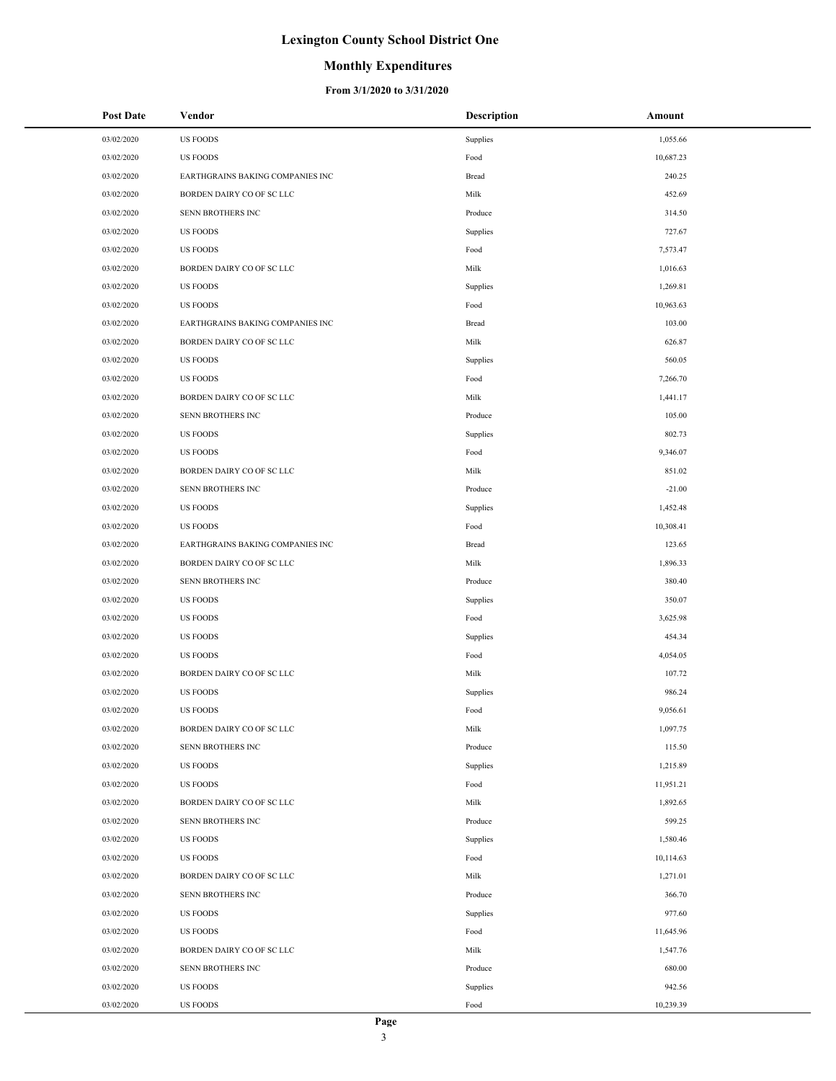### **Monthly Expenditures**

| <b>Post Date</b> | Vendor                           | Description | Amount    |
|------------------|----------------------------------|-------------|-----------|
| 03/02/2020       | <b>US FOODS</b>                  | Supplies    | 1,055.66  |
| 03/02/2020       | <b>US FOODS</b>                  | Food        | 10,687.23 |
| 03/02/2020       | EARTHGRAINS BAKING COMPANIES INC | Bread       | 240.25    |
| 03/02/2020       | BORDEN DAIRY CO OF SC LLC        | Milk        | 452.69    |
| 03/02/2020       | SENN BROTHERS INC                | Produce     | 314.50    |
| 03/02/2020       | <b>US FOODS</b>                  | Supplies    | 727.67    |
| 03/02/2020       | <b>US FOODS</b>                  | Food        | 7,573.47  |
| 03/02/2020       | BORDEN DAIRY CO OF SC LLC        | Milk        | 1,016.63  |
| 03/02/2020       | <b>US FOODS</b>                  | Supplies    | 1,269.81  |
| 03/02/2020       | <b>US FOODS</b>                  | Food        | 10,963.63 |
| 03/02/2020       | EARTHGRAINS BAKING COMPANIES INC | Bread       | 103.00    |
| 03/02/2020       | BORDEN DAIRY CO OF SC LLC        | Milk        | 626.87    |
| 03/02/2020       | <b>US FOODS</b>                  | Supplies    | 560.05    |
| 03/02/2020       | <b>US FOODS</b>                  | Food        | 7,266.70  |
| 03/02/2020       | BORDEN DAIRY CO OF SC LLC        | Milk        | 1,441.17  |
| 03/02/2020       | SENN BROTHERS INC                | Produce     | 105.00    |
| 03/02/2020       | <b>US FOODS</b>                  | Supplies    | 802.73    |
| 03/02/2020       | <b>US FOODS</b>                  | Food        | 9,346.07  |
| 03/02/2020       | BORDEN DAIRY CO OF SC LLC        | Milk        | 851.02    |
| 03/02/2020       | SENN BROTHERS INC                | Produce     | $-21.00$  |
| 03/02/2020       | <b>US FOODS</b>                  | Supplies    | 1,452.48  |
| 03/02/2020       | <b>US FOODS</b>                  | Food        | 10,308.41 |
| 03/02/2020       | EARTHGRAINS BAKING COMPANIES INC | Bread       | 123.65    |
| 03/02/2020       | BORDEN DAIRY CO OF SC LLC        | Milk        | 1,896.33  |
| 03/02/2020       | SENN BROTHERS INC                | Produce     | 380.40    |
| 03/02/2020       | US FOODS                         | Supplies    | 350.07    |
| 03/02/2020       | <b>US FOODS</b>                  | Food        | 3,625.98  |
| 03/02/2020       | <b>US FOODS</b>                  | Supplies    | 454.34    |
| 03/02/2020       | <b>US FOODS</b>                  | Food        | 4,054.05  |
| 03/02/2020       | BORDEN DAIRY CO OF SC LLC        | Milk        | 107.72    |
| 03/02/2020       | <b>US FOODS</b>                  | Supplies    | 986.24    |
| 03/02/2020       | <b>US FOODS</b>                  | Food        | 9,056.61  |
| 03/02/2020       | BORDEN DAIRY CO OF SC LLC        | Milk        | 1,097.75  |
| 03/02/2020       | SENN BROTHERS INC                | Produce     | 115.50    |
| 03/02/2020       | <b>US FOODS</b>                  | Supplies    | 1,215.89  |
| 03/02/2020       | <b>US FOODS</b>                  | Food        | 11,951.21 |
| 03/02/2020       | BORDEN DAIRY CO OF SC LLC        | Milk        | 1,892.65  |
| 03/02/2020       | SENN BROTHERS INC                | Produce     | 599.25    |
| 03/02/2020       | <b>US FOODS</b>                  | Supplies    | 1,580.46  |
| 03/02/2020       | <b>US FOODS</b>                  | Food        | 10,114.63 |
| 03/02/2020       | BORDEN DAIRY CO OF SC LLC        | Milk        | 1,271.01  |
| 03/02/2020       | SENN BROTHERS INC                | Produce     | 366.70    |
| 03/02/2020       | <b>US FOODS</b>                  | Supplies    | 977.60    |
| 03/02/2020       | <b>US FOODS</b>                  | Food        | 11,645.96 |
| 03/02/2020       | BORDEN DAIRY CO OF SC LLC        | Milk        | 1,547.76  |
| 03/02/2020       | SENN BROTHERS INC                | Produce     | 680.00    |
| 03/02/2020       | <b>US FOODS</b>                  | Supplies    | 942.56    |
| 03/02/2020       | <b>US FOODS</b>                  | Food        | 10,239.39 |
|                  |                                  |             |           |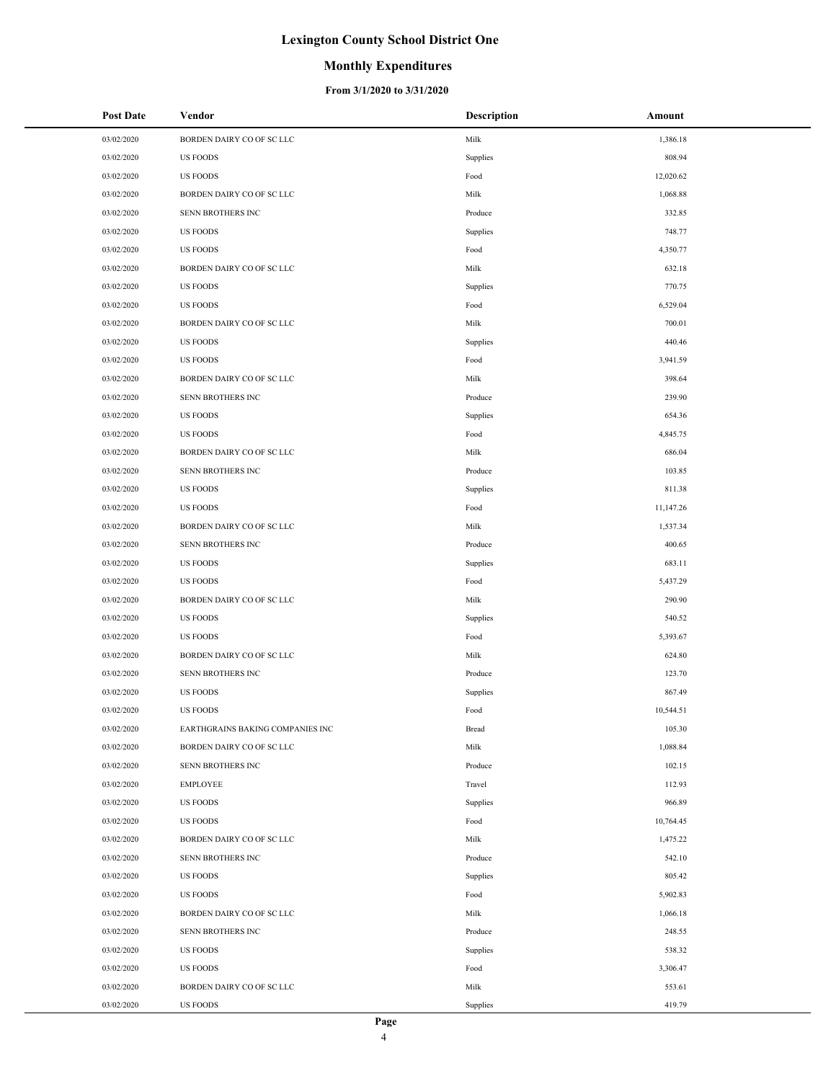### **Monthly Expenditures**

| <b>Post Date</b> | Vendor                           | <b>Description</b> | Amount    |
|------------------|----------------------------------|--------------------|-----------|
| 03/02/2020       | BORDEN DAIRY CO OF SC LLC        | Milk               | 1,386.18  |
| 03/02/2020       | <b>US FOODS</b>                  | Supplies           | 808.94    |
| 03/02/2020       | <b>US FOODS</b>                  | Food               | 12,020.62 |
| 03/02/2020       | BORDEN DAIRY CO OF SC LLC        | Milk               | 1,068.88  |
| 03/02/2020       | SENN BROTHERS INC                | Produce            | 332.85    |
| 03/02/2020       | <b>US FOODS</b>                  | Supplies           | 748.77    |
| 03/02/2020       | <b>US FOODS</b>                  | Food               | 4,350.77  |
| 03/02/2020       | BORDEN DAIRY CO OF SC LLC        | Milk               | 632.18    |
| 03/02/2020       | <b>US FOODS</b>                  | Supplies           | 770.75    |
| 03/02/2020       | <b>US FOODS</b>                  | Food               | 6,529.04  |
| 03/02/2020       | BORDEN DAIRY CO OF SC LLC        | Milk               | 700.01    |
| 03/02/2020       | <b>US FOODS</b>                  | Supplies           | 440.46    |
| 03/02/2020       | <b>US FOODS</b>                  | Food               | 3,941.59  |
| 03/02/2020       | BORDEN DAIRY CO OF SC LLC        | Milk               | 398.64    |
| 03/02/2020       | SENN BROTHERS INC                | Produce            | 239.90    |
| 03/02/2020       | <b>US FOODS</b>                  | Supplies           | 654.36    |
| 03/02/2020       | <b>US FOODS</b>                  | Food               | 4,845.75  |
| 03/02/2020       | BORDEN DAIRY CO OF SC LLC        | Milk               | 686.04    |
| 03/02/2020       | SENN BROTHERS INC                | Produce            | 103.85    |
| 03/02/2020       | <b>US FOODS</b>                  | Supplies           | 811.38    |
| 03/02/2020       | <b>US FOODS</b>                  | Food               | 11,147.26 |
| 03/02/2020       | BORDEN DAIRY CO OF SC LLC        | Milk               | 1,537.34  |
| 03/02/2020       | SENN BROTHERS INC                | Produce            | 400.65    |
| 03/02/2020       | <b>US FOODS</b>                  | Supplies           | 683.11    |
| 03/02/2020       | <b>US FOODS</b>                  | Food               | 5,437.29  |
| 03/02/2020       | BORDEN DAIRY CO OF SC LLC        | Milk               | 290.90    |
| 03/02/2020       | <b>US FOODS</b>                  | Supplies           | 540.52    |
| 03/02/2020       | <b>US FOODS</b>                  | Food               | 5,393.67  |
| 03/02/2020       | BORDEN DAIRY CO OF SC LLC        | Milk               | 624.80    |
| 03/02/2020       | SENN BROTHERS INC                | Produce            | 123.70    |
| 03/02/2020       | <b>US FOODS</b>                  | Supplies           | 867.49    |
| 03/02/2020       | <b>US FOODS</b>                  | Food               | 10,544.51 |
| 03/02/2020       | EARTHGRAINS BAKING COMPANIES INC | Bread              | 105.30    |
| 03/02/2020       | BORDEN DAIRY CO OF SC LLC        | Milk               | 1,088.84  |
| 03/02/2020       | SENN BROTHERS INC                | Produce            | 102.15    |
| 03/02/2020       | <b>EMPLOYEE</b>                  | Travel             | 112.93    |
| 03/02/2020       | <b>US FOODS</b>                  | Supplies           | 966.89    |
| 03/02/2020       | <b>US FOODS</b>                  | Food               | 10,764.45 |
| 03/02/2020       | BORDEN DAIRY CO OF SC LLC        | Milk               | 1,475.22  |
| 03/02/2020       | SENN BROTHERS INC                | Produce            | 542.10    |
| 03/02/2020       | <b>US FOODS</b>                  | Supplies           | 805.42    |
| 03/02/2020       | <b>US FOODS</b>                  | Food               | 5,902.83  |
| 03/02/2020       | BORDEN DAIRY CO OF SC LLC        | Milk               | 1,066.18  |
| 03/02/2020       | SENN BROTHERS INC                | Produce            | 248.55    |
| 03/02/2020       | <b>US FOODS</b>                  | Supplies           | 538.32    |
| 03/02/2020       | <b>US FOODS</b>                  | Food               | 3,306.47  |
| 03/02/2020       | BORDEN DAIRY CO OF SC LLC        | Milk               | 553.61    |
| 03/02/2020       | <b>US FOODS</b>                  | Supplies           | 419.79    |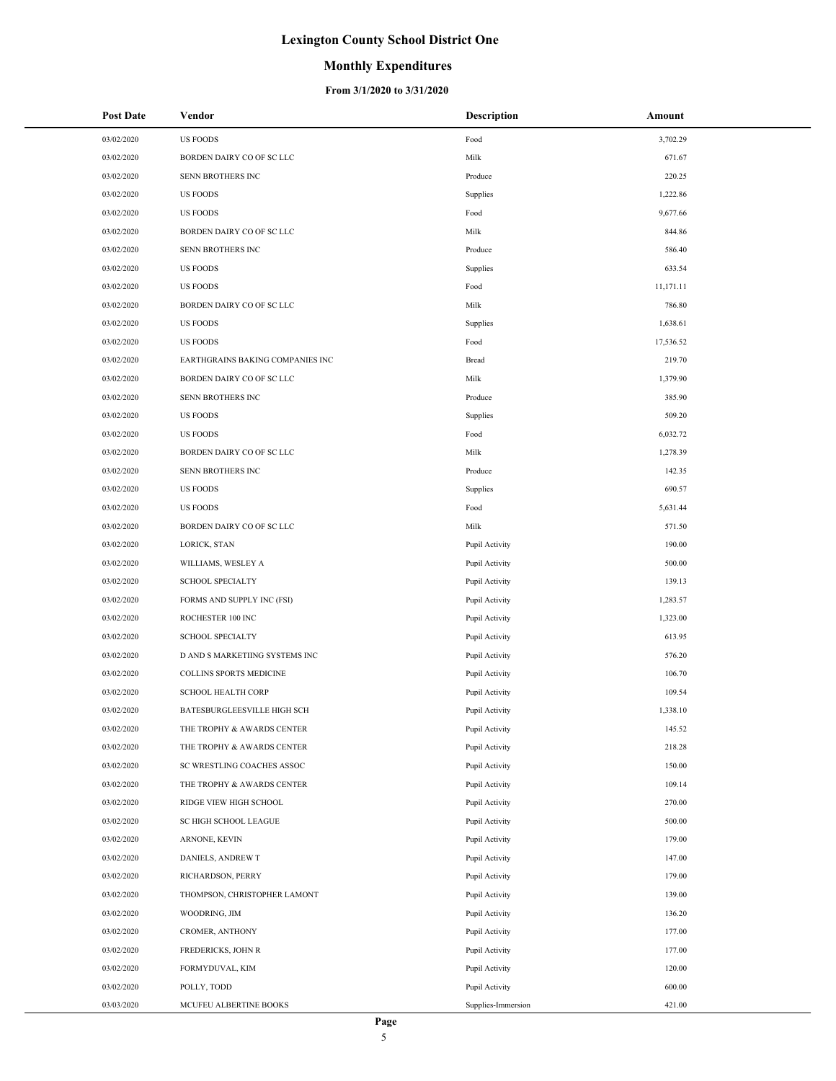### **Monthly Expenditures**

| <b>Post Date</b> | Vendor                           | <b>Description</b> | Amount    |
|------------------|----------------------------------|--------------------|-----------|
| 03/02/2020       | <b>US FOODS</b>                  | Food               | 3,702.29  |
| 03/02/2020       | BORDEN DAIRY CO OF SC LLC        | Milk               | 671.67    |
| 03/02/2020       | SENN BROTHERS INC                | Produce            | 220.25    |
| 03/02/2020       | <b>US FOODS</b>                  | Supplies           | 1,222.86  |
| 03/02/2020       | <b>US FOODS</b>                  | Food               | 9,677.66  |
| 03/02/2020       | BORDEN DAIRY CO OF SC LLC        | Milk               | 844.86    |
| 03/02/2020       | SENN BROTHERS INC                | Produce            | 586.40    |
| 03/02/2020       | <b>US FOODS</b>                  | Supplies           | 633.54    |
| 03/02/2020       | <b>US FOODS</b>                  | Food               | 11,171.11 |
| 03/02/2020       | BORDEN DAIRY CO OF SC LLC        | Milk               | 786.80    |
| 03/02/2020       | <b>US FOODS</b>                  | Supplies           | 1,638.61  |
| 03/02/2020       | <b>US FOODS</b>                  | Food               | 17,536.52 |
| 03/02/2020       | EARTHGRAINS BAKING COMPANIES INC | Bread              | 219.70    |
| 03/02/2020       | BORDEN DAIRY CO OF SC LLC        | Milk               | 1,379.90  |
| 03/02/2020       | <b>SENN BROTHERS INC</b>         | Produce            | 385.90    |
| 03/02/2020       | <b>US FOODS</b>                  | Supplies           | 509.20    |
| 03/02/2020       | <b>US FOODS</b>                  | Food               | 6,032.72  |
| 03/02/2020       | BORDEN DAIRY CO OF SC LLC        | Milk               | 1,278.39  |
| 03/02/2020       | <b>SENN BROTHERS INC</b>         | Produce            | 142.35    |
| 03/02/2020       | <b>US FOODS</b>                  | Supplies           | 690.57    |
| 03/02/2020       | <b>US FOODS</b>                  | Food               | 5,631.44  |
| 03/02/2020       | BORDEN DAIRY CO OF SC LLC        | Milk               | 571.50    |
| 03/02/2020       | LORICK, STAN                     | Pupil Activity     | 190.00    |
| 03/02/2020       | WILLIAMS, WESLEY A               | Pupil Activity     | 500.00    |
| 03/02/2020       | <b>SCHOOL SPECIALTY</b>          | Pupil Activity     | 139.13    |
| 03/02/2020       | FORMS AND SUPPLY INC (FSI)       | Pupil Activity     | 1,283.57  |
| 03/02/2020       | ROCHESTER 100 INC                | Pupil Activity     | 1,323.00  |
| 03/02/2020       | <b>SCHOOL SPECIALTY</b>          | Pupil Activity     | 613.95    |
| 03/02/2020       | D AND S MARKETIING SYSTEMS INC   | Pupil Activity     | 576.20    |
| 03/02/2020       | COLLINS SPORTS MEDICINE          | Pupil Activity     | 106.70    |
| 03/02/2020       | <b>SCHOOL HEALTH CORP</b>        | Pupil Activity     | 109.54    |
| 03/02/2020       | BATESBURGLEESVILLE HIGH SCH      | Pupil Activity     | 1,338.10  |
| 03/02/2020       | THE TROPHY & AWARDS CENTER       | Pupil Activity     | 145.52    |
| 03/02/2020       | THE TROPHY & AWARDS CENTER       | Pupil Activity     | 218.28    |
| 03/02/2020       | SC WRESTLING COACHES ASSOC       | Pupil Activity     | 150.00    |
| 03/02/2020       | THE TROPHY & AWARDS CENTER       | Pupil Activity     | 109.14    |
| 03/02/2020       | RIDGE VIEW HIGH SCHOOL           | Pupil Activity     | 270.00    |
| 03/02/2020       | SC HIGH SCHOOL LEAGUE            | Pupil Activity     | 500.00    |
| 03/02/2020       | ARNONE, KEVIN                    | Pupil Activity     | 179.00    |
| 03/02/2020       | DANIELS, ANDREW T                | Pupil Activity     | 147.00    |
| 03/02/2020       | RICHARDSON, PERRY                | Pupil Activity     | 179.00    |
| 03/02/2020       | THOMPSON, CHRISTOPHER LAMONT     | Pupil Activity     | 139.00    |
| 03/02/2020       | WOODRING, JIM                    | Pupil Activity     | 136.20    |
| 03/02/2020       | CROMER, ANTHONY                  | Pupil Activity     | 177.00    |
| 03/02/2020       | FREDERICKS, JOHN R               | Pupil Activity     | 177.00    |
| 03/02/2020       | FORMYDUVAL, KIM                  | Pupil Activity     | 120.00    |
| 03/02/2020       | POLLY, TODD                      | Pupil Activity     | 600.00    |
| 03/03/2020       | MCUFEU ALBERTINE BOOKS           | Supplies-Immersion | 421.00    |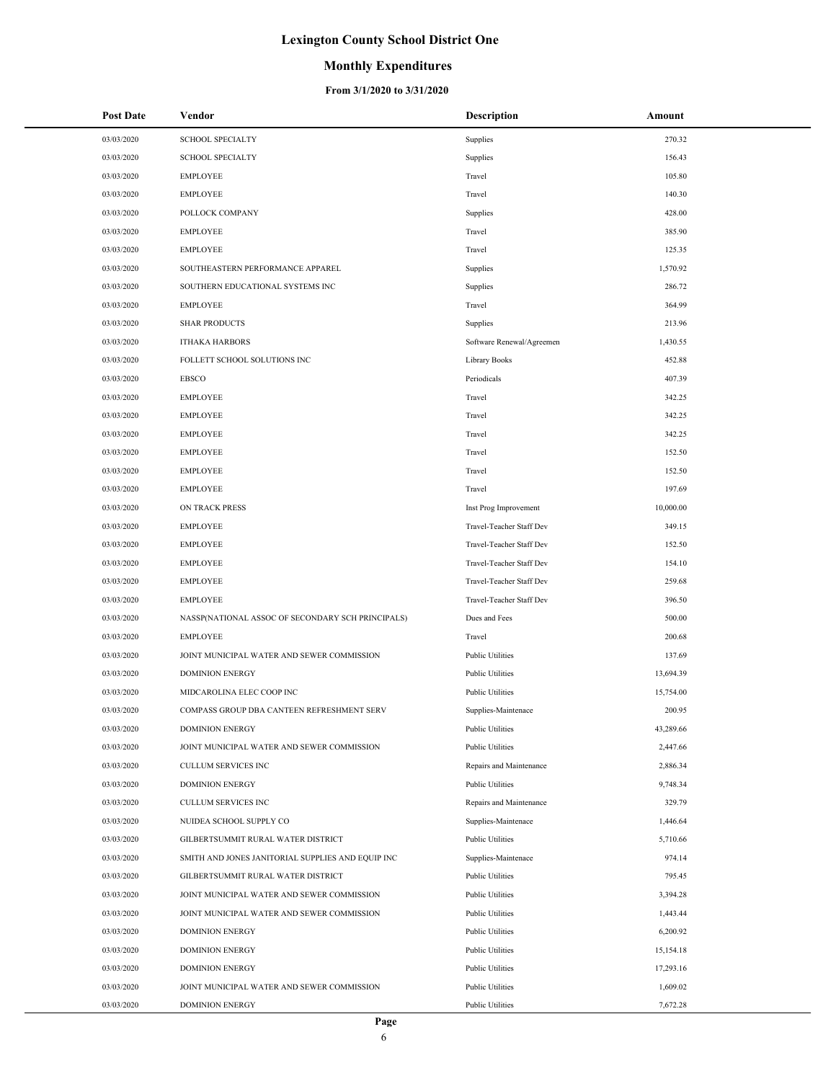## **Monthly Expenditures**

| <b>Post Date</b> | Vendor                                            | <b>Description</b>        | Amount    |
|------------------|---------------------------------------------------|---------------------------|-----------|
| 03/03/2020       | <b>SCHOOL SPECIALTY</b>                           | Supplies                  | 270.32    |
| 03/03/2020       | <b>SCHOOL SPECIALTY</b>                           | Supplies                  | 156.43    |
| 03/03/2020       | <b>EMPLOYEE</b>                                   | Travel                    | 105.80    |
| 03/03/2020       | <b>EMPLOYEE</b>                                   | Travel                    | 140.30    |
| 03/03/2020       | POLLOCK COMPANY                                   | Supplies                  | 428.00    |
| 03/03/2020       | <b>EMPLOYEE</b>                                   | Travel                    | 385.90    |
| 03/03/2020       | <b>EMPLOYEE</b>                                   | Travel                    | 125.35    |
| 03/03/2020       | SOUTHEASTERN PERFORMANCE APPAREL                  | Supplies                  | 1,570.92  |
| 03/03/2020       | SOUTHERN EDUCATIONAL SYSTEMS INC                  | Supplies                  | 286.72    |
| 03/03/2020       | <b>EMPLOYEE</b>                                   | Travel                    | 364.99    |
| 03/03/2020       | <b>SHAR PRODUCTS</b>                              | Supplies                  | 213.96    |
| 03/03/2020       | <b>ITHAKA HARBORS</b>                             | Software Renewal/Agreemen | 1,430.55  |
| 03/03/2020       | FOLLETT SCHOOL SOLUTIONS INC                      | Library Books             | 452.88    |
| 03/03/2020       | <b>EBSCO</b>                                      | Periodicals               | 407.39    |
| 03/03/2020       | <b>EMPLOYEE</b>                                   | Travel                    | 342.25    |
| 03/03/2020       | <b>EMPLOYEE</b>                                   | Travel                    | 342.25    |
| 03/03/2020       | <b>EMPLOYEE</b>                                   | Travel                    | 342.25    |
| 03/03/2020       | <b>EMPLOYEE</b>                                   | Travel                    | 152.50    |
| 03/03/2020       | <b>EMPLOYEE</b>                                   | Travel                    | 152.50    |
| 03/03/2020       | <b>EMPLOYEE</b>                                   | Travel                    | 197.69    |
| 03/03/2020       | ON TRACK PRESS                                    | Inst Prog Improvement     | 10,000.00 |
| 03/03/2020       | <b>EMPLOYEE</b>                                   | Travel-Teacher Staff Dev  | 349.15    |
| 03/03/2020       | <b>EMPLOYEE</b>                                   | Travel-Teacher Staff Dev  | 152.50    |
| 03/03/2020       | <b>EMPLOYEE</b>                                   | Travel-Teacher Staff Dev  | 154.10    |
| 03/03/2020       | <b>EMPLOYEE</b>                                   | Travel-Teacher Staff Dev  | 259.68    |
| 03/03/2020       | <b>EMPLOYEE</b>                                   | Travel-Teacher Staff Dev  | 396.50    |
| 03/03/2020       | NASSP(NATIONAL ASSOC OF SECONDARY SCH PRINCIPALS) | Dues and Fees             | 500.00    |
| 03/03/2020       | <b>EMPLOYEE</b>                                   | Travel                    | 200.68    |
| 03/03/2020       | JOINT MUNICIPAL WATER AND SEWER COMMISSION        | <b>Public Utilities</b>   | 137.69    |
| 03/03/2020       | <b>DOMINION ENERGY</b>                            | Public Utilities          | 13,694.39 |
| 03/03/2020       | MIDCAROLINA ELEC COOP INC                         | <b>Public Utilities</b>   | 15,754.00 |
| 03/03/2020       | COMPASS GROUP DBA CANTEEN REFRESHMENT SERV        | Supplies-Maintenace       | 200.95    |
| 03/03/2020       | <b>DOMINION ENERGY</b>                            | <b>Public Utilities</b>   | 43,289.66 |
| 03/03/2020       | JOINT MUNICIPAL WATER AND SEWER COMMISSION        | <b>Public Utilities</b>   | 2,447.66  |
| 03/03/2020       | CULLUM SERVICES INC                               | Repairs and Maintenance   | 2,886.34  |
| 03/03/2020       | <b>DOMINION ENERGY</b>                            | Public Utilities          | 9,748.34  |
| 03/03/2020       | CULLUM SERVICES INC                               | Repairs and Maintenance   | 329.79    |
| 03/03/2020       | NUIDEA SCHOOL SUPPLY CO                           | Supplies-Maintenace       | 1,446.64  |
| 03/03/2020       | GILBERTSUMMIT RURAL WATER DISTRICT                | <b>Public Utilities</b>   | 5,710.66  |
| 03/03/2020       | SMITH AND JONES JANITORIAL SUPPLIES AND EQUIP INC | Supplies-Maintenace       | 974.14    |
| 03/03/2020       | GILBERTSUMMIT RURAL WATER DISTRICT                | <b>Public Utilities</b>   | 795.45    |
| 03/03/2020       | JOINT MUNICIPAL WATER AND SEWER COMMISSION        | <b>Public Utilities</b>   | 3,394.28  |
| 03/03/2020       | JOINT MUNICIPAL WATER AND SEWER COMMISSION        | <b>Public Utilities</b>   | 1,443.44  |
| 03/03/2020       | <b>DOMINION ENERGY</b>                            | Public Utilities          | 6,200.92  |
| 03/03/2020       | <b>DOMINION ENERGY</b>                            | <b>Public Utilities</b>   | 15,154.18 |
| 03/03/2020       | <b>DOMINION ENERGY</b>                            | <b>Public Utilities</b>   | 17,293.16 |
| 03/03/2020       | JOINT MUNICIPAL WATER AND SEWER COMMISSION        | <b>Public Utilities</b>   | 1,609.02  |
| 03/03/2020       | <b>DOMINION ENERGY</b>                            | <b>Public Utilities</b>   | 7,672.28  |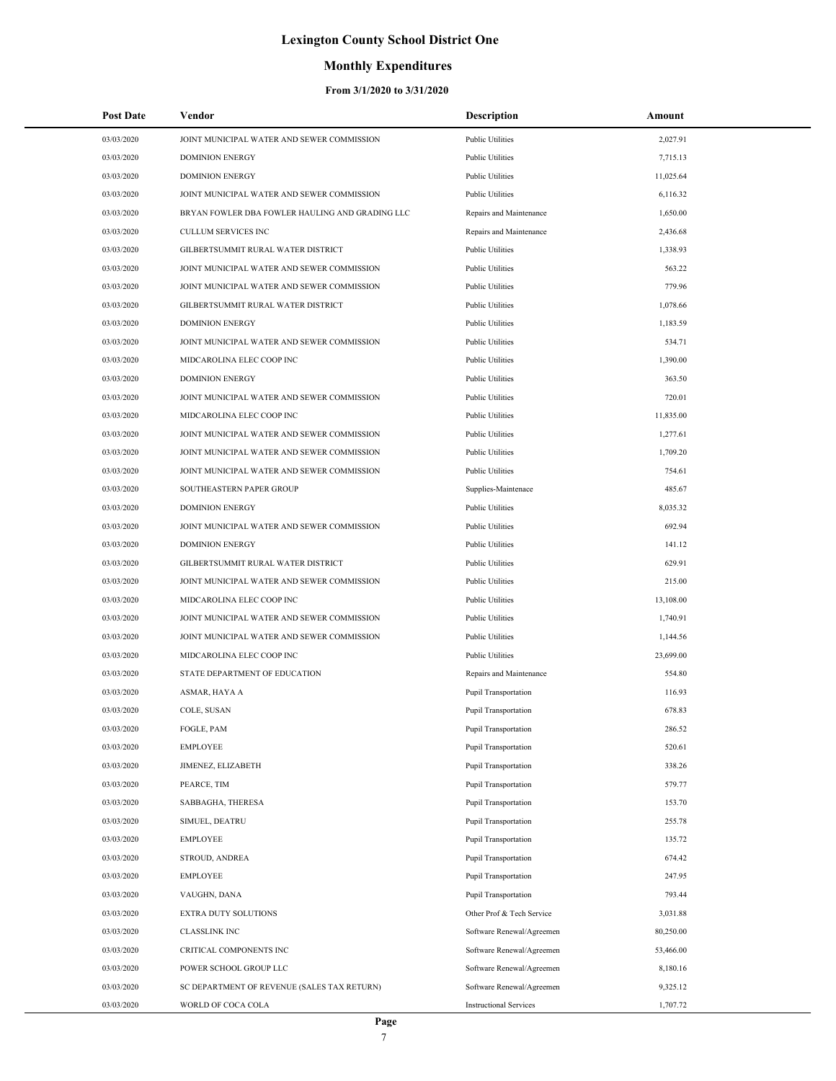## **Monthly Expenditures**

| <b>Post Date</b> | Vendor                                          | Description                   | Amount    |
|------------------|-------------------------------------------------|-------------------------------|-----------|
| 03/03/2020       | JOINT MUNICIPAL WATER AND SEWER COMMISSION      | <b>Public Utilities</b>       | 2,027.91  |
| 03/03/2020       | <b>DOMINION ENERGY</b>                          | <b>Public Utilities</b>       | 7,715.13  |
| 03/03/2020       | <b>DOMINION ENERGY</b>                          | <b>Public Utilities</b>       | 11,025.64 |
| 03/03/2020       | JOINT MUNICIPAL WATER AND SEWER COMMISSION      | <b>Public Utilities</b>       | 6,116.32  |
| 03/03/2020       | BRYAN FOWLER DBA FOWLER HAULING AND GRADING LLC | Repairs and Maintenance       | 1,650.00  |
| 03/03/2020       | CULLUM SERVICES INC                             | Repairs and Maintenance       | 2,436.68  |
| 03/03/2020       | GILBERTSUMMIT RURAL WATER DISTRICT              | Public Utilities              | 1,338.93  |
| 03/03/2020       | JOINT MUNICIPAL WATER AND SEWER COMMISSION      | Public Utilities              | 563.22    |
| 03/03/2020       | JOINT MUNICIPAL WATER AND SEWER COMMISSION      | <b>Public Utilities</b>       | 779.96    |
| 03/03/2020       | GILBERTSUMMIT RURAL WATER DISTRICT              | <b>Public Utilities</b>       | 1,078.66  |
| 03/03/2020       | <b>DOMINION ENERGY</b>                          | <b>Public Utilities</b>       | 1,183.59  |
| 03/03/2020       | JOINT MUNICIPAL WATER AND SEWER COMMISSION      | Public Utilities              | 534.71    |
| 03/03/2020       | MIDCAROLINA ELEC COOP INC                       | <b>Public Utilities</b>       | 1,390.00  |
| 03/03/2020       | <b>DOMINION ENERGY</b>                          | <b>Public Utilities</b>       | 363.50    |
| 03/03/2020       | JOINT MUNICIPAL WATER AND SEWER COMMISSION      | Public Utilities              | 720.01    |
| 03/03/2020       | MIDCAROLINA ELEC COOP INC                       | Public Utilities              | 11,835.00 |
| 03/03/2020       | JOINT MUNICIPAL WATER AND SEWER COMMISSION      | <b>Public Utilities</b>       | 1,277.61  |
| 03/03/2020       | JOINT MUNICIPAL WATER AND SEWER COMMISSION      | <b>Public Utilities</b>       | 1,709.20  |
| 03/03/2020       | JOINT MUNICIPAL WATER AND SEWER COMMISSION      | <b>Public Utilities</b>       | 754.61    |
| 03/03/2020       | SOUTHEASTERN PAPER GROUP                        | Supplies-Maintenace           | 485.67    |
| 03/03/2020       | <b>DOMINION ENERGY</b>                          | <b>Public Utilities</b>       | 8,035.32  |
| 03/03/2020       | JOINT MUNICIPAL WATER AND SEWER COMMISSION      | <b>Public Utilities</b>       | 692.94    |
| 03/03/2020       | <b>DOMINION ENERGY</b>                          | <b>Public Utilities</b>       | 141.12    |
| 03/03/2020       | GILBERTSUMMIT RURAL WATER DISTRICT              | <b>Public Utilities</b>       | 629.91    |
| 03/03/2020       | JOINT MUNICIPAL WATER AND SEWER COMMISSION      | <b>Public Utilities</b>       | 215.00    |
| 03/03/2020       | MIDCAROLINA ELEC COOP INC                       | <b>Public Utilities</b>       | 13,108.00 |
| 03/03/2020       | JOINT MUNICIPAL WATER AND SEWER COMMISSION      | <b>Public Utilities</b>       | 1,740.91  |
| 03/03/2020       | JOINT MUNICIPAL WATER AND SEWER COMMISSION      | <b>Public Utilities</b>       | 1,144.56  |
| 03/03/2020       | MIDCAROLINA ELEC COOP INC                       | <b>Public Utilities</b>       | 23,699.00 |
| 03/03/2020       | STATE DEPARTMENT OF EDUCATION                   | Repairs and Maintenance       | 554.80    |
| 03/03/2020       | ASMAR, HAYA A                                   | Pupil Transportation          | 116.93    |
| 03/03/2020       | COLE, SUSAN                                     | Pupil Transportation          | 678.83    |
| 03/03/2020       | FOGLE, PAM                                      | Pupil Transportation          | 286.52    |
| 03/03/2020       | <b>EMPLOYEE</b>                                 | Pupil Transportation          | 520.61    |
| 03/03/2020       | JIMENEZ, ELIZABETH                              | Pupil Transportation          | 338.26    |
| 03/03/2020       | PEARCE, TIM                                     | Pupil Transportation          | 579.77    |
| 03/03/2020       | SABBAGHA, THERESA                               | Pupil Transportation          | 153.70    |
| 03/03/2020       | SIMUEL, DEATRU                                  | Pupil Transportation          | 255.78    |
| 03/03/2020       | <b>EMPLOYEE</b>                                 | Pupil Transportation          | 135.72    |
| 03/03/2020       | <b>STROUD, ANDREA</b>                           | Pupil Transportation          | 674.42    |
| 03/03/2020       | <b>EMPLOYEE</b>                                 | Pupil Transportation          | 247.95    |
| 03/03/2020       | VAUGHN, DANA                                    | Pupil Transportation          | 793.44    |
| 03/03/2020       | EXTRA DUTY SOLUTIONS                            | Other Prof & Tech Service     | 3,031.88  |
| 03/03/2020       | <b>CLASSLINK INC</b>                            | Software Renewal/Agreemen     | 80,250.00 |
| 03/03/2020       | CRITICAL COMPONENTS INC                         | Software Renewal/Agreemen     | 53,466.00 |
| 03/03/2020       | POWER SCHOOL GROUP LLC                          | Software Renewal/Agreemen     | 8,180.16  |
| 03/03/2020       | SC DEPARTMENT OF REVENUE (SALES TAX RETURN)     | Software Renewal/Agreemen     | 9,325.12  |
| 03/03/2020       | WORLD OF COCA COLA                              | <b>Instructional Services</b> | 1,707.72  |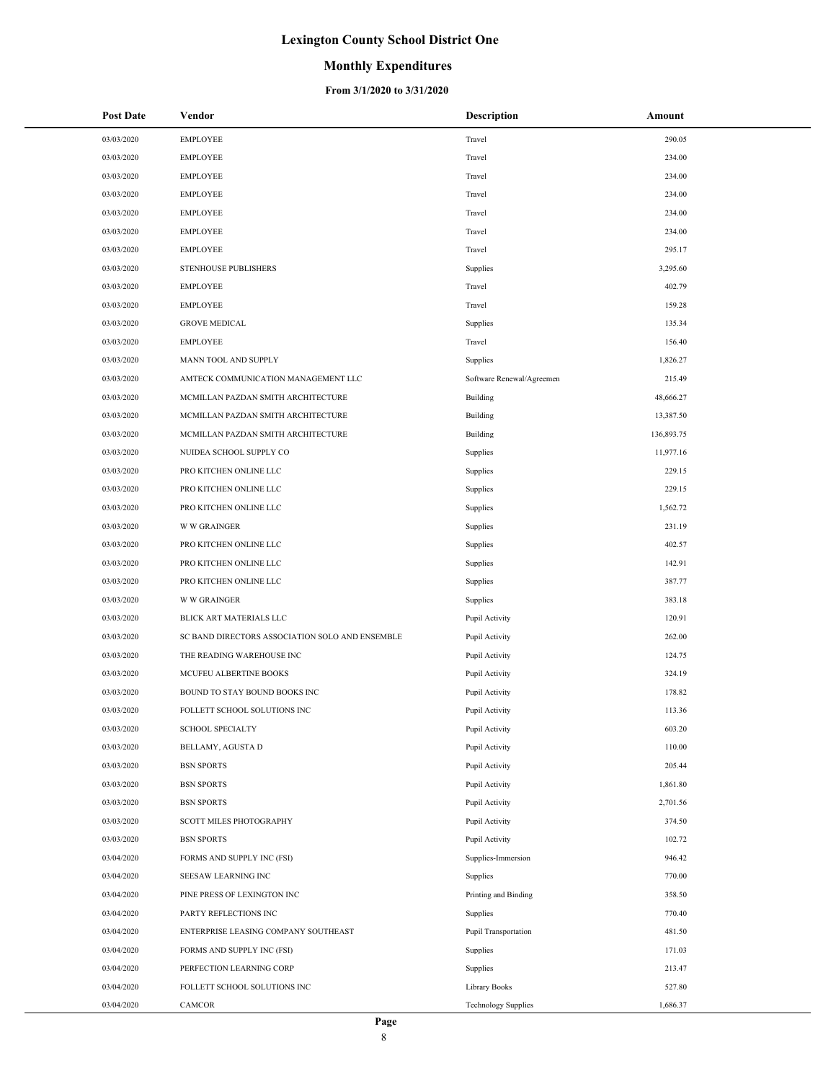### **Monthly Expenditures**

#### **From 3/1/2020 to 3/31/2020**

| <b>Post Date</b> | Vendor                                          | <b>Description</b>          | Amount     |
|------------------|-------------------------------------------------|-----------------------------|------------|
| 03/03/2020       | <b>EMPLOYEE</b>                                 | Travel                      | 290.05     |
| 03/03/2020       | <b>EMPLOYEE</b>                                 | Travel                      | 234.00     |
| 03/03/2020       | <b>EMPLOYEE</b>                                 | Travel                      | 234.00     |
| 03/03/2020       | <b>EMPLOYEE</b>                                 | Travel                      | 234.00     |
| 03/03/2020       | <b>EMPLOYEE</b>                                 | Travel                      | 234.00     |
| 03/03/2020       | <b>EMPLOYEE</b>                                 | Travel                      | 234.00     |
| 03/03/2020       | <b>EMPLOYEE</b>                                 | Travel                      | 295.17     |
| 03/03/2020       | STENHOUSE PUBLISHERS                            | Supplies                    | 3,295.60   |
| 03/03/2020       | <b>EMPLOYEE</b>                                 | Travel                      | 402.79     |
| 03/03/2020       | <b>EMPLOYEE</b>                                 | Travel                      | 159.28     |
| 03/03/2020       | <b>GROVE MEDICAL</b>                            | Supplies                    | 135.34     |
| 03/03/2020       | <b>EMPLOYEE</b>                                 | Travel                      | 156.40     |
| 03/03/2020       | MANN TOOL AND SUPPLY                            | Supplies                    | 1,826.27   |
| 03/03/2020       | AMTECK COMMUNICATION MANAGEMENT LLC             | Software Renewal/Agreemen   | 215.49     |
| 03/03/2020       | MCMILLAN PAZDAN SMITH ARCHITECTURE              | Building                    | 48,666.27  |
| 03/03/2020       | MCMILLAN PAZDAN SMITH ARCHITECTURE              | Building                    | 13,387.50  |
| 03/03/2020       | MCMILLAN PAZDAN SMITH ARCHITECTURE              | Building                    | 136,893.75 |
| 03/03/2020       | NUIDEA SCHOOL SUPPLY CO                         | Supplies                    | 11,977.16  |
| 03/03/2020       | PRO KITCHEN ONLINE LLC                          | Supplies                    | 229.15     |
| 03/03/2020       | PRO KITCHEN ONLINE LLC                          | Supplies                    | 229.15     |
| 03/03/2020       | PRO KITCHEN ONLINE LLC                          | Supplies                    | 1,562.72   |
| 03/03/2020       | <b>W W GRAINGER</b>                             | Supplies                    | 231.19     |
| 03/03/2020       | PRO KITCHEN ONLINE LLC                          | Supplies                    | 402.57     |
| 03/03/2020       | PRO KITCHEN ONLINE LLC                          | Supplies                    | 142.91     |
| 03/03/2020       | PRO KITCHEN ONLINE LLC                          | Supplies                    | 387.77     |
| 03/03/2020       | <b>W W GRAINGER</b>                             | Supplies                    | 383.18     |
| 03/03/2020       | BLICK ART MATERIALS LLC                         | Pupil Activity              | 120.91     |
| 03/03/2020       | SC BAND DIRECTORS ASSOCIATION SOLO AND ENSEMBLE | Pupil Activity              | 262.00     |
| 03/03/2020       | THE READING WAREHOUSE INC                       | Pupil Activity              | 124.75     |
| 03/03/2020       | MCUFEU ALBERTINE BOOKS                          | Pupil Activity              | 324.19     |
| 03/03/2020       | BOUND TO STAY BOUND BOOKS INC                   | Pupil Activity              | 178.82     |
| 03/03/2020       | FOLLETT SCHOOL SOLUTIONS INC                    | Pupil Activity              | 113.36     |
| 03/03/2020       | <b>SCHOOL SPECIALTY</b>                         | Pupil Activity              | 603.20     |
| 03/03/2020       | <b>BELLAMY, AGUSTA D</b>                        | Pupil Activity              | 110.00     |
| 03/03/2020       | <b>BSN SPORTS</b>                               | Pupil Activity              | 205.44     |
| 03/03/2020       | <b>BSN SPORTS</b>                               | Pupil Activity              | 1,861.80   |
| 03/03/2020       | <b>BSN SPORTS</b>                               | Pupil Activity              | 2,701.56   |
| 03/03/2020       | SCOTT MILES PHOTOGRAPHY                         | Pupil Activity              | 374.50     |
| 03/03/2020       | <b>BSN SPORTS</b>                               | Pupil Activity              | 102.72     |
| 03/04/2020       | FORMS AND SUPPLY INC (FSI)                      | Supplies-Immersion          | 946.42     |
| 03/04/2020       | SEESAW LEARNING INC                             | Supplies                    | 770.00     |
| 03/04/2020       | PINE PRESS OF LEXINGTON INC                     | Printing and Binding        | 358.50     |
| 03/04/2020       | PARTY REFLECTIONS INC                           | Supplies                    | 770.40     |
| 03/04/2020       | ENTERPRISE LEASING COMPANY SOUTHEAST            | <b>Pupil Transportation</b> | 481.50     |
| 03/04/2020       | FORMS AND SUPPLY INC (FSI)                      | Supplies                    | 171.03     |
| 03/04/2020       | PERFECTION LEARNING CORP                        | Supplies                    | 213.47     |
| 03/04/2020       | FOLLETT SCHOOL SOLUTIONS INC                    | Library Books               | 527.80     |
| 03/04/2020       | CAMCOR                                          | <b>Technology Supplies</b>  | 1,686.37   |

 $\overline{a}$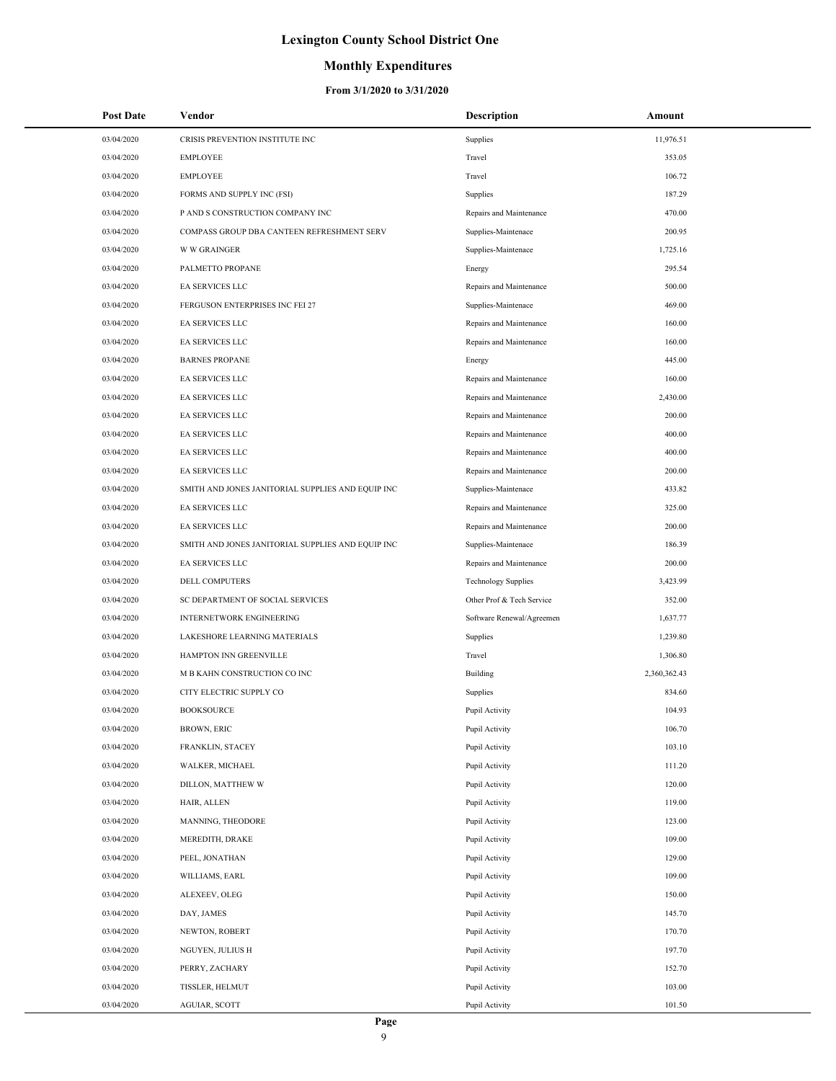## **Monthly Expenditures**

| <b>Post Date</b> | Vendor                                            | <b>Description</b>         | Amount       |
|------------------|---------------------------------------------------|----------------------------|--------------|
| 03/04/2020       | CRISIS PREVENTION INSTITUTE INC                   | Supplies                   | 11,976.51    |
| 03/04/2020       | <b>EMPLOYEE</b>                                   | Travel                     | 353.05       |
| 03/04/2020       | <b>EMPLOYEE</b>                                   | Travel                     | 106.72       |
| 03/04/2020       | FORMS AND SUPPLY INC (FSI)                        | Supplies                   | 187.29       |
| 03/04/2020       | P AND S CONSTRUCTION COMPANY INC                  | Repairs and Maintenance    | 470.00       |
| 03/04/2020       | COMPASS GROUP DBA CANTEEN REFRESHMENT SERV        | Supplies-Maintenace        | 200.95       |
| 03/04/2020       | <b>W W GRAINGER</b>                               | Supplies-Maintenace        | 1,725.16     |
| 03/04/2020       | PALMETTO PROPANE                                  | Energy                     | 295.54       |
| 03/04/2020       | <b>EA SERVICES LLC</b>                            | Repairs and Maintenance    | 500.00       |
| 03/04/2020       | FERGUSON ENTERPRISES INC FEI 27                   | Supplies-Maintenace        | 469.00       |
| 03/04/2020       | EA SERVICES LLC                                   | Repairs and Maintenance    | 160.00       |
| 03/04/2020       | EA SERVICES LLC                                   | Repairs and Maintenance    | 160.00       |
| 03/04/2020       | <b>BARNES PROPANE</b>                             | Energy                     | 445.00       |
| 03/04/2020       | EA SERVICES LLC                                   | Repairs and Maintenance    | 160.00       |
| 03/04/2020       | EA SERVICES LLC                                   | Repairs and Maintenance    | 2,430.00     |
| 03/04/2020       | EA SERVICES LLC                                   | Repairs and Maintenance    | 200.00       |
| 03/04/2020       | EA SERVICES LLC                                   | Repairs and Maintenance    | 400.00       |
| 03/04/2020       | EA SERVICES LLC                                   | Repairs and Maintenance    | 400.00       |
| 03/04/2020       | EA SERVICES LLC                                   | Repairs and Maintenance    | 200.00       |
| 03/04/2020       | SMITH AND JONES JANITORIAL SUPPLIES AND EQUIP INC | Supplies-Maintenace        | 433.82       |
| 03/04/2020       | EA SERVICES LLC                                   | Repairs and Maintenance    | 325.00       |
| 03/04/2020       | EA SERVICES LLC                                   | Repairs and Maintenance    | 200.00       |
| 03/04/2020       | SMITH AND JONES JANITORIAL SUPPLIES AND EQUIP INC | Supplies-Maintenace        | 186.39       |
| 03/04/2020       | EA SERVICES LLC                                   | Repairs and Maintenance    | 200.00       |
| 03/04/2020       | DELL COMPUTERS                                    | <b>Technology Supplies</b> | 3,423.99     |
| 03/04/2020       | SC DEPARTMENT OF SOCIAL SERVICES                  | Other Prof & Tech Service  | 352.00       |
| 03/04/2020       | INTERNETWORK ENGINEERING                          | Software Renewal/Agreemen  | 1,637.77     |
| 03/04/2020       | LAKESHORE LEARNING MATERIALS                      | Supplies                   | 1,239.80     |
| 03/04/2020       | HAMPTON INN GREENVILLE                            | Travel                     | 1,306.80     |
| 03/04/2020       | M B KAHN CONSTRUCTION CO INC                      | Building                   | 2,360,362.43 |
| 03/04/2020       | CITY ELECTRIC SUPPLY CO                           | Supplies                   | 834.60       |
| 03/04/2020       | <b>BOOKSOURCE</b>                                 | Pupil Activity             | 104.93       |
| 03/04/2020       | <b>BROWN, ERIC</b>                                | Pupil Activity             | 106.70       |
| 03/04/2020       | FRANKLIN, STACEY                                  | Pupil Activity             | 103.10       |
| 03/04/2020       | WALKER, MICHAEL                                   | Pupil Activity             | 111.20       |
| 03/04/2020       | DILLON, MATTHEW W                                 | Pupil Activity             | 120.00       |
| 03/04/2020       | HAIR, ALLEN                                       | Pupil Activity             | 119.00       |
| 03/04/2020       | MANNING, THEODORE                                 | Pupil Activity             | 123.00       |
| 03/04/2020       | MEREDITH, DRAKE                                   | Pupil Activity             | 109.00       |
| 03/04/2020       | PEEL, JONATHAN                                    | Pupil Activity             | 129.00       |
| 03/04/2020       | WILLIAMS, EARL                                    | Pupil Activity             | 109.00       |
| 03/04/2020       | ALEXEEV, OLEG                                     | Pupil Activity             | 150.00       |
| 03/04/2020       | DAY, JAMES                                        | Pupil Activity             | 145.70       |
| 03/04/2020       | NEWTON, ROBERT                                    | Pupil Activity             | 170.70       |
| 03/04/2020       | NGUYEN, JULIUS H                                  | Pupil Activity             | 197.70       |
| 03/04/2020       | PERRY, ZACHARY                                    | Pupil Activity             | 152.70       |
| 03/04/2020       | TISSLER, HELMUT                                   | Pupil Activity             | 103.00       |
| 03/04/2020       | AGUIAR, SCOTT                                     | Pupil Activity             | 101.50       |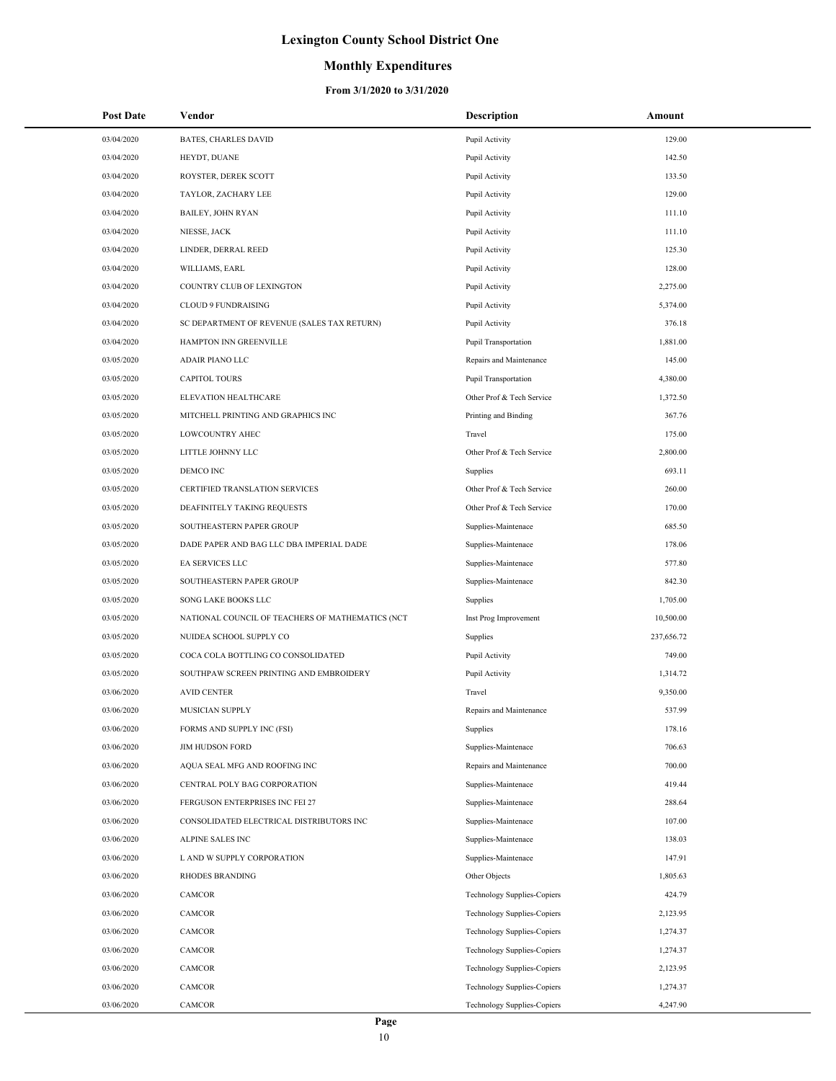## **Monthly Expenditures**

| <b>Post Date</b> | Vendor                                           | Description                        | Amount     |
|------------------|--------------------------------------------------|------------------------------------|------------|
| 03/04/2020       | <b>BATES, CHARLES DAVID</b>                      | Pupil Activity                     | 129.00     |
| 03/04/2020       | HEYDT, DUANE                                     | Pupil Activity                     | 142.50     |
| 03/04/2020       | ROYSTER, DEREK SCOTT                             | Pupil Activity                     | 133.50     |
| 03/04/2020       | TAYLOR, ZACHARY LEE                              | Pupil Activity                     | 129.00     |
| 03/04/2020       | <b>BAILEY, JOHN RYAN</b>                         | Pupil Activity                     | 111.10     |
| 03/04/2020       | NIESSE, JACK                                     | Pupil Activity                     | 111.10     |
| 03/04/2020       | LINDER, DERRAL REED                              | Pupil Activity                     | 125.30     |
| 03/04/2020       | WILLIAMS, EARL                                   | Pupil Activity                     | 128.00     |
| 03/04/2020       | COUNTRY CLUB OF LEXINGTON                        | Pupil Activity                     | 2,275.00   |
| 03/04/2020       | CLOUD 9 FUNDRAISING                              | Pupil Activity                     | 5,374.00   |
| 03/04/2020       | SC DEPARTMENT OF REVENUE (SALES TAX RETURN)      | Pupil Activity                     | 376.18     |
| 03/04/2020       | HAMPTON INN GREENVILLE                           | <b>Pupil Transportation</b>        | 1,881.00   |
| 03/05/2020       | ADAIR PIANO LLC                                  | Repairs and Maintenance            | 145.00     |
| 03/05/2020       | <b>CAPITOL TOURS</b>                             | Pupil Transportation               | 4,380.00   |
| 03/05/2020       | ELEVATION HEALTHCARE                             | Other Prof & Tech Service          | 1,372.50   |
| 03/05/2020       | MITCHELL PRINTING AND GRAPHICS INC               | Printing and Binding               | 367.76     |
| 03/05/2020       | LOWCOUNTRY AHEC                                  | Travel                             | 175.00     |
| 03/05/2020       | LITTLE JOHNNY LLC                                | Other Prof & Tech Service          | 2,800.00   |
| 03/05/2020       | DEMCO INC                                        | Supplies                           | 693.11     |
| 03/05/2020       | CERTIFIED TRANSLATION SERVICES                   | Other Prof & Tech Service          | 260.00     |
| 03/05/2020       | DEAFINITELY TAKING REQUESTS                      | Other Prof & Tech Service          | 170.00     |
| 03/05/2020       | SOUTHEASTERN PAPER GROUP                         | Supplies-Maintenace                | 685.50     |
| 03/05/2020       | DADE PAPER AND BAG LLC DBA IMPERIAL DADE         | Supplies-Maintenace                | 178.06     |
| 03/05/2020       | EA SERVICES LLC                                  | Supplies-Maintenace                | 577.80     |
| 03/05/2020       | SOUTHEASTERN PAPER GROUP                         | Supplies-Maintenace                | 842.30     |
| 03/05/2020       | SONG LAKE BOOKS LLC                              | Supplies                           | 1,705.00   |
| 03/05/2020       | NATIONAL COUNCIL OF TEACHERS OF MATHEMATICS (NCT | Inst Prog Improvement              | 10,500.00  |
| 03/05/2020       | NUIDEA SCHOOL SUPPLY CO                          | Supplies                           | 237,656.72 |
| 03/05/2020       | COCA COLA BOTTLING CO CONSOLIDATED               | Pupil Activity                     | 749.00     |
| 03/05/2020       | SOUTHPAW SCREEN PRINTING AND EMBROIDERY          | Pupil Activity                     | 1,314.72   |
| 03/06/2020       | <b>AVID CENTER</b>                               | Travel                             | 9,350.00   |
| 03/06/2020       | MUSICIAN SUPPLY                                  | Repairs and Maintenance            | 537.99     |
| 03/06/2020       | FORMS AND SUPPLY INC (FSI)                       | Supplies                           | 178.16     |
| 03/06/2020       | <b>JIM HUDSON FORD</b>                           | Supplies-Maintenace                | 706.63     |
| 03/06/2020       | AQUA SEAL MFG AND ROOFING INC                    | Repairs and Maintenance            | 700.00     |
| 03/06/2020       | CENTRAL POLY BAG CORPORATION                     | Supplies-Maintenace                | 419.44     |
| 03/06/2020       | FERGUSON ENTERPRISES INC FEI 27                  | Supplies-Maintenace                | 288.64     |
| 03/06/2020       | CONSOLIDATED ELECTRICAL DISTRIBUTORS INC         | Supplies-Maintenace                | 107.00     |
| 03/06/2020       | <b>ALPINE SALES INC</b>                          | Supplies-Maintenace                | 138.03     |
| 03/06/2020       | L AND W SUPPLY CORPORATION                       | Supplies-Maintenace                | 147.91     |
| 03/06/2020       | <b>RHODES BRANDING</b>                           | Other Objects                      | 1,805.63   |
| 03/06/2020       | CAMCOR                                           | <b>Technology Supplies-Copiers</b> | 424.79     |
| 03/06/2020       | CAMCOR                                           | <b>Technology Supplies-Copiers</b> | 2,123.95   |
| 03/06/2020       | CAMCOR                                           | <b>Technology Supplies-Copiers</b> | 1,274.37   |
| 03/06/2020       | CAMCOR                                           | <b>Technology Supplies-Copiers</b> | 1,274.37   |
| 03/06/2020       | CAMCOR                                           | Technology Supplies-Copiers        | 2,123.95   |
| 03/06/2020       | CAMCOR                                           | <b>Technology Supplies-Copiers</b> | 1,274.37   |
| 03/06/2020       | CAMCOR                                           | <b>Technology Supplies-Copiers</b> | 4,247.90   |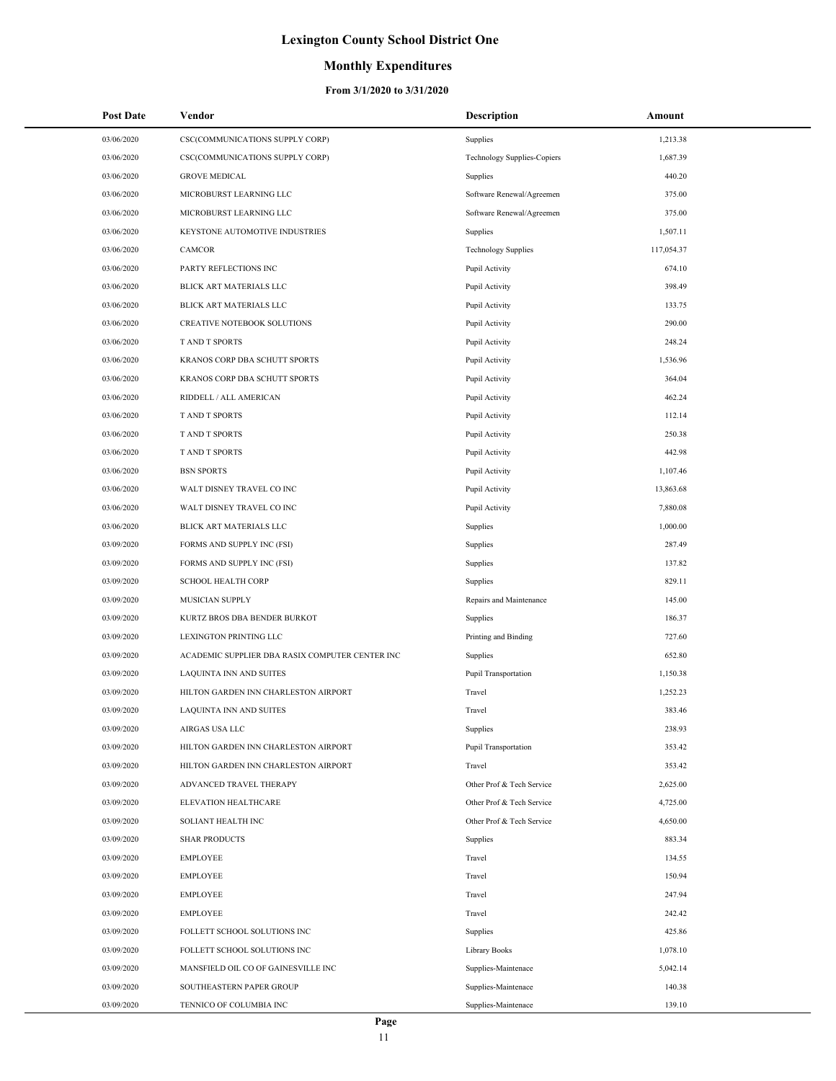### **Monthly Expenditures**

| <b>Post Date</b> | Vendor                                          | <b>Description</b>                 | Amount     |
|------------------|-------------------------------------------------|------------------------------------|------------|
| 03/06/2020       | CSC(COMMUNICATIONS SUPPLY CORP)                 | Supplies                           | 1,213.38   |
| 03/06/2020       | CSC(COMMUNICATIONS SUPPLY CORP)                 | <b>Technology Supplies-Copiers</b> | 1,687.39   |
| 03/06/2020       | <b>GROVE MEDICAL</b>                            | Supplies                           | 440.20     |
| 03/06/2020       | MICROBURST LEARNING LLC                         | Software Renewal/Agreemen          | 375.00     |
| 03/06/2020       | MICROBURST LEARNING LLC                         | Software Renewal/Agreemen          | 375.00     |
| 03/06/2020       | KEYSTONE AUTOMOTIVE INDUSTRIES                  | Supplies                           | 1,507.11   |
| 03/06/2020       | CAMCOR                                          | <b>Technology Supplies</b>         | 117,054.37 |
| 03/06/2020       | PARTY REFLECTIONS INC                           | Pupil Activity                     | 674.10     |
| 03/06/2020       | BLICK ART MATERIALS LLC                         | Pupil Activity                     | 398.49     |
| 03/06/2020       | BLICK ART MATERIALS LLC                         | Pupil Activity                     | 133.75     |
| 03/06/2020       | CREATIVE NOTEBOOK SOLUTIONS                     | Pupil Activity                     | 290.00     |
| 03/06/2020       | <b>TAND T SPORTS</b>                            | Pupil Activity                     | 248.24     |
| 03/06/2020       | KRANOS CORP DBA SCHUTT SPORTS                   | Pupil Activity                     | 1,536.96   |
| 03/06/2020       | KRANOS CORP DBA SCHUTT SPORTS                   | Pupil Activity                     | 364.04     |
| 03/06/2020       | RIDDELL / ALL AMERICAN                          | Pupil Activity                     | 462.24     |
| 03/06/2020       | T AND T SPORTS                                  | Pupil Activity                     | 112.14     |
| 03/06/2020       | T AND T SPORTS                                  | Pupil Activity                     | 250.38     |
| 03/06/2020       | T AND T SPORTS                                  | Pupil Activity                     | 442.98     |
| 03/06/2020       | <b>BSN SPORTS</b>                               | Pupil Activity                     | 1,107.46   |
| 03/06/2020       | WALT DISNEY TRAVEL CO INC                       | Pupil Activity                     | 13,863.68  |
| 03/06/2020       | WALT DISNEY TRAVEL CO INC                       | Pupil Activity                     | 7,880.08   |
| 03/06/2020       | BLICK ART MATERIALS LLC                         | Supplies                           | 1,000.00   |
| 03/09/2020       | FORMS AND SUPPLY INC (FSI)                      | Supplies                           | 287.49     |
| 03/09/2020       | FORMS AND SUPPLY INC (FSI)                      | Supplies                           | 137.82     |
| 03/09/2020       | <b>SCHOOL HEALTH CORP</b>                       | Supplies                           | 829.11     |
| 03/09/2020       | <b>MUSICIAN SUPPLY</b>                          | Repairs and Maintenance            | 145.00     |
| 03/09/2020       | KURTZ BROS DBA BENDER BURKOT                    | Supplies                           | 186.37     |
| 03/09/2020       | LEXINGTON PRINTING LLC                          | Printing and Binding               | 727.60     |
| 03/09/2020       | ACADEMIC SUPPLIER DBA RASIX COMPUTER CENTER INC | Supplies                           | 652.80     |
| 03/09/2020       | LAQUINTA INN AND SUITES                         | Pupil Transportation               | 1,150.38   |
| 03/09/2020       | HILTON GARDEN INN CHARLESTON AIRPORT            | Travel                             | 1,252.23   |
| 03/09/2020       | <b>LAQUINTA INN AND SUITES</b>                  | Travel                             | 383.46     |
| 03/09/2020       | AIRGAS USA LLC                                  | Supplies                           | 238.93     |
| 03/09/2020       | HILTON GARDEN INN CHARLESTON AIRPORT            | Pupil Transportation               | 353.42     |
| 03/09/2020       | HILTON GARDEN INN CHARLESTON AIRPORT            | Travel                             | 353.42     |
| 03/09/2020       | ADVANCED TRAVEL THERAPY                         | Other Prof & Tech Service          | 2,625.00   |
| 03/09/2020       | ELEVATION HEALTHCARE                            | Other Prof & Tech Service          | 4,725.00   |
| 03/09/2020       | SOLIANT HEALTH INC                              | Other Prof & Tech Service          | 4,650.00   |
| 03/09/2020       | <b>SHAR PRODUCTS</b>                            | Supplies                           | 883.34     |
| 03/09/2020       | <b>EMPLOYEE</b>                                 | Travel                             | 134.55     |
| 03/09/2020       | <b>EMPLOYEE</b>                                 | Travel                             | 150.94     |
| 03/09/2020       | <b>EMPLOYEE</b>                                 | Travel                             | 247.94     |
| 03/09/2020       | <b>EMPLOYEE</b>                                 | Travel                             | 242.42     |
| 03/09/2020       | FOLLETT SCHOOL SOLUTIONS INC                    | Supplies                           | 425.86     |
| 03/09/2020       | FOLLETT SCHOOL SOLUTIONS INC                    | Library Books                      | 1,078.10   |
| 03/09/2020       | MANSFIELD OIL CO OF GAINESVILLE INC             | Supplies-Maintenace                | 5,042.14   |
| 03/09/2020       | SOUTHEASTERN PAPER GROUP                        | Supplies-Maintenace                | 140.38     |
| 03/09/2020       | TENNICO OF COLUMBIA INC                         | Supplies-Maintenace                | 139.10     |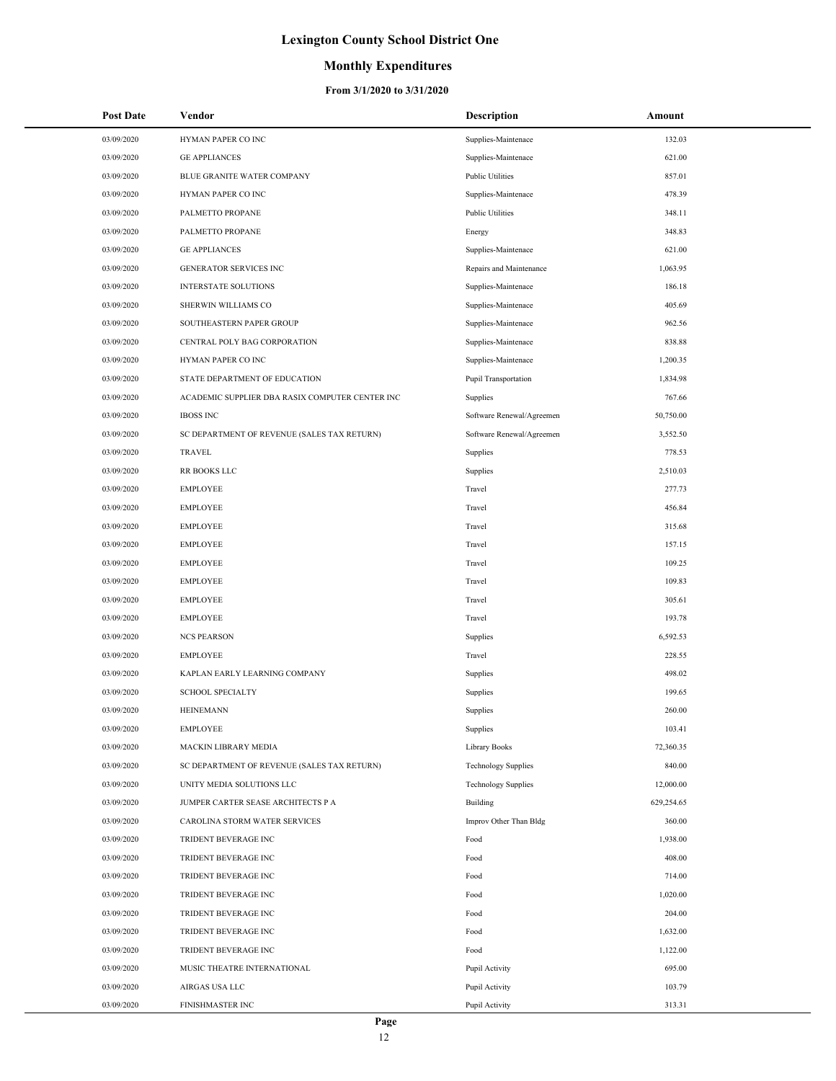## **Monthly Expenditures**

| Post Date  | Vendor                                          | Description                | Amount     |
|------------|-------------------------------------------------|----------------------------|------------|
| 03/09/2020 | HYMAN PAPER CO INC                              | Supplies-Maintenace        | 132.03     |
| 03/09/2020 | <b>GE APPLIANCES</b>                            | Supplies-Maintenace        | 621.00     |
| 03/09/2020 | BLUE GRANITE WATER COMPANY                      | <b>Public Utilities</b>    | 857.01     |
| 03/09/2020 | HYMAN PAPER CO INC                              | Supplies-Maintenace        | 478.39     |
| 03/09/2020 | PALMETTO PROPANE                                | <b>Public Utilities</b>    | 348.11     |
| 03/09/2020 | PALMETTO PROPANE                                | Energy                     | 348.83     |
| 03/09/2020 | <b>GE APPLIANCES</b>                            | Supplies-Maintenace        | 621.00     |
| 03/09/2020 | <b>GENERATOR SERVICES INC</b>                   | Repairs and Maintenance    | 1,063.95   |
| 03/09/2020 | <b>INTERSTATE SOLUTIONS</b>                     | Supplies-Maintenace        | 186.18     |
| 03/09/2020 | SHERWIN WILLIAMS CO                             | Supplies-Maintenace        | 405.69     |
| 03/09/2020 | SOUTHEASTERN PAPER GROUP                        | Supplies-Maintenace        | 962.56     |
| 03/09/2020 | CENTRAL POLY BAG CORPORATION                    | Supplies-Maintenace        | 838.88     |
| 03/09/2020 | HYMAN PAPER CO INC                              | Supplies-Maintenace        | 1,200.35   |
| 03/09/2020 | STATE DEPARTMENT OF EDUCATION                   | Pupil Transportation       | 1,834.98   |
| 03/09/2020 | ACADEMIC SUPPLIER DBA RASIX COMPUTER CENTER INC | Supplies                   | 767.66     |
| 03/09/2020 | <b>IBOSS INC</b>                                | Software Renewal/Agreemen  | 50,750.00  |
| 03/09/2020 | SC DEPARTMENT OF REVENUE (SALES TAX RETURN)     | Software Renewal/Agreemen  | 3,552.50   |
| 03/09/2020 | TRAVEL                                          | Supplies                   | 778.53     |
| 03/09/2020 | RR BOOKS LLC                                    | Supplies                   | 2,510.03   |
| 03/09/2020 | <b>EMPLOYEE</b>                                 | Travel                     | 277.73     |
| 03/09/2020 | <b>EMPLOYEE</b>                                 | Travel                     | 456.84     |
| 03/09/2020 | <b>EMPLOYEE</b>                                 | Travel                     | 315.68     |
| 03/09/2020 | <b>EMPLOYEE</b>                                 | Travel                     | 157.15     |
| 03/09/2020 | <b>EMPLOYEE</b>                                 | Travel                     | 109.25     |
| 03/09/2020 | <b>EMPLOYEE</b>                                 | Travel                     | 109.83     |
| 03/09/2020 | <b>EMPLOYEE</b>                                 | Travel                     | 305.61     |
| 03/09/2020 | <b>EMPLOYEE</b>                                 | Travel                     | 193.78     |
| 03/09/2020 | <b>NCS PEARSON</b>                              | Supplies                   | 6,592.53   |
| 03/09/2020 | <b>EMPLOYEE</b>                                 | Travel                     | 228.55     |
| 03/09/2020 | KAPLAN EARLY LEARNING COMPANY                   | Supplies                   | 498.02     |
| 03/09/2020 | <b>SCHOOL SPECIALTY</b>                         | Supplies                   | 199.65     |
| 03/09/2020 | <b>HEINEMANN</b>                                | Supplies                   | 260.00     |
| 03/09/2020 | <b>EMPLOYEE</b>                                 | Supplies                   | 103.41     |
| 03/09/2020 | MACKIN LIBRARY MEDIA                            | Library Books              | 72,360.35  |
| 03/09/2020 | SC DEPARTMENT OF REVENUE (SALES TAX RETURN)     | <b>Technology Supplies</b> | 840.00     |
| 03/09/2020 | UNITY MEDIA SOLUTIONS LLC                       | <b>Technology Supplies</b> | 12,000.00  |
| 03/09/2020 | JUMPER CARTER SEASE ARCHITECTS P A              | Building                   | 629,254.65 |
| 03/09/2020 | CAROLINA STORM WATER SERVICES                   | Improv Other Than Bldg     | 360.00     |
| 03/09/2020 | TRIDENT BEVERAGE INC                            | Food                       | 1,938.00   |
| 03/09/2020 | TRIDENT BEVERAGE INC                            | Food                       | 408.00     |
| 03/09/2020 | TRIDENT BEVERAGE INC                            | Food                       | 714.00     |
| 03/09/2020 | TRIDENT BEVERAGE INC                            | Food                       | 1,020.00   |
| 03/09/2020 | TRIDENT BEVERAGE INC                            | Food                       | 204.00     |
| 03/09/2020 | TRIDENT BEVERAGE INC                            | Food                       | 1,632.00   |
| 03/09/2020 | TRIDENT BEVERAGE INC                            | Food                       | 1,122.00   |
| 03/09/2020 | MUSIC THEATRE INTERNATIONAL                     | Pupil Activity             | 695.00     |
| 03/09/2020 | AIRGAS USA LLC                                  | Pupil Activity             | 103.79     |
| 03/09/2020 | FINISHMASTER INC                                | Pupil Activity             | 313.31     |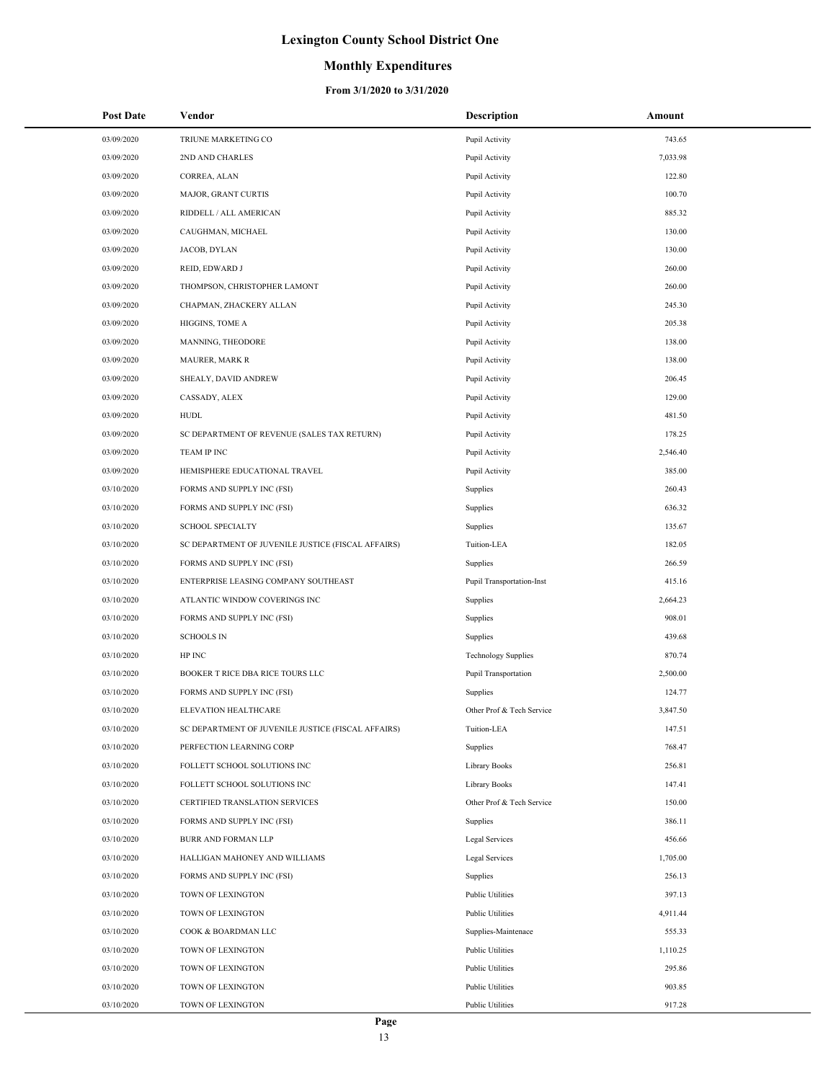### **Monthly Expenditures**

| <b>Post Date</b> | Vendor                                             | <b>Description</b>         | Amount   |
|------------------|----------------------------------------------------|----------------------------|----------|
| 03/09/2020       | TRIUNE MARKETING CO                                | Pupil Activity             | 743.65   |
| 03/09/2020       | 2ND AND CHARLES                                    | Pupil Activity             | 7,033.98 |
| 03/09/2020       | CORREA, ALAN                                       | Pupil Activity             | 122.80   |
| 03/09/2020       | MAJOR, GRANT CURTIS                                | Pupil Activity             | 100.70   |
| 03/09/2020       | RIDDELL / ALL AMERICAN                             | Pupil Activity             | 885.32   |
| 03/09/2020       | CAUGHMAN, MICHAEL                                  | Pupil Activity             | 130.00   |
| 03/09/2020       | JACOB, DYLAN                                       | Pupil Activity             | 130.00   |
| 03/09/2020       | REID, EDWARD J                                     | Pupil Activity             | 260.00   |
| 03/09/2020       | THOMPSON, CHRISTOPHER LAMONT                       | Pupil Activity             | 260.00   |
| 03/09/2020       | CHAPMAN, ZHACKERY ALLAN                            | Pupil Activity             | 245.30   |
| 03/09/2020       | HIGGINS, TOME A                                    | Pupil Activity             | 205.38   |
| 03/09/2020       | MANNING, THEODORE                                  | Pupil Activity             | 138.00   |
| 03/09/2020       | <b>MAURER, MARK R</b>                              | Pupil Activity             | 138.00   |
| 03/09/2020       | SHEALY, DAVID ANDREW                               | Pupil Activity             | 206.45   |
| 03/09/2020       | CASSADY, ALEX                                      | Pupil Activity             | 129.00   |
| 03/09/2020       | <b>HUDL</b>                                        | Pupil Activity             | 481.50   |
| 03/09/2020       | SC DEPARTMENT OF REVENUE (SALES TAX RETURN)        | Pupil Activity             | 178.25   |
| 03/09/2020       | TEAM IP INC                                        | Pupil Activity             | 2,546.40 |
| 03/09/2020       | HEMISPHERE EDUCATIONAL TRAVEL                      | Pupil Activity             | 385.00   |
| 03/10/2020       | FORMS AND SUPPLY INC (FSI)                         | Supplies                   | 260.43   |
| 03/10/2020       | FORMS AND SUPPLY INC (FSI)                         | Supplies                   | 636.32   |
| 03/10/2020       | <b>SCHOOL SPECIALTY</b>                            | Supplies                   | 135.67   |
| 03/10/2020       | SC DEPARTMENT OF JUVENILE JUSTICE (FISCAL AFFAIRS) | Tuition-LEA                | 182.05   |
| 03/10/2020       | FORMS AND SUPPLY INC (FSI)                         | Supplies                   | 266.59   |
| 03/10/2020       | ENTERPRISE LEASING COMPANY SOUTHEAST               | Pupil Transportation-Inst  | 415.16   |
| 03/10/2020       | ATLANTIC WINDOW COVERINGS INC                      | Supplies                   | 2,664.23 |
| 03/10/2020       | FORMS AND SUPPLY INC (FSI)                         | Supplies                   | 908.01   |
| 03/10/2020       | <b>SCHOOLS IN</b>                                  | Supplies                   | 439.68   |
| 03/10/2020       | HP INC                                             | <b>Technology Supplies</b> | 870.74   |
| 03/10/2020       | BOOKER T RICE DBA RICE TOURS LLC                   | Pupil Transportation       | 2,500.00 |
| 03/10/2020       | FORMS AND SUPPLY INC (FSI)                         | Supplies                   | 124.77   |
| 03/10/2020       | ELEVATION HEALTHCARE                               | Other Prof & Tech Service  | 3,847.50 |
| 03/10/2020       | SC DEPARTMENT OF JUVENILE JUSTICE (FISCAL AFFAIRS) | Tuition-LEA                | 147.51   |
| 03/10/2020       | PERFECTION LEARNING CORP                           | Supplies                   | 768.47   |
| 03/10/2020       | FOLLETT SCHOOL SOLUTIONS INC                       | Library Books              | 256.81   |
| 03/10/2020       | FOLLETT SCHOOL SOLUTIONS INC                       | Library Books              | 147.41   |
| 03/10/2020       | CERTIFIED TRANSLATION SERVICES                     | Other Prof & Tech Service  | 150.00   |
| 03/10/2020       | FORMS AND SUPPLY INC (FSI)                         | Supplies                   | 386.11   |
| 03/10/2020       | <b>BURR AND FORMAN LLP</b>                         | Legal Services             | 456.66   |
| 03/10/2020       | HALLIGAN MAHONEY AND WILLIAMS                      | Legal Services             | 1,705.00 |
| 03/10/2020       | FORMS AND SUPPLY INC (FSI)                         | Supplies                   | 256.13   |
| 03/10/2020       | TOWN OF LEXINGTON                                  | <b>Public Utilities</b>    | 397.13   |
| 03/10/2020       | TOWN OF LEXINGTON                                  | <b>Public Utilities</b>    | 4,911.44 |
| 03/10/2020       | COOK & BOARDMAN LLC                                | Supplies-Maintenace        | 555.33   |
| 03/10/2020       | TOWN OF LEXINGTON                                  | <b>Public Utilities</b>    | 1,110.25 |
| 03/10/2020       | TOWN OF LEXINGTON                                  | <b>Public Utilities</b>    | 295.86   |
| 03/10/2020       | TOWN OF LEXINGTON                                  | <b>Public Utilities</b>    | 903.85   |
| 03/10/2020       | TOWN OF LEXINGTON                                  | <b>Public Utilities</b>    | 917.28   |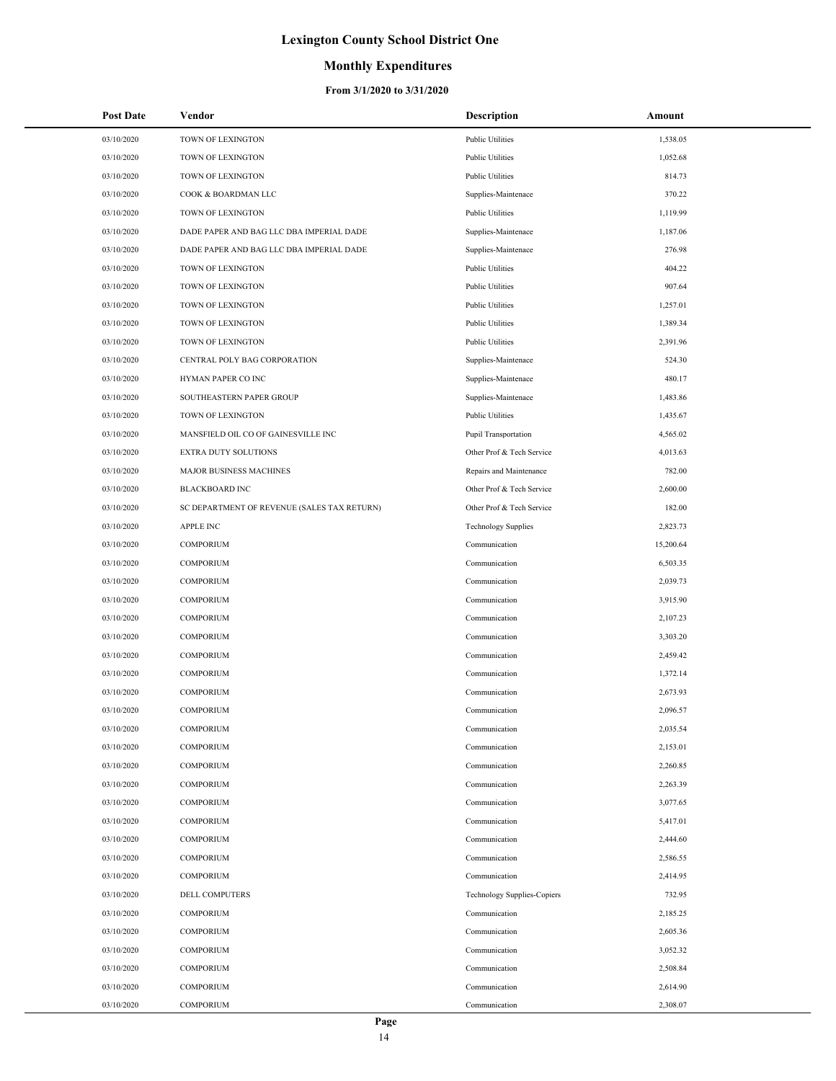## **Monthly Expenditures**

| <b>Post Date</b> | Vendor                                      | <b>Description</b>                 | Amount    |
|------------------|---------------------------------------------|------------------------------------|-----------|
| 03/10/2020       | TOWN OF LEXINGTON                           | <b>Public Utilities</b>            | 1,538.05  |
| 03/10/2020       | TOWN OF LEXINGTON                           | <b>Public Utilities</b>            | 1,052.68  |
| 03/10/2020       | TOWN OF LEXINGTON                           | <b>Public Utilities</b>            | 814.73    |
| 03/10/2020       | COOK & BOARDMAN LLC                         | Supplies-Maintenace                | 370.22    |
| 03/10/2020       | TOWN OF LEXINGTON                           | <b>Public Utilities</b>            | 1,119.99  |
| 03/10/2020       | DADE PAPER AND BAG LLC DBA IMPERIAL DADE    | Supplies-Maintenace                | 1,187.06  |
| 03/10/2020       | DADE PAPER AND BAG LLC DBA IMPERIAL DADE    | Supplies-Maintenace                | 276.98    |
| 03/10/2020       | TOWN OF LEXINGTON                           | <b>Public Utilities</b>            | 404.22    |
| 03/10/2020       | TOWN OF LEXINGTON                           | <b>Public Utilities</b>            | 907.64    |
| 03/10/2020       | TOWN OF LEXINGTON                           | <b>Public Utilities</b>            | 1,257.01  |
| 03/10/2020       | TOWN OF LEXINGTON                           | <b>Public Utilities</b>            | 1,389.34  |
| 03/10/2020       | TOWN OF LEXINGTON                           | <b>Public Utilities</b>            | 2,391.96  |
| 03/10/2020       | CENTRAL POLY BAG CORPORATION                | Supplies-Maintenace                | 524.30    |
| 03/10/2020       | HYMAN PAPER CO INC                          | Supplies-Maintenace                | 480.17    |
| 03/10/2020       | SOUTHEASTERN PAPER GROUP                    | Supplies-Maintenace                | 1,483.86  |
| 03/10/2020       | TOWN OF LEXINGTON                           | <b>Public Utilities</b>            | 1,435.67  |
| 03/10/2020       | MANSFIELD OIL CO OF GAINESVILLE INC         | Pupil Transportation               | 4,565.02  |
| 03/10/2020       | EXTRA DUTY SOLUTIONS                        | Other Prof & Tech Service          | 4,013.63  |
| 03/10/2020       | <b>MAJOR BUSINESS MACHINES</b>              | Repairs and Maintenance            | 782.00    |
| 03/10/2020       | <b>BLACKBOARD INC</b>                       | Other Prof & Tech Service          | 2,600.00  |
| 03/10/2020       | SC DEPARTMENT OF REVENUE (SALES TAX RETURN) | Other Prof & Tech Service          | 182.00    |
| 03/10/2020       | <b>APPLE INC</b>                            | <b>Technology Supplies</b>         | 2,823.73  |
| 03/10/2020       | <b>COMPORIUM</b>                            | Communication                      | 15,200.64 |
| 03/10/2020       | <b>COMPORIUM</b>                            | Communication                      | 6,503.35  |
| 03/10/2020       | <b>COMPORIUM</b>                            | Communication                      | 2,039.73  |
| 03/10/2020       | COMPORIUM                                   | Communication                      | 3,915.90  |
| 03/10/2020       | <b>COMPORIUM</b>                            | Communication                      | 2,107.23  |
| 03/10/2020       | <b>COMPORIUM</b>                            | Communication                      | 3,303.20  |
| 03/10/2020       | COMPORIUM                                   | Communication                      | 2,459.42  |
| 03/10/2020       | <b>COMPORIUM</b>                            | Communication                      | 1,372.14  |
| 03/10/2020       | COMPORIUM                                   | Communication                      | 2,673.93  |
| 03/10/2020       | <b>COMPORIUM</b>                            | Communication                      | 2,096.57  |
| 03/10/2020       | <b>COMPORIUM</b>                            | Communication                      | 2,035.54  |
| 03/10/2020       | <b>COMPORIUM</b>                            | Communication                      | 2,153.01  |
| 03/10/2020       | COMPORIUM                                   | Communication                      | 2,260.85  |
| 03/10/2020       | <b>COMPORIUM</b>                            | Communication                      | 2,263.39  |
| 03/10/2020       | COMPORIUM                                   | Communication                      | 3,077.65  |
| 03/10/2020       | COMPORIUM                                   | Communication                      | 5,417.01  |
| 03/10/2020       | <b>COMPORIUM</b>                            | Communication                      | 2,444.60  |
| 03/10/2020       | COMPORIUM                                   | Communication                      | 2,586.55  |
| 03/10/2020       | COMPORIUM                                   | Communication                      | 2,414.95  |
| 03/10/2020       | <b>DELL COMPUTERS</b>                       | <b>Technology Supplies-Copiers</b> | 732.95    |
| 03/10/2020       | COMPORIUM                                   | Communication                      | 2,185.25  |
| 03/10/2020       | COMPORIUM                                   | Communication                      | 2,605.36  |
| 03/10/2020       | COMPORIUM                                   | Communication                      | 3,052.32  |
| 03/10/2020       | COMPORIUM                                   | Communication                      | 2,508.84  |
| 03/10/2020       | COMPORIUM                                   | Communication                      | 2,614.90  |
| 03/10/2020       | <b>COMPORIUM</b>                            | Communication                      | 2,308.07  |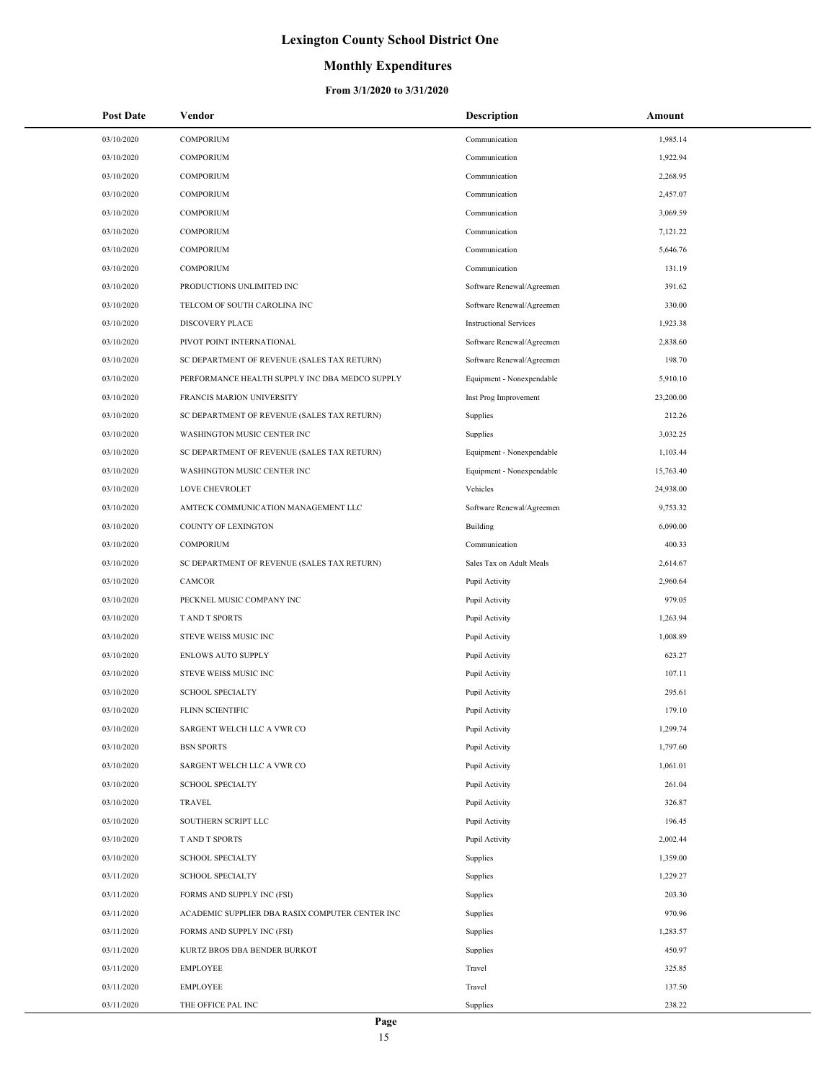### **Monthly Expenditures**

| <b>Post Date</b> | Vendor                                          | <b>Description</b>            | Amount    |
|------------------|-------------------------------------------------|-------------------------------|-----------|
| 03/10/2020       | <b>COMPORIUM</b>                                | Communication                 | 1,985.14  |
| 03/10/2020       | <b>COMPORIUM</b>                                | Communication                 | 1,922.94  |
| 03/10/2020       | <b>COMPORIUM</b>                                | Communication                 | 2,268.95  |
| 03/10/2020       | <b>COMPORIUM</b>                                | Communication                 | 2,457.07  |
| 03/10/2020       | <b>COMPORIUM</b>                                | Communication                 | 3,069.59  |
| 03/10/2020       | <b>COMPORIUM</b>                                | Communication                 | 7,121.22  |
| 03/10/2020       | <b>COMPORIUM</b>                                | Communication                 | 5,646.76  |
| 03/10/2020       | <b>COMPORIUM</b>                                | Communication                 | 131.19    |
| 03/10/2020       | PRODUCTIONS UNLIMITED INC                       | Software Renewal/Agreemen     | 391.62    |
| 03/10/2020       | TELCOM OF SOUTH CAROLINA INC                    | Software Renewal/Agreemen     | 330.00    |
| 03/10/2020       | <b>DISCOVERY PLACE</b>                          | <b>Instructional Services</b> | 1,923.38  |
| 03/10/2020       | PIVOT POINT INTERNATIONAL                       | Software Renewal/Agreemen     | 2,838.60  |
| 03/10/2020       | SC DEPARTMENT OF REVENUE (SALES TAX RETURN)     | Software Renewal/Agreemen     | 198.70    |
| 03/10/2020       | PERFORMANCE HEALTH SUPPLY INC DBA MEDCO SUPPLY  | Equipment - Nonexpendable     | 5,910.10  |
| 03/10/2020       | FRANCIS MARION UNIVERSITY                       | Inst Prog Improvement         | 23,200.00 |
| 03/10/2020       | SC DEPARTMENT OF REVENUE (SALES TAX RETURN)     | Supplies                      | 212.26    |
| 03/10/2020       | WASHINGTON MUSIC CENTER INC                     | Supplies                      | 3,032.25  |
| 03/10/2020       | SC DEPARTMENT OF REVENUE (SALES TAX RETURN)     | Equipment - Nonexpendable     | 1,103.44  |
| 03/10/2020       | WASHINGTON MUSIC CENTER INC                     | Equipment - Nonexpendable     | 15,763.40 |
| 03/10/2020       | LOVE CHEVROLET                                  | Vehicles                      | 24,938.00 |
| 03/10/2020       | AMTECK COMMUNICATION MANAGEMENT LLC             | Software Renewal/Agreemen     | 9,753.32  |
| 03/10/2020       | COUNTY OF LEXINGTON                             | Building                      | 6,090.00  |
| 03/10/2020       | <b>COMPORIUM</b>                                | Communication                 | 400.33    |
| 03/10/2020       | SC DEPARTMENT OF REVENUE (SALES TAX RETURN)     | Sales Tax on Adult Meals      | 2,614.67  |
| 03/10/2020       | CAMCOR                                          | Pupil Activity                | 2,960.64  |
| 03/10/2020       | PECKNEL MUSIC COMPANY INC                       | Pupil Activity                | 979.05    |
| 03/10/2020       | <b>TAND T SPORTS</b>                            | Pupil Activity                | 1,263.94  |
| 03/10/2020       | STEVE WEISS MUSIC INC                           | Pupil Activity                | 1,008.89  |
| 03/10/2020       | <b>ENLOWS AUTO SUPPLY</b>                       | Pupil Activity                | 623.27    |
| 03/10/2020       | STEVE WEISS MUSIC INC                           | Pupil Activity                | 107.11    |
| 03/10/2020       | <b>SCHOOL SPECIALTY</b>                         | Pupil Activity                | 295.61    |
| 03/10/2020       | FLINN SCIENTIFIC                                | Pupil Activity                | 179.10    |
| 03/10/2020       | SARGENT WELCH LLC A VWR CO                      | Pupil Activity                | 1,299.74  |
| 03/10/2020       | <b>BSN SPORTS</b>                               | Pupil Activity                | 1,797.60  |
| 03/10/2020       | SARGENT WELCH LLC A VWR CO                      | Pupil Activity                | 1,061.01  |
| 03/10/2020       | <b>SCHOOL SPECIALTY</b>                         | Pupil Activity                | 261.04    |
| 03/10/2020       | TRAVEL                                          | Pupil Activity                | 326.87    |
| 03/10/2020       | SOUTHERN SCRIPT LLC                             | Pupil Activity                | 196.45    |
| 03/10/2020       | T AND T SPORTS                                  | Pupil Activity                | 2,002.44  |
| 03/10/2020       | <b>SCHOOL SPECIALTY</b>                         | Supplies                      | 1,359.00  |
| 03/11/2020       | <b>SCHOOL SPECIALTY</b>                         | Supplies                      | 1,229.27  |
| 03/11/2020       | FORMS AND SUPPLY INC (FSI)                      | Supplies                      | 203.30    |
| 03/11/2020       | ACADEMIC SUPPLIER DBA RASIX COMPUTER CENTER INC | Supplies                      | 970.96    |
| 03/11/2020       | FORMS AND SUPPLY INC (FSI)                      | Supplies                      | 1,283.57  |
| 03/11/2020       | KURTZ BROS DBA BENDER BURKOT                    | Supplies                      | 450.97    |
| 03/11/2020       | <b>EMPLOYEE</b>                                 | Travel                        | 325.85    |
| 03/11/2020       | <b>EMPLOYEE</b>                                 | Travel                        | 137.50    |
| 03/11/2020       | THE OFFICE PAL INC                              | Supplies                      | 238.22    |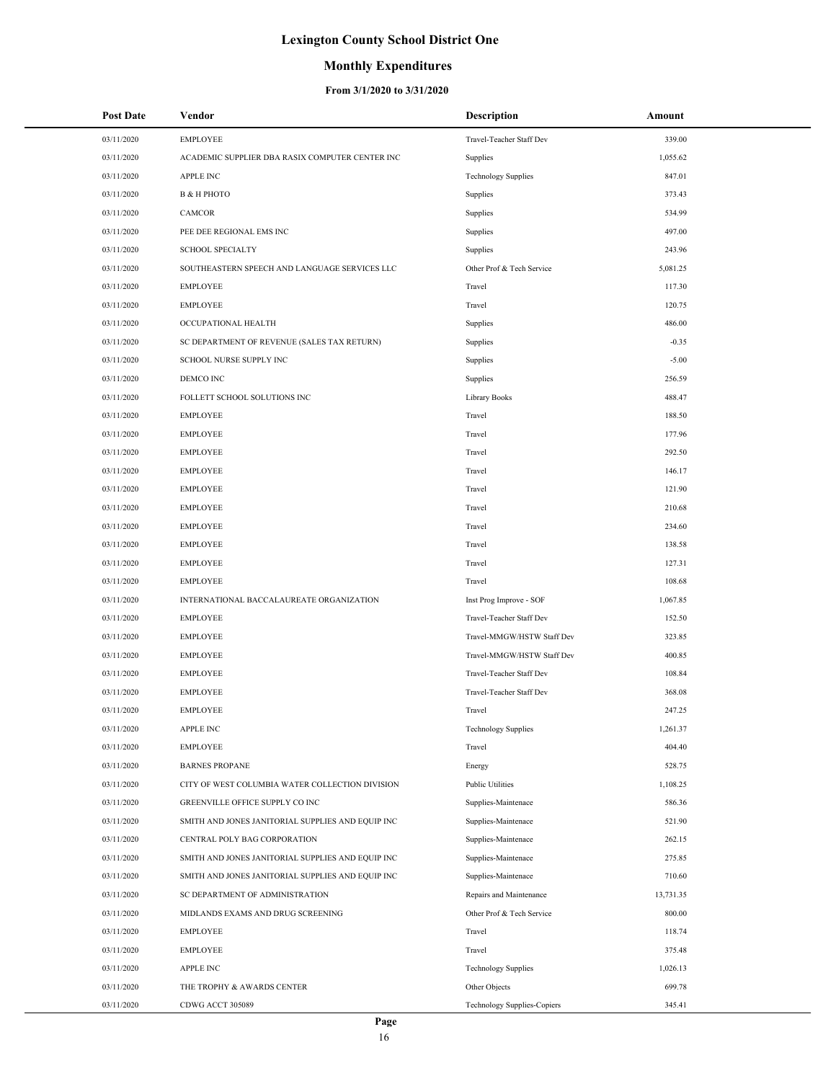## **Monthly Expenditures**

| <b>Post Date</b> | Vendor                                            | <b>Description</b>          | Amount    |
|------------------|---------------------------------------------------|-----------------------------|-----------|
| 03/11/2020       | <b>EMPLOYEE</b>                                   | Travel-Teacher Staff Dev    | 339.00    |
| 03/11/2020       | ACADEMIC SUPPLIER DBA RASIX COMPUTER CENTER INC   | Supplies                    | 1,055.62  |
| 03/11/2020       | <b>APPLE INC</b>                                  | <b>Technology Supplies</b>  | 847.01    |
| 03/11/2020       | <b>B &amp; H PHOTO</b>                            | Supplies                    | 373.43    |
| 03/11/2020       | CAMCOR                                            | Supplies                    | 534.99    |
| 03/11/2020       | PEE DEE REGIONAL EMS INC                          | Supplies                    | 497.00    |
| 03/11/2020       | <b>SCHOOL SPECIALTY</b>                           | Supplies                    | 243.96    |
| 03/11/2020       | SOUTHEASTERN SPEECH AND LANGUAGE SERVICES LLC     | Other Prof & Tech Service   | 5,081.25  |
| 03/11/2020       | <b>EMPLOYEE</b>                                   | Travel                      | 117.30    |
| 03/11/2020       | <b>EMPLOYEE</b>                                   | Travel                      | 120.75    |
| 03/11/2020       | OCCUPATIONAL HEALTH                               | Supplies                    | 486.00    |
| 03/11/2020       | SC DEPARTMENT OF REVENUE (SALES TAX RETURN)       | Supplies                    | $-0.35$   |
| 03/11/2020       | SCHOOL NURSE SUPPLY INC                           | Supplies                    | $-5.00$   |
| 03/11/2020       | DEMCO INC                                         | Supplies                    | 256.59    |
| 03/11/2020       | FOLLETT SCHOOL SOLUTIONS INC                      | <b>Library Books</b>        | 488.47    |
| 03/11/2020       | <b>EMPLOYEE</b>                                   | Travel                      | 188.50    |
| 03/11/2020       | <b>EMPLOYEE</b>                                   | Travel                      | 177.96    |
| 03/11/2020       | <b>EMPLOYEE</b>                                   | Travel                      | 292.50    |
| 03/11/2020       | <b>EMPLOYEE</b>                                   | Travel                      | 146.17    |
| 03/11/2020       | <b>EMPLOYEE</b>                                   | Travel                      | 121.90    |
| 03/11/2020       | <b>EMPLOYEE</b>                                   | Travel                      | 210.68    |
| 03/11/2020       | <b>EMPLOYEE</b>                                   | Travel                      | 234.60    |
| 03/11/2020       | <b>EMPLOYEE</b>                                   | Travel                      | 138.58    |
| 03/11/2020       | <b>EMPLOYEE</b>                                   | Travel                      | 127.31    |
| 03/11/2020       | <b>EMPLOYEE</b>                                   | Travel                      | 108.68    |
| 03/11/2020       | INTERNATIONAL BACCALAUREATE ORGANIZATION          | Inst Prog Improve - SOF     | 1,067.85  |
| 03/11/2020       | <b>EMPLOYEE</b>                                   | Travel-Teacher Staff Dev    | 152.50    |
| 03/11/2020       | <b>EMPLOYEE</b>                                   | Travel-MMGW/HSTW Staff Dev  | 323.85    |
| 03/11/2020       | <b>EMPLOYEE</b>                                   | Travel-MMGW/HSTW Staff Dev  | 400.85    |
| 03/11/2020       | <b>EMPLOYEE</b>                                   | Travel-Teacher Staff Dev    | 108.84    |
| 03/11/2020       | <b>EMPLOYEE</b>                                   | Travel-Teacher Staff Dev    | 368.08    |
| 03/11/2020       | <b>EMPLOYEE</b>                                   | Travel                      | 247.25    |
| 03/11/2020       | <b>APPLE INC</b>                                  | <b>Technology Supplies</b>  | 1,261.37  |
| 03/11/2020       | <b>EMPLOYEE</b>                                   | Travel                      | 404.40    |
| 03/11/2020       | <b>BARNES PROPANE</b>                             | Energy                      | 528.75    |
| 03/11/2020       | CITY OF WEST COLUMBIA WATER COLLECTION DIVISION   | <b>Public Utilities</b>     | 1,108.25  |
| 03/11/2020       | GREENVILLE OFFICE SUPPLY CO INC                   | Supplies-Maintenace         | 586.36    |
| 03/11/2020       | SMITH AND JONES JANITORIAL SUPPLIES AND EQUIP INC | Supplies-Maintenace         | 521.90    |
| 03/11/2020       | CENTRAL POLY BAG CORPORATION                      | Supplies-Maintenace         | 262.15    |
| 03/11/2020       | SMITH AND JONES JANITORIAL SUPPLIES AND EQUIP INC | Supplies-Maintenace         | 275.85    |
| 03/11/2020       | SMITH AND JONES JANITORIAL SUPPLIES AND EQUIP INC | Supplies-Maintenace         | 710.60    |
| 03/11/2020       | SC DEPARTMENT OF ADMINISTRATION                   | Repairs and Maintenance     | 13,731.35 |
| 03/11/2020       | MIDLANDS EXAMS AND DRUG SCREENING                 | Other Prof & Tech Service   | 800.00    |
| 03/11/2020       | <b>EMPLOYEE</b>                                   | Travel                      | 118.74    |
| 03/11/2020       | <b>EMPLOYEE</b>                                   | Travel                      | 375.48    |
| 03/11/2020       | <b>APPLE INC</b>                                  | <b>Technology Supplies</b>  | 1,026.13  |
| 03/11/2020       | THE TROPHY & AWARDS CENTER                        | Other Objects               | 699.78    |
| 03/11/2020       | CDWG ACCT 305089                                  | Technology Supplies-Copiers | 345.41    |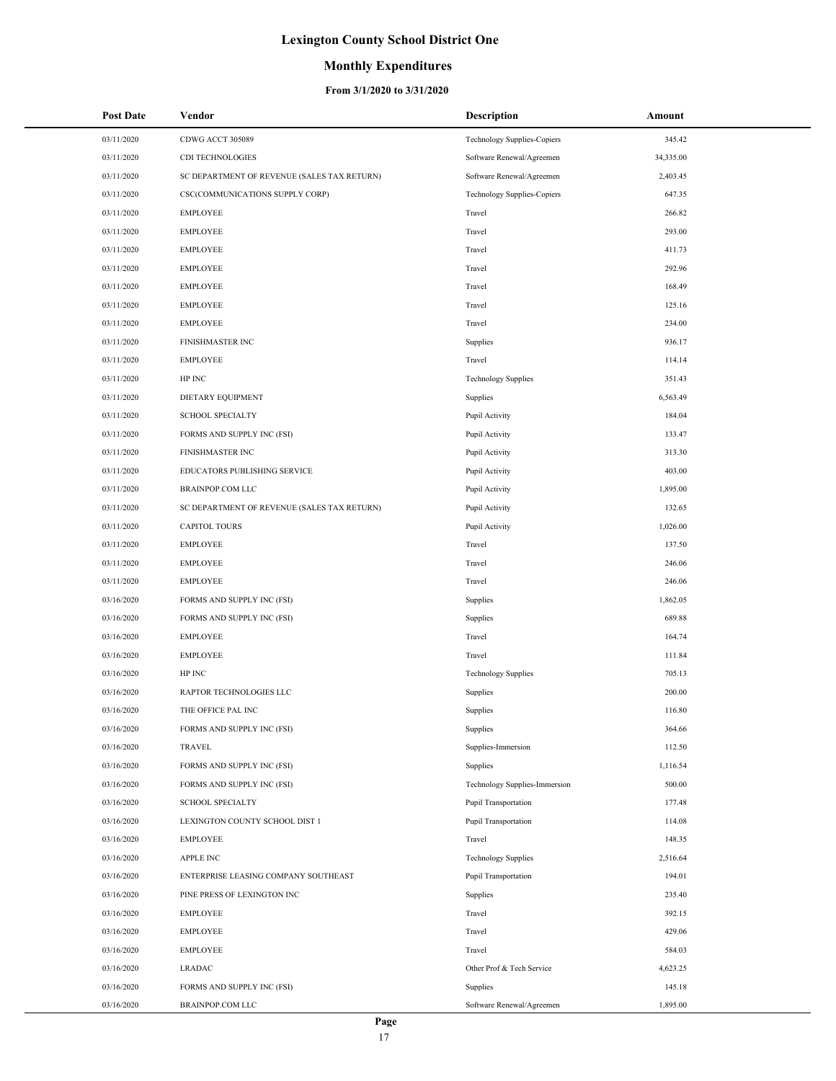## **Monthly Expenditures**

| 03/11/2020<br>CDWG ACCT 305089<br><b>Technology Supplies-Copiers</b><br>345.42<br>03/11/2020<br>CDI TECHNOLOGIES<br>34,335.00<br>Software Renewal/Agreemen<br>03/11/2020<br>SC DEPARTMENT OF REVENUE (SALES TAX RETURN)<br>Software Renewal/Agreemen<br>2,403.45<br>03/11/2020<br>CSC(COMMUNICATIONS SUPPLY CORP)<br>Technology Supplies-Copiers<br>647.35<br>03/11/2020<br><b>EMPLOYEE</b><br>Travel<br>266.82<br>03/11/2020<br><b>EMPLOYEE</b><br>Travel<br>293.00<br>03/11/2020<br><b>EMPLOYEE</b><br>Travel<br>411.73<br>03/11/2020<br><b>EMPLOYEE</b><br>Travel<br>292.96<br>03/11/2020<br><b>EMPLOYEE</b><br>Travel<br>168.49<br>03/11/2020<br><b>EMPLOYEE</b><br>Travel<br>125.16<br>03/11/2020<br><b>EMPLOYEE</b><br>234.00<br>Travel<br>03/11/2020<br>FINISHMASTER INC<br>936.17<br>Supplies<br>03/11/2020<br><b>EMPLOYEE</b><br>Travel<br>114.14<br>03/11/2020<br>HP INC<br><b>Technology Supplies</b><br>351.43<br>03/11/2020<br>DIETARY EQUIPMENT<br>Supplies<br>6,563.49<br>03/11/2020<br><b>SCHOOL SPECIALTY</b><br>Pupil Activity<br>184.04<br>03/11/2020<br>FORMS AND SUPPLY INC (FSI)<br>133.47<br>Pupil Activity<br>03/11/2020<br>FINISHMASTER INC<br>313.30<br>Pupil Activity<br>03/11/2020<br>EDUCATORS PUBLISHING SERVICE<br>403.00<br>Pupil Activity<br>03/11/2020<br><b>BRAINPOP.COM LLC</b><br>1,895.00<br>Pupil Activity<br>03/11/2020<br>SC DEPARTMENT OF REVENUE (SALES TAX RETURN)<br>Pupil Activity<br>132.65<br>03/11/2020<br><b>CAPITOL TOURS</b><br>Pupil Activity<br>1,026.00<br>03/11/2020<br><b>EMPLOYEE</b><br>Travel<br>137.50<br>03/11/2020<br><b>EMPLOYEE</b><br>Travel<br>246.06<br>03/11/2020<br><b>EMPLOYEE</b><br>Travel<br>246.06<br>03/16/2020<br>FORMS AND SUPPLY INC (FSI)<br>1,862.05<br>Supplies<br>689.88<br>03/16/2020<br>FORMS AND SUPPLY INC (FSI)<br>Supplies<br>03/16/2020<br><b>EMPLOYEE</b><br>Travel<br>164.74<br>03/16/2020<br><b>EMPLOYEE</b><br>Travel<br>111.84<br>03/16/2020<br>HP INC<br><b>Technology Supplies</b><br>705.13<br>RAPTOR TECHNOLOGIES LLC<br>Supplies<br>200.00<br>03/16/2020<br>03/16/2020<br>THE OFFICE PAL INC<br>116.80<br>Supplies<br>03/16/2020<br>364.66<br>FORMS AND SUPPLY INC (FSI)<br>Supplies<br>03/16/2020<br><b>TRAVEL</b><br>Supplies-Immersion<br>112.50<br>03/16/2020<br>FORMS AND SUPPLY INC (FSI)<br>Supplies<br>1,116.54<br>03/16/2020<br>FORMS AND SUPPLY INC (FSI)<br>Technology Supplies-Immersion<br>500.00<br>03/16/2020<br><b>SCHOOL SPECIALTY</b><br>Pupil Transportation<br>177.48<br>03/16/2020<br>LEXINGTON COUNTY SCHOOL DIST 1<br>Pupil Transportation<br>114.08<br>03/16/2020<br><b>EMPLOYEE</b><br>Travel<br>148.35<br>03/16/2020<br><b>APPLE INC</b><br><b>Technology Supplies</b><br>2,516.64<br>03/16/2020<br>ENTERPRISE LEASING COMPANY SOUTHEAST<br>Pupil Transportation<br>194.01<br>03/16/2020<br>PINE PRESS OF LEXINGTON INC<br>235.40<br>Supplies<br>03/16/2020<br>Travel<br>392.15<br>EMPLOYEE<br>03/16/2020<br><b>EMPLOYEE</b><br>Travel<br>429.06<br>03/16/2020<br><b>EMPLOYEE</b><br>Travel<br>584.03<br>03/16/2020<br><b>LRADAC</b><br>Other Prof & Tech Service<br>4,623.25<br>03/16/2020<br>FORMS AND SUPPLY INC (FSI)<br>145.18<br>Supplies<br>03/16/2020<br>1,895.00<br><b>BRAINPOP.COM LLC</b><br>Software Renewal/Agreemen | <b>Post Date</b> | Vendor | <b>Description</b> | Amount |
|-----------------------------------------------------------------------------------------------------------------------------------------------------------------------------------------------------------------------------------------------------------------------------------------------------------------------------------------------------------------------------------------------------------------------------------------------------------------------------------------------------------------------------------------------------------------------------------------------------------------------------------------------------------------------------------------------------------------------------------------------------------------------------------------------------------------------------------------------------------------------------------------------------------------------------------------------------------------------------------------------------------------------------------------------------------------------------------------------------------------------------------------------------------------------------------------------------------------------------------------------------------------------------------------------------------------------------------------------------------------------------------------------------------------------------------------------------------------------------------------------------------------------------------------------------------------------------------------------------------------------------------------------------------------------------------------------------------------------------------------------------------------------------------------------------------------------------------------------------------------------------------------------------------------------------------------------------------------------------------------------------------------------------------------------------------------------------------------------------------------------------------------------------------------------------------------------------------------------------------------------------------------------------------------------------------------------------------------------------------------------------------------------------------------------------------------------------------------------------------------------------------------------------------------------------------------------------------------------------------------------------------------------------------------------------------------------------------------------------------------------------------------------------------------------------------------------------------------------------------------------------------------------------------------------------------------------------------------------------------------------------------------------------------------------------------------------------------------------------------------------------------------------------------------------------------------------------------------------------------------------------------------|------------------|--------|--------------------|--------|
|                                                                                                                                                                                                                                                                                                                                                                                                                                                                                                                                                                                                                                                                                                                                                                                                                                                                                                                                                                                                                                                                                                                                                                                                                                                                                                                                                                                                                                                                                                                                                                                                                                                                                                                                                                                                                                                                                                                                                                                                                                                                                                                                                                                                                                                                                                                                                                                                                                                                                                                                                                                                                                                                                                                                                                                                                                                                                                                                                                                                                                                                                                                                                                                                                                                                 |                  |        |                    |        |
|                                                                                                                                                                                                                                                                                                                                                                                                                                                                                                                                                                                                                                                                                                                                                                                                                                                                                                                                                                                                                                                                                                                                                                                                                                                                                                                                                                                                                                                                                                                                                                                                                                                                                                                                                                                                                                                                                                                                                                                                                                                                                                                                                                                                                                                                                                                                                                                                                                                                                                                                                                                                                                                                                                                                                                                                                                                                                                                                                                                                                                                                                                                                                                                                                                                                 |                  |        |                    |        |
|                                                                                                                                                                                                                                                                                                                                                                                                                                                                                                                                                                                                                                                                                                                                                                                                                                                                                                                                                                                                                                                                                                                                                                                                                                                                                                                                                                                                                                                                                                                                                                                                                                                                                                                                                                                                                                                                                                                                                                                                                                                                                                                                                                                                                                                                                                                                                                                                                                                                                                                                                                                                                                                                                                                                                                                                                                                                                                                                                                                                                                                                                                                                                                                                                                                                 |                  |        |                    |        |
|                                                                                                                                                                                                                                                                                                                                                                                                                                                                                                                                                                                                                                                                                                                                                                                                                                                                                                                                                                                                                                                                                                                                                                                                                                                                                                                                                                                                                                                                                                                                                                                                                                                                                                                                                                                                                                                                                                                                                                                                                                                                                                                                                                                                                                                                                                                                                                                                                                                                                                                                                                                                                                                                                                                                                                                                                                                                                                                                                                                                                                                                                                                                                                                                                                                                 |                  |        |                    |        |
|                                                                                                                                                                                                                                                                                                                                                                                                                                                                                                                                                                                                                                                                                                                                                                                                                                                                                                                                                                                                                                                                                                                                                                                                                                                                                                                                                                                                                                                                                                                                                                                                                                                                                                                                                                                                                                                                                                                                                                                                                                                                                                                                                                                                                                                                                                                                                                                                                                                                                                                                                                                                                                                                                                                                                                                                                                                                                                                                                                                                                                                                                                                                                                                                                                                                 |                  |        |                    |        |
|                                                                                                                                                                                                                                                                                                                                                                                                                                                                                                                                                                                                                                                                                                                                                                                                                                                                                                                                                                                                                                                                                                                                                                                                                                                                                                                                                                                                                                                                                                                                                                                                                                                                                                                                                                                                                                                                                                                                                                                                                                                                                                                                                                                                                                                                                                                                                                                                                                                                                                                                                                                                                                                                                                                                                                                                                                                                                                                                                                                                                                                                                                                                                                                                                                                                 |                  |        |                    |        |
|                                                                                                                                                                                                                                                                                                                                                                                                                                                                                                                                                                                                                                                                                                                                                                                                                                                                                                                                                                                                                                                                                                                                                                                                                                                                                                                                                                                                                                                                                                                                                                                                                                                                                                                                                                                                                                                                                                                                                                                                                                                                                                                                                                                                                                                                                                                                                                                                                                                                                                                                                                                                                                                                                                                                                                                                                                                                                                                                                                                                                                                                                                                                                                                                                                                                 |                  |        |                    |        |
|                                                                                                                                                                                                                                                                                                                                                                                                                                                                                                                                                                                                                                                                                                                                                                                                                                                                                                                                                                                                                                                                                                                                                                                                                                                                                                                                                                                                                                                                                                                                                                                                                                                                                                                                                                                                                                                                                                                                                                                                                                                                                                                                                                                                                                                                                                                                                                                                                                                                                                                                                                                                                                                                                                                                                                                                                                                                                                                                                                                                                                                                                                                                                                                                                                                                 |                  |        |                    |        |
|                                                                                                                                                                                                                                                                                                                                                                                                                                                                                                                                                                                                                                                                                                                                                                                                                                                                                                                                                                                                                                                                                                                                                                                                                                                                                                                                                                                                                                                                                                                                                                                                                                                                                                                                                                                                                                                                                                                                                                                                                                                                                                                                                                                                                                                                                                                                                                                                                                                                                                                                                                                                                                                                                                                                                                                                                                                                                                                                                                                                                                                                                                                                                                                                                                                                 |                  |        |                    |        |
|                                                                                                                                                                                                                                                                                                                                                                                                                                                                                                                                                                                                                                                                                                                                                                                                                                                                                                                                                                                                                                                                                                                                                                                                                                                                                                                                                                                                                                                                                                                                                                                                                                                                                                                                                                                                                                                                                                                                                                                                                                                                                                                                                                                                                                                                                                                                                                                                                                                                                                                                                                                                                                                                                                                                                                                                                                                                                                                                                                                                                                                                                                                                                                                                                                                                 |                  |        |                    |        |
|                                                                                                                                                                                                                                                                                                                                                                                                                                                                                                                                                                                                                                                                                                                                                                                                                                                                                                                                                                                                                                                                                                                                                                                                                                                                                                                                                                                                                                                                                                                                                                                                                                                                                                                                                                                                                                                                                                                                                                                                                                                                                                                                                                                                                                                                                                                                                                                                                                                                                                                                                                                                                                                                                                                                                                                                                                                                                                                                                                                                                                                                                                                                                                                                                                                                 |                  |        |                    |        |
|                                                                                                                                                                                                                                                                                                                                                                                                                                                                                                                                                                                                                                                                                                                                                                                                                                                                                                                                                                                                                                                                                                                                                                                                                                                                                                                                                                                                                                                                                                                                                                                                                                                                                                                                                                                                                                                                                                                                                                                                                                                                                                                                                                                                                                                                                                                                                                                                                                                                                                                                                                                                                                                                                                                                                                                                                                                                                                                                                                                                                                                                                                                                                                                                                                                                 |                  |        |                    |        |
|                                                                                                                                                                                                                                                                                                                                                                                                                                                                                                                                                                                                                                                                                                                                                                                                                                                                                                                                                                                                                                                                                                                                                                                                                                                                                                                                                                                                                                                                                                                                                                                                                                                                                                                                                                                                                                                                                                                                                                                                                                                                                                                                                                                                                                                                                                                                                                                                                                                                                                                                                                                                                                                                                                                                                                                                                                                                                                                                                                                                                                                                                                                                                                                                                                                                 |                  |        |                    |        |
|                                                                                                                                                                                                                                                                                                                                                                                                                                                                                                                                                                                                                                                                                                                                                                                                                                                                                                                                                                                                                                                                                                                                                                                                                                                                                                                                                                                                                                                                                                                                                                                                                                                                                                                                                                                                                                                                                                                                                                                                                                                                                                                                                                                                                                                                                                                                                                                                                                                                                                                                                                                                                                                                                                                                                                                                                                                                                                                                                                                                                                                                                                                                                                                                                                                                 |                  |        |                    |        |
|                                                                                                                                                                                                                                                                                                                                                                                                                                                                                                                                                                                                                                                                                                                                                                                                                                                                                                                                                                                                                                                                                                                                                                                                                                                                                                                                                                                                                                                                                                                                                                                                                                                                                                                                                                                                                                                                                                                                                                                                                                                                                                                                                                                                                                                                                                                                                                                                                                                                                                                                                                                                                                                                                                                                                                                                                                                                                                                                                                                                                                                                                                                                                                                                                                                                 |                  |        |                    |        |
|                                                                                                                                                                                                                                                                                                                                                                                                                                                                                                                                                                                                                                                                                                                                                                                                                                                                                                                                                                                                                                                                                                                                                                                                                                                                                                                                                                                                                                                                                                                                                                                                                                                                                                                                                                                                                                                                                                                                                                                                                                                                                                                                                                                                                                                                                                                                                                                                                                                                                                                                                                                                                                                                                                                                                                                                                                                                                                                                                                                                                                                                                                                                                                                                                                                                 |                  |        |                    |        |
|                                                                                                                                                                                                                                                                                                                                                                                                                                                                                                                                                                                                                                                                                                                                                                                                                                                                                                                                                                                                                                                                                                                                                                                                                                                                                                                                                                                                                                                                                                                                                                                                                                                                                                                                                                                                                                                                                                                                                                                                                                                                                                                                                                                                                                                                                                                                                                                                                                                                                                                                                                                                                                                                                                                                                                                                                                                                                                                                                                                                                                                                                                                                                                                                                                                                 |                  |        |                    |        |
|                                                                                                                                                                                                                                                                                                                                                                                                                                                                                                                                                                                                                                                                                                                                                                                                                                                                                                                                                                                                                                                                                                                                                                                                                                                                                                                                                                                                                                                                                                                                                                                                                                                                                                                                                                                                                                                                                                                                                                                                                                                                                                                                                                                                                                                                                                                                                                                                                                                                                                                                                                                                                                                                                                                                                                                                                                                                                                                                                                                                                                                                                                                                                                                                                                                                 |                  |        |                    |        |
|                                                                                                                                                                                                                                                                                                                                                                                                                                                                                                                                                                                                                                                                                                                                                                                                                                                                                                                                                                                                                                                                                                                                                                                                                                                                                                                                                                                                                                                                                                                                                                                                                                                                                                                                                                                                                                                                                                                                                                                                                                                                                                                                                                                                                                                                                                                                                                                                                                                                                                                                                                                                                                                                                                                                                                                                                                                                                                                                                                                                                                                                                                                                                                                                                                                                 |                  |        |                    |        |
|                                                                                                                                                                                                                                                                                                                                                                                                                                                                                                                                                                                                                                                                                                                                                                                                                                                                                                                                                                                                                                                                                                                                                                                                                                                                                                                                                                                                                                                                                                                                                                                                                                                                                                                                                                                                                                                                                                                                                                                                                                                                                                                                                                                                                                                                                                                                                                                                                                                                                                                                                                                                                                                                                                                                                                                                                                                                                                                                                                                                                                                                                                                                                                                                                                                                 |                  |        |                    |        |
|                                                                                                                                                                                                                                                                                                                                                                                                                                                                                                                                                                                                                                                                                                                                                                                                                                                                                                                                                                                                                                                                                                                                                                                                                                                                                                                                                                                                                                                                                                                                                                                                                                                                                                                                                                                                                                                                                                                                                                                                                                                                                                                                                                                                                                                                                                                                                                                                                                                                                                                                                                                                                                                                                                                                                                                                                                                                                                                                                                                                                                                                                                                                                                                                                                                                 |                  |        |                    |        |
|                                                                                                                                                                                                                                                                                                                                                                                                                                                                                                                                                                                                                                                                                                                                                                                                                                                                                                                                                                                                                                                                                                                                                                                                                                                                                                                                                                                                                                                                                                                                                                                                                                                                                                                                                                                                                                                                                                                                                                                                                                                                                                                                                                                                                                                                                                                                                                                                                                                                                                                                                                                                                                                                                                                                                                                                                                                                                                                                                                                                                                                                                                                                                                                                                                                                 |                  |        |                    |        |
|                                                                                                                                                                                                                                                                                                                                                                                                                                                                                                                                                                                                                                                                                                                                                                                                                                                                                                                                                                                                                                                                                                                                                                                                                                                                                                                                                                                                                                                                                                                                                                                                                                                                                                                                                                                                                                                                                                                                                                                                                                                                                                                                                                                                                                                                                                                                                                                                                                                                                                                                                                                                                                                                                                                                                                                                                                                                                                                                                                                                                                                                                                                                                                                                                                                                 |                  |        |                    |        |
|                                                                                                                                                                                                                                                                                                                                                                                                                                                                                                                                                                                                                                                                                                                                                                                                                                                                                                                                                                                                                                                                                                                                                                                                                                                                                                                                                                                                                                                                                                                                                                                                                                                                                                                                                                                                                                                                                                                                                                                                                                                                                                                                                                                                                                                                                                                                                                                                                                                                                                                                                                                                                                                                                                                                                                                                                                                                                                                                                                                                                                                                                                                                                                                                                                                                 |                  |        |                    |        |
|                                                                                                                                                                                                                                                                                                                                                                                                                                                                                                                                                                                                                                                                                                                                                                                                                                                                                                                                                                                                                                                                                                                                                                                                                                                                                                                                                                                                                                                                                                                                                                                                                                                                                                                                                                                                                                                                                                                                                                                                                                                                                                                                                                                                                                                                                                                                                                                                                                                                                                                                                                                                                                                                                                                                                                                                                                                                                                                                                                                                                                                                                                                                                                                                                                                                 |                  |        |                    |        |
|                                                                                                                                                                                                                                                                                                                                                                                                                                                                                                                                                                                                                                                                                                                                                                                                                                                                                                                                                                                                                                                                                                                                                                                                                                                                                                                                                                                                                                                                                                                                                                                                                                                                                                                                                                                                                                                                                                                                                                                                                                                                                                                                                                                                                                                                                                                                                                                                                                                                                                                                                                                                                                                                                                                                                                                                                                                                                                                                                                                                                                                                                                                                                                                                                                                                 |                  |        |                    |        |
|                                                                                                                                                                                                                                                                                                                                                                                                                                                                                                                                                                                                                                                                                                                                                                                                                                                                                                                                                                                                                                                                                                                                                                                                                                                                                                                                                                                                                                                                                                                                                                                                                                                                                                                                                                                                                                                                                                                                                                                                                                                                                                                                                                                                                                                                                                                                                                                                                                                                                                                                                                                                                                                                                                                                                                                                                                                                                                                                                                                                                                                                                                                                                                                                                                                                 |                  |        |                    |        |
|                                                                                                                                                                                                                                                                                                                                                                                                                                                                                                                                                                                                                                                                                                                                                                                                                                                                                                                                                                                                                                                                                                                                                                                                                                                                                                                                                                                                                                                                                                                                                                                                                                                                                                                                                                                                                                                                                                                                                                                                                                                                                                                                                                                                                                                                                                                                                                                                                                                                                                                                                                                                                                                                                                                                                                                                                                                                                                                                                                                                                                                                                                                                                                                                                                                                 |                  |        |                    |        |
|                                                                                                                                                                                                                                                                                                                                                                                                                                                                                                                                                                                                                                                                                                                                                                                                                                                                                                                                                                                                                                                                                                                                                                                                                                                                                                                                                                                                                                                                                                                                                                                                                                                                                                                                                                                                                                                                                                                                                                                                                                                                                                                                                                                                                                                                                                                                                                                                                                                                                                                                                                                                                                                                                                                                                                                                                                                                                                                                                                                                                                                                                                                                                                                                                                                                 |                  |        |                    |        |
|                                                                                                                                                                                                                                                                                                                                                                                                                                                                                                                                                                                                                                                                                                                                                                                                                                                                                                                                                                                                                                                                                                                                                                                                                                                                                                                                                                                                                                                                                                                                                                                                                                                                                                                                                                                                                                                                                                                                                                                                                                                                                                                                                                                                                                                                                                                                                                                                                                                                                                                                                                                                                                                                                                                                                                                                                                                                                                                                                                                                                                                                                                                                                                                                                                                                 |                  |        |                    |        |
|                                                                                                                                                                                                                                                                                                                                                                                                                                                                                                                                                                                                                                                                                                                                                                                                                                                                                                                                                                                                                                                                                                                                                                                                                                                                                                                                                                                                                                                                                                                                                                                                                                                                                                                                                                                                                                                                                                                                                                                                                                                                                                                                                                                                                                                                                                                                                                                                                                                                                                                                                                                                                                                                                                                                                                                                                                                                                                                                                                                                                                                                                                                                                                                                                                                                 |                  |        |                    |        |
|                                                                                                                                                                                                                                                                                                                                                                                                                                                                                                                                                                                                                                                                                                                                                                                                                                                                                                                                                                                                                                                                                                                                                                                                                                                                                                                                                                                                                                                                                                                                                                                                                                                                                                                                                                                                                                                                                                                                                                                                                                                                                                                                                                                                                                                                                                                                                                                                                                                                                                                                                                                                                                                                                                                                                                                                                                                                                                                                                                                                                                                                                                                                                                                                                                                                 |                  |        |                    |        |
|                                                                                                                                                                                                                                                                                                                                                                                                                                                                                                                                                                                                                                                                                                                                                                                                                                                                                                                                                                                                                                                                                                                                                                                                                                                                                                                                                                                                                                                                                                                                                                                                                                                                                                                                                                                                                                                                                                                                                                                                                                                                                                                                                                                                                                                                                                                                                                                                                                                                                                                                                                                                                                                                                                                                                                                                                                                                                                                                                                                                                                                                                                                                                                                                                                                                 |                  |        |                    |        |
|                                                                                                                                                                                                                                                                                                                                                                                                                                                                                                                                                                                                                                                                                                                                                                                                                                                                                                                                                                                                                                                                                                                                                                                                                                                                                                                                                                                                                                                                                                                                                                                                                                                                                                                                                                                                                                                                                                                                                                                                                                                                                                                                                                                                                                                                                                                                                                                                                                                                                                                                                                                                                                                                                                                                                                                                                                                                                                                                                                                                                                                                                                                                                                                                                                                                 |                  |        |                    |        |
|                                                                                                                                                                                                                                                                                                                                                                                                                                                                                                                                                                                                                                                                                                                                                                                                                                                                                                                                                                                                                                                                                                                                                                                                                                                                                                                                                                                                                                                                                                                                                                                                                                                                                                                                                                                                                                                                                                                                                                                                                                                                                                                                                                                                                                                                                                                                                                                                                                                                                                                                                                                                                                                                                                                                                                                                                                                                                                                                                                                                                                                                                                                                                                                                                                                                 |                  |        |                    |        |
|                                                                                                                                                                                                                                                                                                                                                                                                                                                                                                                                                                                                                                                                                                                                                                                                                                                                                                                                                                                                                                                                                                                                                                                                                                                                                                                                                                                                                                                                                                                                                                                                                                                                                                                                                                                                                                                                                                                                                                                                                                                                                                                                                                                                                                                                                                                                                                                                                                                                                                                                                                                                                                                                                                                                                                                                                                                                                                                                                                                                                                                                                                                                                                                                                                                                 |                  |        |                    |        |
|                                                                                                                                                                                                                                                                                                                                                                                                                                                                                                                                                                                                                                                                                                                                                                                                                                                                                                                                                                                                                                                                                                                                                                                                                                                                                                                                                                                                                                                                                                                                                                                                                                                                                                                                                                                                                                                                                                                                                                                                                                                                                                                                                                                                                                                                                                                                                                                                                                                                                                                                                                                                                                                                                                                                                                                                                                                                                                                                                                                                                                                                                                                                                                                                                                                                 |                  |        |                    |        |
|                                                                                                                                                                                                                                                                                                                                                                                                                                                                                                                                                                                                                                                                                                                                                                                                                                                                                                                                                                                                                                                                                                                                                                                                                                                                                                                                                                                                                                                                                                                                                                                                                                                                                                                                                                                                                                                                                                                                                                                                                                                                                                                                                                                                                                                                                                                                                                                                                                                                                                                                                                                                                                                                                                                                                                                                                                                                                                                                                                                                                                                                                                                                                                                                                                                                 |                  |        |                    |        |
|                                                                                                                                                                                                                                                                                                                                                                                                                                                                                                                                                                                                                                                                                                                                                                                                                                                                                                                                                                                                                                                                                                                                                                                                                                                                                                                                                                                                                                                                                                                                                                                                                                                                                                                                                                                                                                                                                                                                                                                                                                                                                                                                                                                                                                                                                                                                                                                                                                                                                                                                                                                                                                                                                                                                                                                                                                                                                                                                                                                                                                                                                                                                                                                                                                                                 |                  |        |                    |        |
|                                                                                                                                                                                                                                                                                                                                                                                                                                                                                                                                                                                                                                                                                                                                                                                                                                                                                                                                                                                                                                                                                                                                                                                                                                                                                                                                                                                                                                                                                                                                                                                                                                                                                                                                                                                                                                                                                                                                                                                                                                                                                                                                                                                                                                                                                                                                                                                                                                                                                                                                                                                                                                                                                                                                                                                                                                                                                                                                                                                                                                                                                                                                                                                                                                                                 |                  |        |                    |        |
|                                                                                                                                                                                                                                                                                                                                                                                                                                                                                                                                                                                                                                                                                                                                                                                                                                                                                                                                                                                                                                                                                                                                                                                                                                                                                                                                                                                                                                                                                                                                                                                                                                                                                                                                                                                                                                                                                                                                                                                                                                                                                                                                                                                                                                                                                                                                                                                                                                                                                                                                                                                                                                                                                                                                                                                                                                                                                                                                                                                                                                                                                                                                                                                                                                                                 |                  |        |                    |        |
|                                                                                                                                                                                                                                                                                                                                                                                                                                                                                                                                                                                                                                                                                                                                                                                                                                                                                                                                                                                                                                                                                                                                                                                                                                                                                                                                                                                                                                                                                                                                                                                                                                                                                                                                                                                                                                                                                                                                                                                                                                                                                                                                                                                                                                                                                                                                                                                                                                                                                                                                                                                                                                                                                                                                                                                                                                                                                                                                                                                                                                                                                                                                                                                                                                                                 |                  |        |                    |        |
|                                                                                                                                                                                                                                                                                                                                                                                                                                                                                                                                                                                                                                                                                                                                                                                                                                                                                                                                                                                                                                                                                                                                                                                                                                                                                                                                                                                                                                                                                                                                                                                                                                                                                                                                                                                                                                                                                                                                                                                                                                                                                                                                                                                                                                                                                                                                                                                                                                                                                                                                                                                                                                                                                                                                                                                                                                                                                                                                                                                                                                                                                                                                                                                                                                                                 |                  |        |                    |        |
|                                                                                                                                                                                                                                                                                                                                                                                                                                                                                                                                                                                                                                                                                                                                                                                                                                                                                                                                                                                                                                                                                                                                                                                                                                                                                                                                                                                                                                                                                                                                                                                                                                                                                                                                                                                                                                                                                                                                                                                                                                                                                                                                                                                                                                                                                                                                                                                                                                                                                                                                                                                                                                                                                                                                                                                                                                                                                                                                                                                                                                                                                                                                                                                                                                                                 |                  |        |                    |        |
|                                                                                                                                                                                                                                                                                                                                                                                                                                                                                                                                                                                                                                                                                                                                                                                                                                                                                                                                                                                                                                                                                                                                                                                                                                                                                                                                                                                                                                                                                                                                                                                                                                                                                                                                                                                                                                                                                                                                                                                                                                                                                                                                                                                                                                                                                                                                                                                                                                                                                                                                                                                                                                                                                                                                                                                                                                                                                                                                                                                                                                                                                                                                                                                                                                                                 |                  |        |                    |        |
|                                                                                                                                                                                                                                                                                                                                                                                                                                                                                                                                                                                                                                                                                                                                                                                                                                                                                                                                                                                                                                                                                                                                                                                                                                                                                                                                                                                                                                                                                                                                                                                                                                                                                                                                                                                                                                                                                                                                                                                                                                                                                                                                                                                                                                                                                                                                                                                                                                                                                                                                                                                                                                                                                                                                                                                                                                                                                                                                                                                                                                                                                                                                                                                                                                                                 |                  |        |                    |        |
|                                                                                                                                                                                                                                                                                                                                                                                                                                                                                                                                                                                                                                                                                                                                                                                                                                                                                                                                                                                                                                                                                                                                                                                                                                                                                                                                                                                                                                                                                                                                                                                                                                                                                                                                                                                                                                                                                                                                                                                                                                                                                                                                                                                                                                                                                                                                                                                                                                                                                                                                                                                                                                                                                                                                                                                                                                                                                                                                                                                                                                                                                                                                                                                                                                                                 |                  |        |                    |        |
|                                                                                                                                                                                                                                                                                                                                                                                                                                                                                                                                                                                                                                                                                                                                                                                                                                                                                                                                                                                                                                                                                                                                                                                                                                                                                                                                                                                                                                                                                                                                                                                                                                                                                                                                                                                                                                                                                                                                                                                                                                                                                                                                                                                                                                                                                                                                                                                                                                                                                                                                                                                                                                                                                                                                                                                                                                                                                                                                                                                                                                                                                                                                                                                                                                                                 |                  |        |                    |        |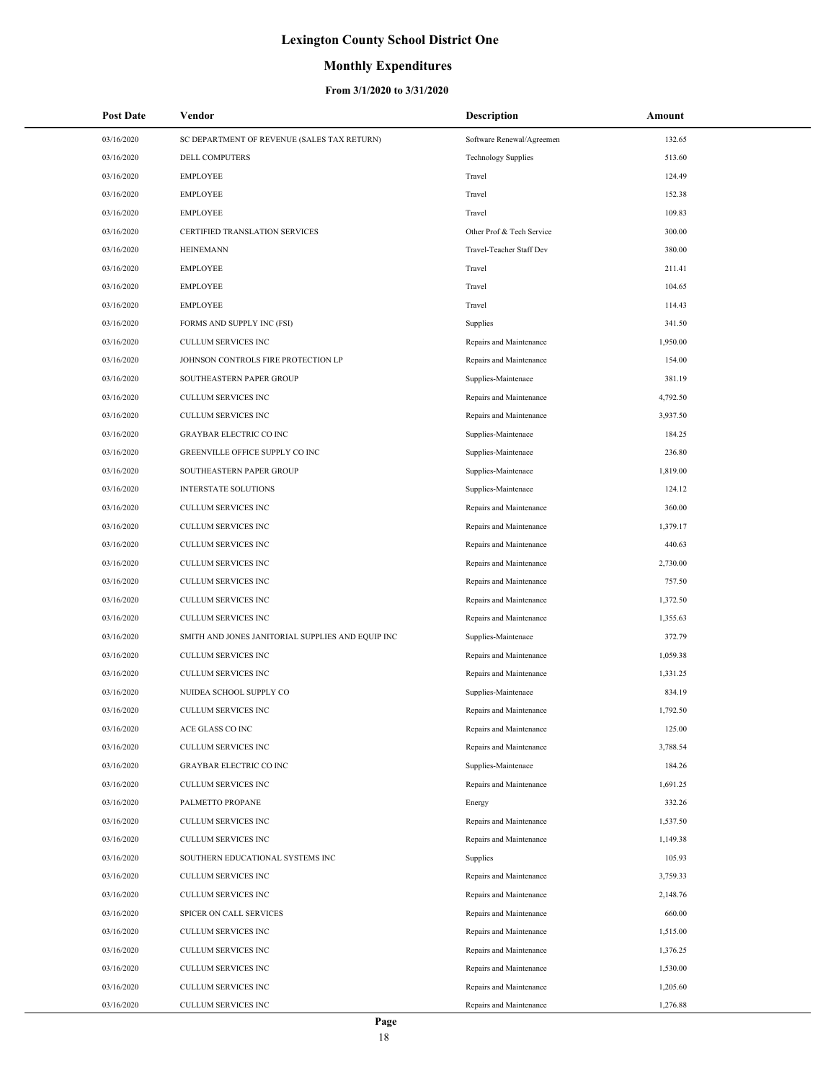### **Monthly Expenditures**

| <b>Post Date</b> | Vendor                                            | <b>Description</b>         | Amount   |
|------------------|---------------------------------------------------|----------------------------|----------|
| 03/16/2020       | SC DEPARTMENT OF REVENUE (SALES TAX RETURN)       | Software Renewal/Agreemen  | 132.65   |
| 03/16/2020       | <b>DELL COMPUTERS</b>                             | <b>Technology Supplies</b> | 513.60   |
| 03/16/2020       | <b>EMPLOYEE</b>                                   | Travel                     | 124.49   |
| 03/16/2020       | <b>EMPLOYEE</b>                                   | Travel                     | 152.38   |
| 03/16/2020       | <b>EMPLOYEE</b>                                   | Travel                     | 109.83   |
| 03/16/2020       | CERTIFIED TRANSLATION SERVICES                    | Other Prof & Tech Service  | 300.00   |
| 03/16/2020       | <b>HEINEMANN</b>                                  | Travel-Teacher Staff Dev   | 380.00   |
| 03/16/2020       | <b>EMPLOYEE</b>                                   | Travel                     | 211.41   |
| 03/16/2020       | <b>EMPLOYEE</b>                                   | Travel                     | 104.65   |
| 03/16/2020       | <b>EMPLOYEE</b>                                   | Travel                     | 114.43   |
| 03/16/2020       | FORMS AND SUPPLY INC (FSI)                        | Supplies                   | 341.50   |
| 03/16/2020       | CULLUM SERVICES INC                               | Repairs and Maintenance    | 1,950.00 |
| 03/16/2020       | JOHNSON CONTROLS FIRE PROTECTION LP               | Repairs and Maintenance    | 154.00   |
| 03/16/2020       | SOUTHEASTERN PAPER GROUP                          | Supplies-Maintenace        | 381.19   |
| 03/16/2020       | CULLUM SERVICES INC                               | Repairs and Maintenance    | 4,792.50 |
| 03/16/2020       | CULLUM SERVICES INC                               | Repairs and Maintenance    | 3,937.50 |
| 03/16/2020       | <b>GRAYBAR ELECTRIC CO INC</b>                    | Supplies-Maintenace        | 184.25   |
| 03/16/2020       | GREENVILLE OFFICE SUPPLY CO INC                   | Supplies-Maintenace        | 236.80   |
| 03/16/2020       | SOUTHEASTERN PAPER GROUP                          | Supplies-Maintenace        | 1,819.00 |
| 03/16/2020       | <b>INTERSTATE SOLUTIONS</b>                       | Supplies-Maintenace        | 124.12   |
| 03/16/2020       | CULLUM SERVICES INC                               | Repairs and Maintenance    | 360.00   |
| 03/16/2020       | CULLUM SERVICES INC                               | Repairs and Maintenance    | 1,379.17 |
| 03/16/2020       | CULLUM SERVICES INC                               | Repairs and Maintenance    | 440.63   |
| 03/16/2020       | CULLUM SERVICES INC                               | Repairs and Maintenance    | 2,730.00 |
| 03/16/2020       | CULLUM SERVICES INC                               | Repairs and Maintenance    | 757.50   |
| 03/16/2020       | CULLUM SERVICES INC                               | Repairs and Maintenance    | 1,372.50 |
| 03/16/2020       | <b>CULLUM SERVICES INC</b>                        | Repairs and Maintenance    | 1,355.63 |
| 03/16/2020       | SMITH AND JONES JANITORIAL SUPPLIES AND EQUIP INC | Supplies-Maintenace        | 372.79   |
| 03/16/2020       | <b>CULLUM SERVICES INC</b>                        | Repairs and Maintenance    | 1,059.38 |
| 03/16/2020       | CULLUM SERVICES INC                               | Repairs and Maintenance    | 1,331.25 |
| 03/16/2020       | NUIDEA SCHOOL SUPPLY CO                           | Supplies-Maintenace        | 834.19   |
| 03/16/2020       | <b>CULLUM SERVICES INC</b>                        | Repairs and Maintenance    | 1,792.50 |
| 03/16/2020       | ACE GLASS CO INC                                  | Repairs and Maintenance    | 125.00   |
| 03/16/2020       | CULLUM SERVICES INC                               | Repairs and Maintenance    | 3,788.54 |
| 03/16/2020       | <b>GRAYBAR ELECTRIC CO INC</b>                    | Supplies-Maintenace        | 184.26   |
| 03/16/2020       | CULLUM SERVICES INC                               | Repairs and Maintenance    | 1,691.25 |
| 03/16/2020       | PALMETTO PROPANE                                  | Energy                     | 332.26   |
| 03/16/2020       | <b>CULLUM SERVICES INC</b>                        | Repairs and Maintenance    | 1,537.50 |
| 03/16/2020       | <b>CULLUM SERVICES INC</b>                        | Repairs and Maintenance    | 1,149.38 |
| 03/16/2020       | SOUTHERN EDUCATIONAL SYSTEMS INC                  | Supplies                   | 105.93   |
| 03/16/2020       | CULLUM SERVICES INC                               | Repairs and Maintenance    | 3,759.33 |
| 03/16/2020       | CULLUM SERVICES INC                               | Repairs and Maintenance    | 2,148.76 |
| 03/16/2020       | SPICER ON CALL SERVICES                           | Repairs and Maintenance    | 660.00   |
| 03/16/2020       | CULLUM SERVICES INC                               | Repairs and Maintenance    | 1,515.00 |
| 03/16/2020       | CULLUM SERVICES INC                               | Repairs and Maintenance    | 1,376.25 |
| 03/16/2020       | CULLUM SERVICES INC                               | Repairs and Maintenance    | 1,530.00 |
| 03/16/2020       | CULLUM SERVICES INC                               | Repairs and Maintenance    | 1,205.60 |
| 03/16/2020       | CULLUM SERVICES INC                               | Repairs and Maintenance    | 1,276.88 |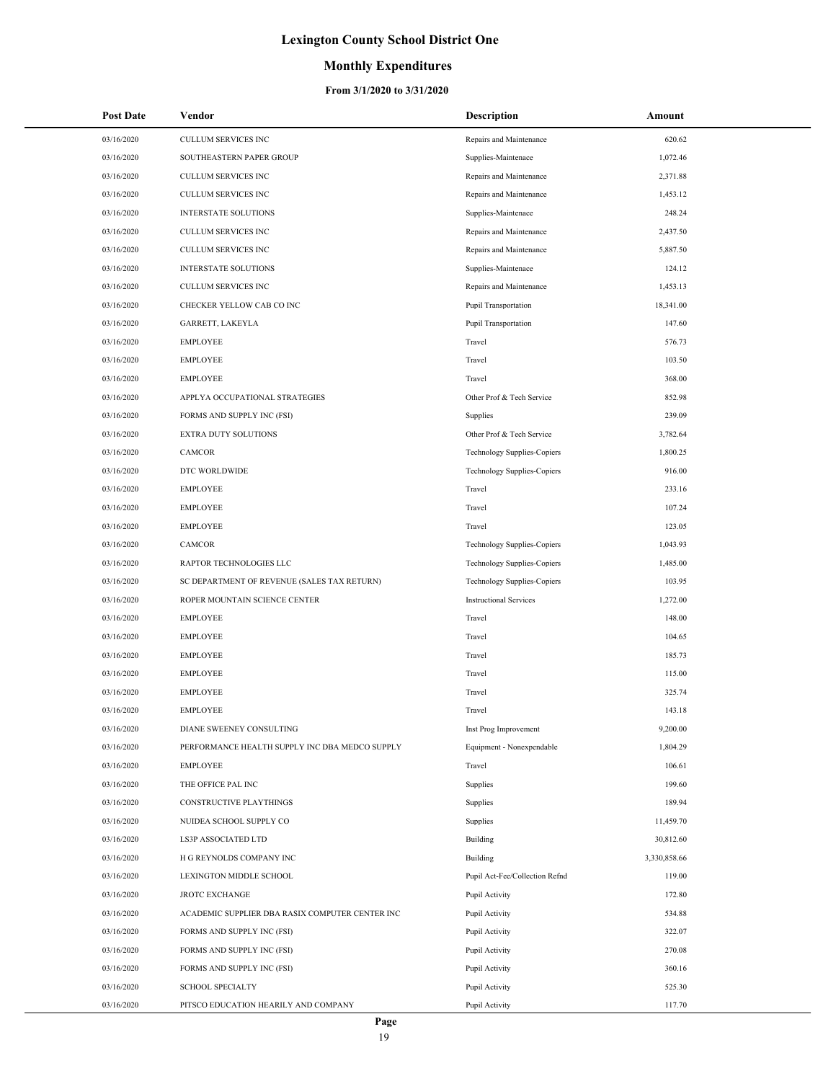### **Monthly Expenditures**

| <b>Post Date</b> | Vendor                                          | <b>Description</b>                 | Amount       |
|------------------|-------------------------------------------------|------------------------------------|--------------|
| 03/16/2020       | CULLUM SERVICES INC                             | Repairs and Maintenance            | 620.62       |
| 03/16/2020       | SOUTHEASTERN PAPER GROUP                        | Supplies-Maintenace                | 1,072.46     |
| 03/16/2020       | <b>CULLUM SERVICES INC</b>                      | Repairs and Maintenance            | 2,371.88     |
| 03/16/2020       | CULLUM SERVICES INC                             | Repairs and Maintenance            | 1,453.12     |
| 03/16/2020       | INTERSTATE SOLUTIONS                            | Supplies-Maintenace                | 248.24       |
| 03/16/2020       | CULLUM SERVICES INC                             | Repairs and Maintenance            | 2,437.50     |
| 03/16/2020       | CULLUM SERVICES INC                             | Repairs and Maintenance            | 5,887.50     |
| 03/16/2020       | INTERSTATE SOLUTIONS                            | Supplies-Maintenace                | 124.12       |
| 03/16/2020       | <b>CULLUM SERVICES INC</b>                      | Repairs and Maintenance            | 1,453.13     |
| 03/16/2020       | CHECKER YELLOW CAB CO INC                       | Pupil Transportation               | 18,341.00    |
| 03/16/2020       | GARRETT, LAKEYLA                                | Pupil Transportation               | 147.60       |
| 03/16/2020       | <b>EMPLOYEE</b>                                 | Travel                             | 576.73       |
| 03/16/2020       | <b>EMPLOYEE</b>                                 | Travel                             | 103.50       |
| 03/16/2020       | <b>EMPLOYEE</b>                                 | Travel                             | 368.00       |
| 03/16/2020       | APPLYA OCCUPATIONAL STRATEGIES                  | Other Prof & Tech Service          | 852.98       |
| 03/16/2020       | FORMS AND SUPPLY INC (FSI)                      | Supplies                           | 239.09       |
| 03/16/2020       | EXTRA DUTY SOLUTIONS                            | Other Prof & Tech Service          | 3,782.64     |
| 03/16/2020       | CAMCOR                                          | Technology Supplies-Copiers        | 1,800.25     |
| 03/16/2020       | DTC WORLDWIDE                                   | <b>Technology Supplies-Copiers</b> | 916.00       |
| 03/16/2020       | <b>EMPLOYEE</b>                                 | Travel                             | 233.16       |
| 03/16/2020       | <b>EMPLOYEE</b>                                 | Travel                             | 107.24       |
| 03/16/2020       | <b>EMPLOYEE</b>                                 | Travel                             | 123.05       |
| 03/16/2020       | CAMCOR                                          | Technology Supplies-Copiers        | 1,043.93     |
| 03/16/2020       | RAPTOR TECHNOLOGIES LLC                         | Technology Supplies-Copiers        | 1,485.00     |
| 03/16/2020       | SC DEPARTMENT OF REVENUE (SALES TAX RETURN)     | <b>Technology Supplies-Copiers</b> | 103.95       |
| 03/16/2020       | ROPER MOUNTAIN SCIENCE CENTER                   | <b>Instructional Services</b>      | 1,272.00     |
| 03/16/2020       | <b>EMPLOYEE</b>                                 | Travel                             | 148.00       |
| 03/16/2020       | <b>EMPLOYEE</b>                                 | Travel                             | 104.65       |
| 03/16/2020       | <b>EMPLOYEE</b>                                 | Travel                             | 185.73       |
| 03/16/2020       | <b>EMPLOYEE</b>                                 | Travel                             | 115.00       |
| 03/16/2020       | <b>EMPLOYEE</b>                                 | Travel                             | 325.74       |
| 03/16/2020       | <b>EMPLOYEE</b>                                 | Travel                             | 143.18       |
| 03/16/2020       | DIANE SWEENEY CONSULTING                        | Inst Prog Improvement              | 9,200.00     |
| 03/16/2020       | PERFORMANCE HEALTH SUPPLY INC DBA MEDCO SUPPLY  | Equipment - Nonexpendable          | 1,804.29     |
| 03/16/2020       | <b>EMPLOYEE</b>                                 | Travel                             | 106.61       |
| 03/16/2020       | THE OFFICE PAL INC                              | Supplies                           | 199.60       |
| 03/16/2020       | CONSTRUCTIVE PLAYTHINGS                         | Supplies                           | 189.94       |
| 03/16/2020       | NUIDEA SCHOOL SUPPLY CO                         | Supplies                           | 11,459.70    |
| 03/16/2020       | LS3P ASSOCIATED LTD                             | Building                           | 30,812.60    |
| 03/16/2020       | H G REYNOLDS COMPANY INC                        | Building                           | 3,330,858.66 |
| 03/16/2020       | LEXINGTON MIDDLE SCHOOL                         | Pupil Act-Fee/Collection Refnd     | 119.00       |
| 03/16/2020       | <b>JROTC EXCHANGE</b>                           | Pupil Activity                     | 172.80       |
| 03/16/2020       | ACADEMIC SUPPLIER DBA RASIX COMPUTER CENTER INC | Pupil Activity                     | 534.88       |
| 03/16/2020       | FORMS AND SUPPLY INC (FSI)                      | Pupil Activity                     | 322.07       |
| 03/16/2020       | FORMS AND SUPPLY INC (FSI)                      | Pupil Activity                     | 270.08       |
| 03/16/2020       | FORMS AND SUPPLY INC (FSI)                      | Pupil Activity                     | 360.16       |
| 03/16/2020       | <b>SCHOOL SPECIALTY</b>                         | Pupil Activity                     | 525.30       |
| 03/16/2020       | PITSCO EDUCATION HEARILY AND COMPANY            | Pupil Activity                     | 117.70       |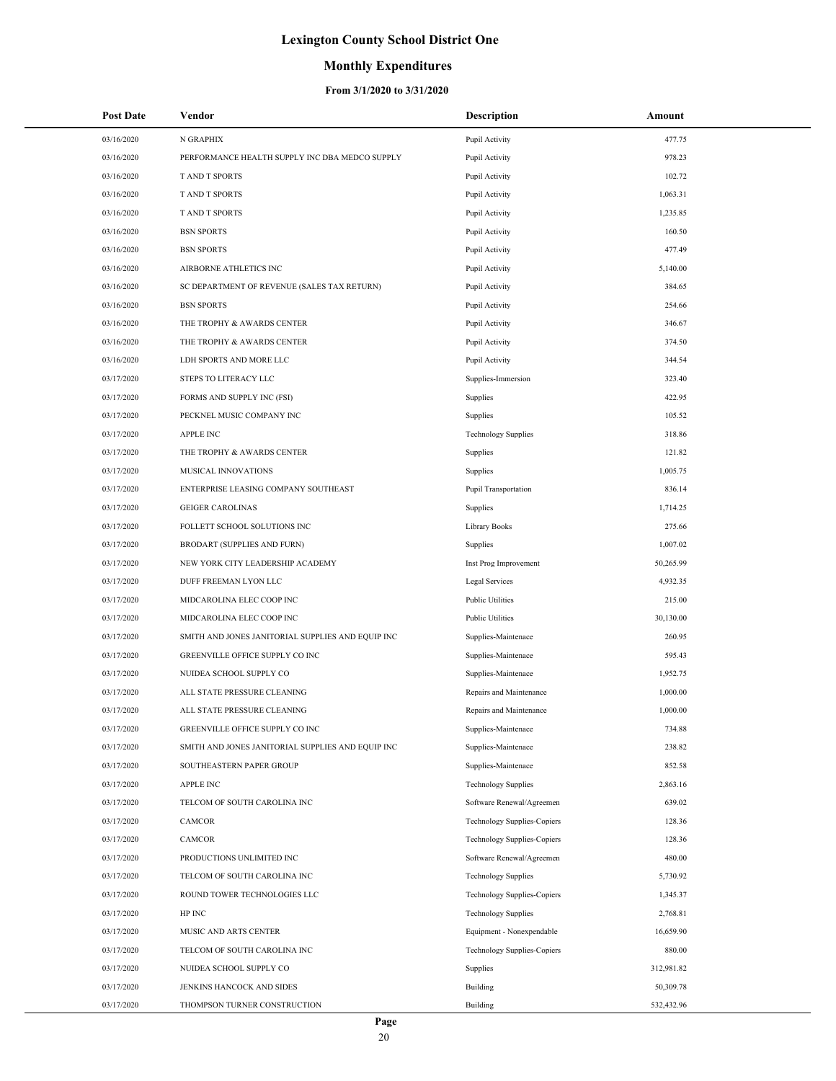### **Monthly Expenditures**

| <b>Post Date</b> | Vendor                                            | <b>Description</b>                 | Amount     |
|------------------|---------------------------------------------------|------------------------------------|------------|
| 03/16/2020       | N GRAPHIX                                         | Pupil Activity                     | 477.75     |
| 03/16/2020       | PERFORMANCE HEALTH SUPPLY INC DBA MEDCO SUPPLY    | Pupil Activity                     | 978.23     |
| 03/16/2020       | <b>TAND T SPORTS</b>                              | Pupil Activity                     | 102.72     |
| 03/16/2020       | <b>TAND T SPORTS</b>                              | Pupil Activity                     | 1.063.31   |
| 03/16/2020       | <b>TAND T SPORTS</b>                              | Pupil Activity                     | 1,235.85   |
| 03/16/2020       | <b>BSN SPORTS</b>                                 | Pupil Activity                     | 160.50     |
| 03/16/2020       | <b>BSN SPORTS</b>                                 | Pupil Activity                     | 477.49     |
| 03/16/2020       | AIRBORNE ATHLETICS INC                            | Pupil Activity                     | 5,140.00   |
| 03/16/2020       | SC DEPARTMENT OF REVENUE (SALES TAX RETURN)       | Pupil Activity                     | 384.65     |
| 03/16/2020       | <b>BSN SPORTS</b>                                 | Pupil Activity                     | 254.66     |
| 03/16/2020       | THE TROPHY & AWARDS CENTER                        | Pupil Activity                     | 346.67     |
| 03/16/2020       | THE TROPHY & AWARDS CENTER                        | Pupil Activity                     | 374.50     |
| 03/16/2020       | LDH SPORTS AND MORE LLC                           | Pupil Activity                     | 344.54     |
| 03/17/2020       | STEPS TO LITERACY LLC                             | Supplies-Immersion                 | 323.40     |
| 03/17/2020       | FORMS AND SUPPLY INC (FSI)                        | Supplies                           | 422.95     |
| 03/17/2020       | PECKNEL MUSIC COMPANY INC                         | Supplies                           | 105.52     |
| 03/17/2020       | <b>APPLE INC</b>                                  | <b>Technology Supplies</b>         | 318.86     |
| 03/17/2020       | THE TROPHY & AWARDS CENTER                        | Supplies                           | 121.82     |
| 03/17/2020       | <b>MUSICAL INNOVATIONS</b>                        | Supplies                           | 1,005.75   |
| 03/17/2020       | ENTERPRISE LEASING COMPANY SOUTHEAST              | <b>Pupil Transportation</b>        | 836.14     |
| 03/17/2020       | <b>GEIGER CAROLINAS</b>                           | Supplies                           | 1,714.25   |
| 03/17/2020       | FOLLETT SCHOOL SOLUTIONS INC                      | Library Books                      | 275.66     |
| 03/17/2020       | <b>BRODART (SUPPLIES AND FURN)</b>                | Supplies                           | 1,007.02   |
| 03/17/2020       | NEW YORK CITY LEADERSHIP ACADEMY                  | Inst Prog Improvement              | 50,265.99  |
| 03/17/2020       | DUFF FREEMAN LYON LLC                             | Legal Services                     | 4,932.35   |
| 03/17/2020       | MIDCAROLINA ELEC COOP INC                         | <b>Public Utilities</b>            | 215.00     |
| 03/17/2020       | MIDCAROLINA ELEC COOP INC                         | <b>Public Utilities</b>            | 30,130.00  |
| 03/17/2020       | SMITH AND JONES JANITORIAL SUPPLIES AND EQUIP INC | Supplies-Maintenace                | 260.95     |
| 03/17/2020       | GREENVILLE OFFICE SUPPLY CO INC                   | Supplies-Maintenace                | 595.43     |
| 03/17/2020       | NUIDEA SCHOOL SUPPLY CO                           | Supplies-Maintenace                | 1,952.75   |
| 03/17/2020       | ALL STATE PRESSURE CLEANING                       | Repairs and Maintenance            | 1,000.00   |
| 03/17/2020       | ALL STATE PRESSURE CLEANING                       | Repairs and Maintenance            | 1,000.00   |
| 03/17/2020       | GREENVILLE OFFICE SUPPLY CO INC                   | Supplies-Maintenace                | 734.88     |
| 03/17/2020       | SMITH AND JONES JANITORIAL SUPPLIES AND EQUIP INC | Supplies-Maintenace                | 238.82     |
| 03/17/2020       | SOUTHEASTERN PAPER GROUP                          | Supplies-Maintenace                | 852.58     |
| 03/17/2020       | <b>APPLE INC</b>                                  | <b>Technology Supplies</b>         | 2,863.16   |
| 03/17/2020       | TELCOM OF SOUTH CAROLINA INC                      | Software Renewal/Agreemen          | 639.02     |
| 03/17/2020       | <b>CAMCOR</b>                                     | Technology Supplies-Copiers        | 128.36     |
| 03/17/2020       | CAMCOR                                            | <b>Technology Supplies-Copiers</b> | 128.36     |
| 03/17/2020       | PRODUCTIONS UNLIMITED INC                         | Software Renewal/Agreemen          | 480.00     |
| 03/17/2020       | TELCOM OF SOUTH CAROLINA INC                      | <b>Technology Supplies</b>         | 5,730.92   |
| 03/17/2020       | ROUND TOWER TECHNOLOGIES LLC                      | Technology Supplies-Copiers        | 1,345.37   |
| 03/17/2020       | HP INC                                            | <b>Technology Supplies</b>         | 2,768.81   |
| 03/17/2020       | MUSIC AND ARTS CENTER                             | Equipment - Nonexpendable          | 16,659.90  |
| 03/17/2020       | TELCOM OF SOUTH CAROLINA INC                      | <b>Technology Supplies-Copiers</b> | 880.00     |
| 03/17/2020       | NUIDEA SCHOOL SUPPLY CO                           | Supplies                           | 312,981.82 |
| 03/17/2020       | JENKINS HANCOCK AND SIDES                         | Building                           | 50,309.78  |
| 03/17/2020       | THOMPSON TURNER CONSTRUCTION                      | Building                           | 532,432.96 |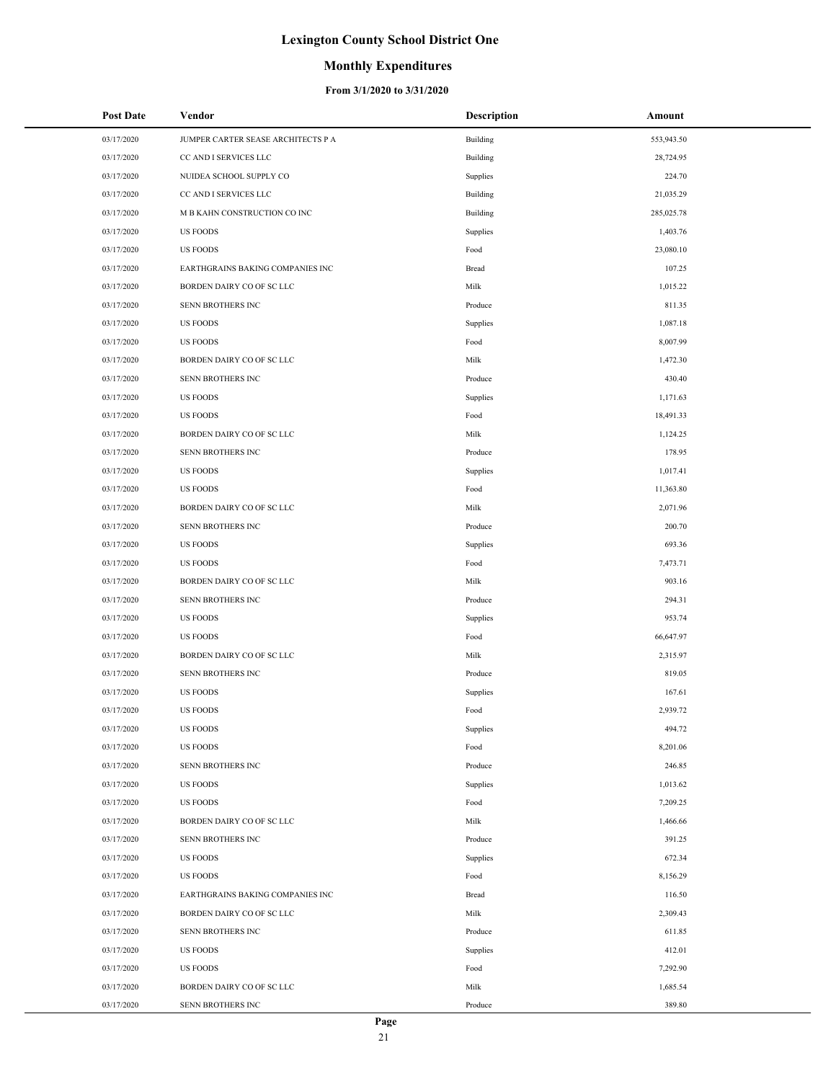### **Monthly Expenditures**

| <b>Post Date</b> | Vendor                             | <b>Description</b> | Amount     |
|------------------|------------------------------------|--------------------|------------|
| 03/17/2020       | JUMPER CARTER SEASE ARCHITECTS P A | Building           | 553,943.50 |
| 03/17/2020       | CC AND I SERVICES LLC              | Building           | 28,724.95  |
| 03/17/2020       | NUIDEA SCHOOL SUPPLY CO            | Supplies           | 224.70     |
| 03/17/2020       | CC AND I SERVICES LLC              | Building           | 21,035.29  |
| 03/17/2020       | M B KAHN CONSTRUCTION CO INC       | Building           | 285,025.78 |
| 03/17/2020       | <b>US FOODS</b>                    | Supplies           | 1,403.76   |
| 03/17/2020       | <b>US FOODS</b>                    | Food               | 23,080.10  |
| 03/17/2020       | EARTHGRAINS BAKING COMPANIES INC   | Bread              | 107.25     |
| 03/17/2020       | BORDEN DAIRY CO OF SC LLC          | Milk               | 1,015.22   |
| 03/17/2020       | SENN BROTHERS INC                  | Produce            | 811.35     |
| 03/17/2020       | <b>US FOODS</b>                    | Supplies           | 1,087.18   |
| 03/17/2020       | <b>US FOODS</b>                    | Food               | 8,007.99   |
| 03/17/2020       | BORDEN DAIRY CO OF SC LLC          | Milk               | 1,472.30   |
| 03/17/2020       | SENN BROTHERS INC                  | Produce            | 430.40     |
| 03/17/2020       | <b>US FOODS</b>                    | Supplies           | 1,171.63   |
| 03/17/2020       | <b>US FOODS</b>                    | Food               | 18,491.33  |
| 03/17/2020       | BORDEN DAIRY CO OF SC LLC          | Milk               | 1,124.25   |
| 03/17/2020       | SENN BROTHERS INC                  | Produce            | 178.95     |
| 03/17/2020       | <b>US FOODS</b>                    | Supplies           | 1,017.41   |
| 03/17/2020       | <b>US FOODS</b>                    | Food               | 11,363.80  |
| 03/17/2020       | BORDEN DAIRY CO OF SC LLC          | Milk               | 2,071.96   |
| 03/17/2020       | SENN BROTHERS INC                  | Produce            | 200.70     |
| 03/17/2020       | <b>US FOODS</b>                    | Supplies           | 693.36     |
| 03/17/2020       | <b>US FOODS</b>                    | Food               | 7,473.71   |
| 03/17/2020       | BORDEN DAIRY CO OF SC LLC          | Milk               | 903.16     |
| 03/17/2020       | SENN BROTHERS INC                  | Produce            | 294.31     |
| 03/17/2020       | <b>US FOODS</b>                    | Supplies           | 953.74     |
| 03/17/2020       | <b>US FOODS</b>                    | Food               | 66,647.97  |
| 03/17/2020       | BORDEN DAIRY CO OF SC LLC          | Milk               | 2,315.97   |
| 03/17/2020       | SENN BROTHERS INC                  | Produce            | 819.05     |
| 03/17/2020       | <b>US FOODS</b>                    | Supplies           | 167.61     |
| 03/17/2020       | <b>US FOODS</b>                    | Food               | 2,939.72   |
| 03/17/2020       | <b>US FOODS</b>                    | Supplies           | 494.72     |
| 03/17/2020       | <b>US FOODS</b>                    | Food               | 8,201.06   |
| 03/17/2020       | SENN BROTHERS INC                  | Produce            | 246.85     |
| 03/17/2020       | <b>US FOODS</b>                    | Supplies           | 1,013.62   |
| 03/17/2020       | <b>US FOODS</b>                    | Food               | 7,209.25   |
| 03/17/2020       | BORDEN DAIRY CO OF SC LLC          | Milk               | 1,466.66   |
| 03/17/2020       | SENN BROTHERS INC                  | Produce            | 391.25     |
| 03/17/2020       | <b>US FOODS</b>                    | Supplies           | 672.34     |
| 03/17/2020       | <b>US FOODS</b>                    | Food               | 8,156.29   |
| 03/17/2020       | EARTHGRAINS BAKING COMPANIES INC   | Bread              | 116.50     |
| 03/17/2020       | BORDEN DAIRY CO OF SC LLC          | Milk               | 2,309.43   |
| 03/17/2020       | SENN BROTHERS INC                  | Produce            | 611.85     |
| 03/17/2020       | <b>US FOODS</b>                    | Supplies           | 412.01     |
| 03/17/2020       | <b>US FOODS</b>                    | Food               | 7,292.90   |
| 03/17/2020       | BORDEN DAIRY CO OF SC LLC          | Milk               | 1,685.54   |
| 03/17/2020       | SENN BROTHERS INC                  | Produce            | 389.80     |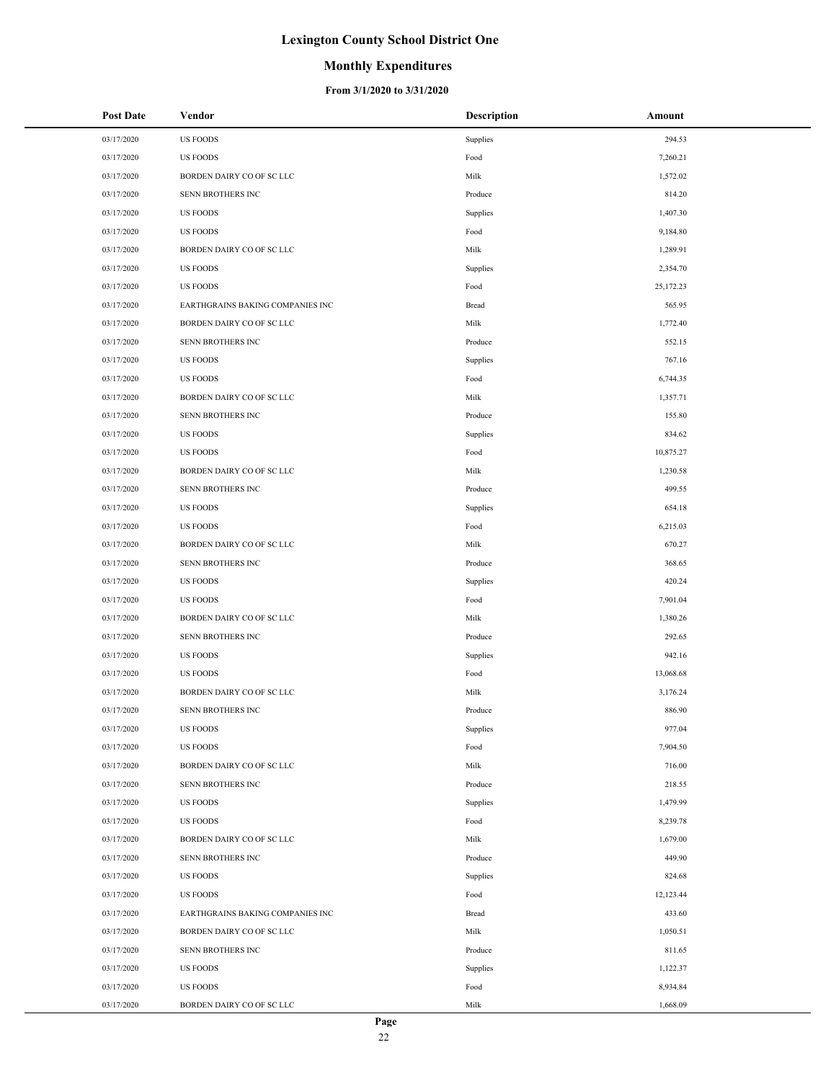### **Monthly Expenditures**

| <b>Post Date</b> | Vendor                           | <b>Description</b>     | Amount    |
|------------------|----------------------------------|------------------------|-----------|
| 03/17/2020       | <b>US FOODS</b>                  | Supplies               | 294.53    |
| 03/17/2020       | <b>US FOODS</b>                  | $\operatorname*{Food}$ | 7,260.21  |
| 03/17/2020       | BORDEN DAIRY CO OF SC LLC        | Milk                   | 1,572.02  |
| 03/17/2020       | SENN BROTHERS INC                | Produce                | 814.20    |
| 03/17/2020       | <b>US FOODS</b>                  | Supplies               | 1,407.30  |
| 03/17/2020       | <b>US FOODS</b>                  | Food                   | 9,184.80  |
| 03/17/2020       | BORDEN DAIRY CO OF SC LLC        | Milk                   | 1,289.91  |
| 03/17/2020       | <b>US FOODS</b>                  | Supplies               | 2,354.70  |
| 03/17/2020       | <b>US FOODS</b>                  | Food                   | 25,172.23 |
| 03/17/2020       | EARTHGRAINS BAKING COMPANIES INC | Bread                  | 565.95    |
| 03/17/2020       | BORDEN DAIRY CO OF SC LLC        | Milk                   | 1,772.40  |
| 03/17/2020       | SENN BROTHERS INC                | Produce                | 552.15    |
| 03/17/2020       | <b>US FOODS</b>                  | Supplies               | 767.16    |
| 03/17/2020       | <b>US FOODS</b>                  | Food                   | 6,744.35  |
| 03/17/2020       | BORDEN DAIRY CO OF SC LLC        | Milk                   | 1,357.71  |
| 03/17/2020       | SENN BROTHERS INC                | Produce                | 155.80    |
| 03/17/2020       | <b>US FOODS</b>                  | Supplies               | 834.62    |
| 03/17/2020       | <b>US FOODS</b>                  | Food                   | 10,875.27 |
| 03/17/2020       | BORDEN DAIRY CO OF SC LLC        | Milk                   | 1,230.58  |
| 03/17/2020       | SENN BROTHERS INC                | Produce                | 499.55    |
| 03/17/2020       | <b>US FOODS</b>                  | Supplies               | 654.18    |
| 03/17/2020       | <b>US FOODS</b>                  | Food                   | 6,215.03  |
| 03/17/2020       | BORDEN DAIRY CO OF SC LLC        | Milk                   | 670.27    |
| 03/17/2020       | SENN BROTHERS INC                | Produce                | 368.65    |
| 03/17/2020       | <b>US FOODS</b>                  | Supplies               | 420.24    |
| 03/17/2020       | <b>US FOODS</b>                  | Food                   | 7,901.04  |
| 03/17/2020       | BORDEN DAIRY CO OF SC LLC        | Milk                   | 1,380.26  |
| 03/17/2020       | SENN BROTHERS INC                | Produce                | 292.65    |
| 03/17/2020       | <b>US FOODS</b>                  | Supplies               | 942.16    |
| 03/17/2020       | <b>US FOODS</b>                  | Food                   | 13,068.68 |
| 03/17/2020       | BORDEN DAIRY CO OF SC LLC        | Milk                   | 3,176.24  |
| 03/17/2020       | SENN BROTHERS INC                | Produce                | 886.90    |
| 03/17/2020       | <b>US FOODS</b>                  | Supplies               | 977.04    |
| 03/17/2020       | <b>US FOODS</b>                  | Food                   | 7,904.50  |
| 03/17/2020       | BORDEN DAIRY CO OF SC LLC        | Milk                   | 716.00    |
| 03/17/2020       | SENN BROTHERS INC                | Produce                | 218.55    |
| 03/17/2020       | <b>US FOODS</b>                  | Supplies               | 1,479.99  |
| 03/17/2020       | <b>US FOODS</b>                  | Food                   | 8,239.78  |
| 03/17/2020       | BORDEN DAIRY CO OF SC LLC        | Milk                   | 1,679.00  |
| 03/17/2020       | SENN BROTHERS INC                | Produce                | 449.90    |
| 03/17/2020       | <b>US FOODS</b>                  | Supplies               | 824.68    |
| 03/17/2020       | <b>US FOODS</b>                  | Food                   | 12,123.44 |
| 03/17/2020       | EARTHGRAINS BAKING COMPANIES INC | Bread                  | 433.60    |
| 03/17/2020       | BORDEN DAIRY CO OF SC LLC        | Milk                   | 1,050.51  |
| 03/17/2020       | SENN BROTHERS INC                | Produce                | 811.65    |
| 03/17/2020       | <b>US FOODS</b>                  | Supplies               | 1,122.37  |
| 03/17/2020       | <b>US FOODS</b>                  | Food                   | 8,934.84  |
| 03/17/2020       | BORDEN DAIRY CO OF SC LLC        | Milk                   | 1,668.09  |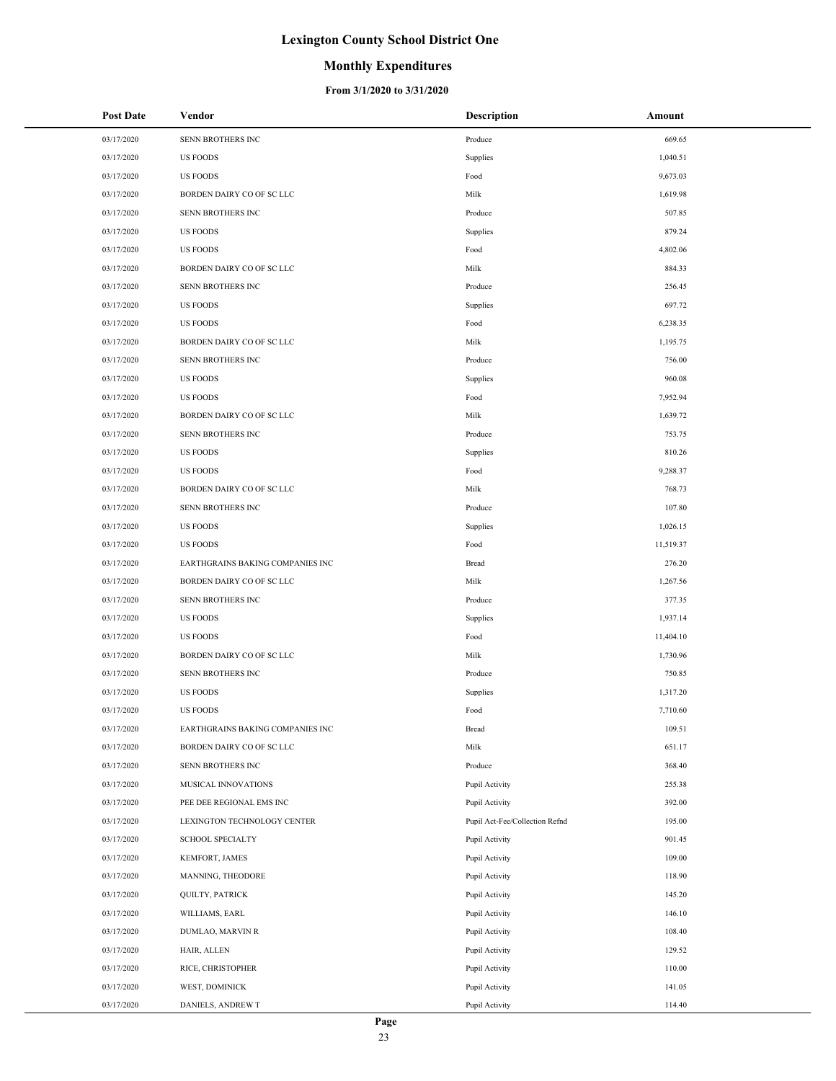## **Monthly Expenditures**

| <b>Post Date</b> | Vendor                           | <b>Description</b>             | Amount    |
|------------------|----------------------------------|--------------------------------|-----------|
| 03/17/2020       | SENN BROTHERS INC                | Produce                        | 669.65    |
| 03/17/2020       | <b>US FOODS</b>                  | Supplies                       | 1,040.51  |
| 03/17/2020       | <b>US FOODS</b>                  | Food                           | 9,673.03  |
| 03/17/2020       | BORDEN DAIRY CO OF SC LLC        | Milk                           | 1,619.98  |
| 03/17/2020       | SENN BROTHERS INC                | Produce                        | 507.85    |
| 03/17/2020       | <b>US FOODS</b>                  | Supplies                       | 879.24    |
| 03/17/2020       | <b>US FOODS</b>                  | Food                           | 4,802.06  |
| 03/17/2020       | BORDEN DAIRY CO OF SC LLC        | Milk                           | 884.33    |
| 03/17/2020       | SENN BROTHERS INC                | Produce                        | 256.45    |
| 03/17/2020       | <b>US FOODS</b>                  | Supplies                       | 697.72    |
| 03/17/2020       | <b>US FOODS</b>                  | Food                           | 6,238.35  |
| 03/17/2020       | BORDEN DAIRY CO OF SC LLC        | Milk                           | 1,195.75  |
| 03/17/2020       | SENN BROTHERS INC                | Produce                        | 756.00    |
| 03/17/2020       | <b>US FOODS</b>                  | Supplies                       | 960.08    |
| 03/17/2020       | <b>US FOODS</b>                  | Food                           | 7,952.94  |
| 03/17/2020       | BORDEN DAIRY CO OF SC LLC        | Milk                           | 1,639.72  |
| 03/17/2020       | SENN BROTHERS INC                | Produce                        | 753.75    |
| 03/17/2020       | <b>US FOODS</b>                  | Supplies                       | 810.26    |
| 03/17/2020       | <b>US FOODS</b>                  | Food                           | 9,288.37  |
| 03/17/2020       | BORDEN DAIRY CO OF SC LLC        | Milk                           | 768.73    |
| 03/17/2020       | SENN BROTHERS INC                | Produce                        | 107.80    |
| 03/17/2020       | <b>US FOODS</b>                  | Supplies                       | 1,026.15  |
| 03/17/2020       | <b>US FOODS</b>                  | Food                           | 11,519.37 |
| 03/17/2020       | EARTHGRAINS BAKING COMPANIES INC | Bread                          | 276.20    |
| 03/17/2020       | BORDEN DAIRY CO OF SC LLC        | Milk                           | 1,267.56  |
| 03/17/2020       | SENN BROTHERS INC                | Produce                        | 377.35    |
| 03/17/2020       | <b>US FOODS</b>                  | Supplies                       | 1,937.14  |
| 03/17/2020       | <b>US FOODS</b>                  | Food                           | 11,404.10 |
| 03/17/2020       | BORDEN DAIRY CO OF SC LLC        | Milk                           | 1,730.96  |
| 03/17/2020       | SENN BROTHERS INC                | Produce                        | 750.85    |
| 03/17/2020       | <b>US FOODS</b>                  | Supplies                       | 1,317.20  |
| 03/17/2020       | <b>US FOODS</b>                  | Food                           | 7,710.60  |
| 03/17/2020       | EARTHGRAINS BAKING COMPANIES INC | Bread                          | 109.51    |
| 03/17/2020       | BORDEN DAIRY CO OF SC LLC        | Milk                           | 651.17    |
| 03/17/2020       | SENN BROTHERS INC                | Produce                        | 368.40    |
| 03/17/2020       | MUSICAL INNOVATIONS              | Pupil Activity                 | 255.38    |
| 03/17/2020       | PEE DEE REGIONAL EMS INC         | Pupil Activity                 | 392.00    |
| 03/17/2020       | LEXINGTON TECHNOLOGY CENTER      | Pupil Act-Fee/Collection Refnd | 195.00    |
| 03/17/2020       | <b>SCHOOL SPECIALTY</b>          | Pupil Activity                 | 901.45    |
| 03/17/2020       | KEMFORT, JAMES                   | Pupil Activity                 | 109.00    |
| 03/17/2020       | MANNING, THEODORE                | Pupil Activity                 | 118.90    |
| 03/17/2020       | <b>QUILTY, PATRICK</b>           | Pupil Activity                 | 145.20    |
| 03/17/2020       | WILLIAMS, EARL                   | Pupil Activity                 | 146.10    |
| 03/17/2020       | DUMLAO, MARVIN R                 | Pupil Activity                 | 108.40    |
| 03/17/2020       | HAIR, ALLEN                      | Pupil Activity                 | 129.52    |
| 03/17/2020       | RICE, CHRISTOPHER                | Pupil Activity                 | 110.00    |
| 03/17/2020       | WEST, DOMINICK                   | Pupil Activity                 | 141.05    |
| 03/17/2020       | DANIELS, ANDREW T                | Pupil Activity                 | 114.40    |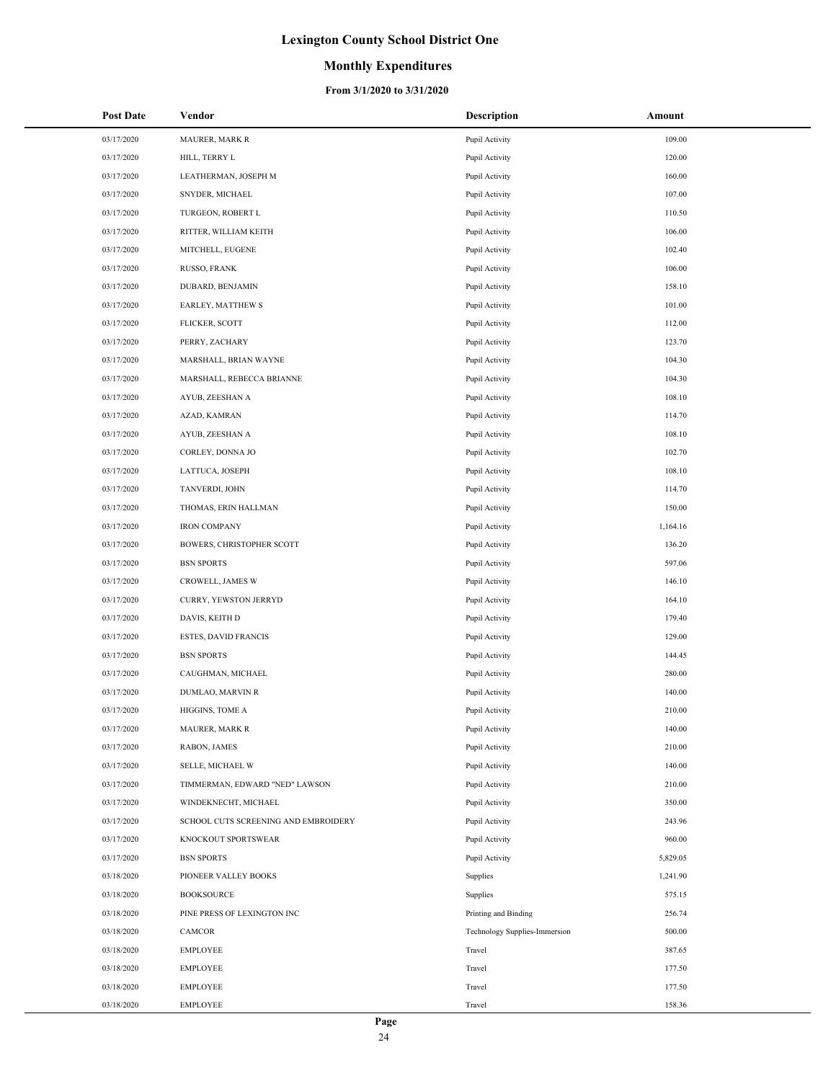### **Monthly Expenditures**

| <b>Post Date</b> | Vendor                               | <b>Description</b>            | Amount   |
|------------------|--------------------------------------|-------------------------------|----------|
| 03/17/2020       | MAURER, MARK R                       | Pupil Activity                | 109.00   |
| 03/17/2020       | HILL, TERRY L                        | Pupil Activity                | 120.00   |
| 03/17/2020       | LEATHERMAN, JOSEPH M                 | Pupil Activity                | 160.00   |
| 03/17/2020       | SNYDER, MICHAEL                      | Pupil Activity                | 107.00   |
| 03/17/2020       | TURGEON, ROBERT L                    | Pupil Activity                | 110.50   |
| 03/17/2020       | RITTER, WILLIAM KEITH                | Pupil Activity                | 106.00   |
| 03/17/2020       | MITCHELL, EUGENE                     | Pupil Activity                | 102.40   |
| 03/17/2020       | RUSSO, FRANK                         | Pupil Activity                | 106.00   |
| 03/17/2020       | DUBARD, BENJAMIN                     | Pupil Activity                | 158.10   |
| 03/17/2020       | EARLEY, MATTHEW S                    | Pupil Activity                | 101.00   |
| 03/17/2020       | FLICKER, SCOTT                       | Pupil Activity                | 112.00   |
| 03/17/2020       | PERRY, ZACHARY                       | Pupil Activity                | 123.70   |
| 03/17/2020       | MARSHALL, BRIAN WAYNE                | Pupil Activity                | 104.30   |
| 03/17/2020       | MARSHALL, REBECCA BRIANNE            | Pupil Activity                | 104.30   |
| 03/17/2020       | AYUB, ZEESHAN A                      | Pupil Activity                | 108.10   |
| 03/17/2020       | AZAD, KAMRAN                         | Pupil Activity                | 114.70   |
| 03/17/2020       | AYUB, ZEESHAN A                      | Pupil Activity                | 108.10   |
| 03/17/2020       | CORLEY, DONNA JO                     | Pupil Activity                | 102.70   |
| 03/17/2020       | LATTUCA, JOSEPH                      | Pupil Activity                | 108.10   |
| 03/17/2020       | TANVERDI, JOHN                       | Pupil Activity                | 114.70   |
| 03/17/2020       | THOMAS, ERIN HALLMAN                 | Pupil Activity                | 150.00   |
| 03/17/2020       | <b>IRON COMPANY</b>                  | Pupil Activity                | 1,164.16 |
| 03/17/2020       | BOWERS, CHRISTOPHER SCOTT            | Pupil Activity                | 136.20   |
| 03/17/2020       | <b>BSN SPORTS</b>                    | Pupil Activity                | 597.06   |
| 03/17/2020       | CROWELL, JAMES W                     | Pupil Activity                | 146.10   |
| 03/17/2020       | CURRY, YEWSTON JERRYD                | Pupil Activity                | 164.10   |
| 03/17/2020       | DAVIS, KEITH D                       | Pupil Activity                | 179.40   |
| 03/17/2020       | ESTES, DAVID FRANCIS                 | Pupil Activity                | 129.00   |
| 03/17/2020       | <b>BSN SPORTS</b>                    | Pupil Activity                | 144.45   |
| 03/17/2020       | CAUGHMAN, MICHAEL                    | Pupil Activity                | 280.00   |
| 03/17/2020       | DUMLAO, MARVIN R                     | Pupil Activity                | 140.00   |
| 03/17/2020       | HIGGINS, TOME A                      | Pupil Activity                | 210.00   |
| 03/17/2020       | MAURER, MARK R                       | Pupil Activity                | 140.00   |
| 03/17/2020       | RABON, JAMES                         | Pupil Activity                | 210.00   |
| 03/17/2020       | <b>SELLE, MICHAEL W</b>              | Pupil Activity                | 140.00   |
| 03/17/2020       | TIMMERMAN, EDWARD "NED" LAWSON       | Pupil Activity                | 210.00   |
| 03/17/2020       | WINDEKNECHT, MICHAEL                 | Pupil Activity                | 350.00   |
| 03/17/2020       | SCHOOL CUTS SCREENING AND EMBROIDERY | Pupil Activity                | 243.96   |
| 03/17/2020       | KNOCKOUT SPORTSWEAR                  | Pupil Activity                | 960.00   |
| 03/17/2020       | <b>BSN SPORTS</b>                    | Pupil Activity                | 5,829.05 |
| 03/18/2020       | PIONEER VALLEY BOOKS                 | Supplies                      | 1,241.90 |
| 03/18/2020       | <b>BOOKSOURCE</b>                    | Supplies                      | 575.15   |
| 03/18/2020       | PINE PRESS OF LEXINGTON INC          | Printing and Binding          | 256.74   |
| 03/18/2020       | CAMCOR                               | Technology Supplies-Immersion | 500.00   |
| 03/18/2020       | <b>EMPLOYEE</b>                      | Travel                        | 387.65   |
| 03/18/2020       | <b>EMPLOYEE</b>                      | Travel                        | 177.50   |
| 03/18/2020       | EMPLOYEE                             | Travel                        | 177.50   |
| 03/18/2020       | <b>EMPLOYEE</b>                      | Travel                        | 158.36   |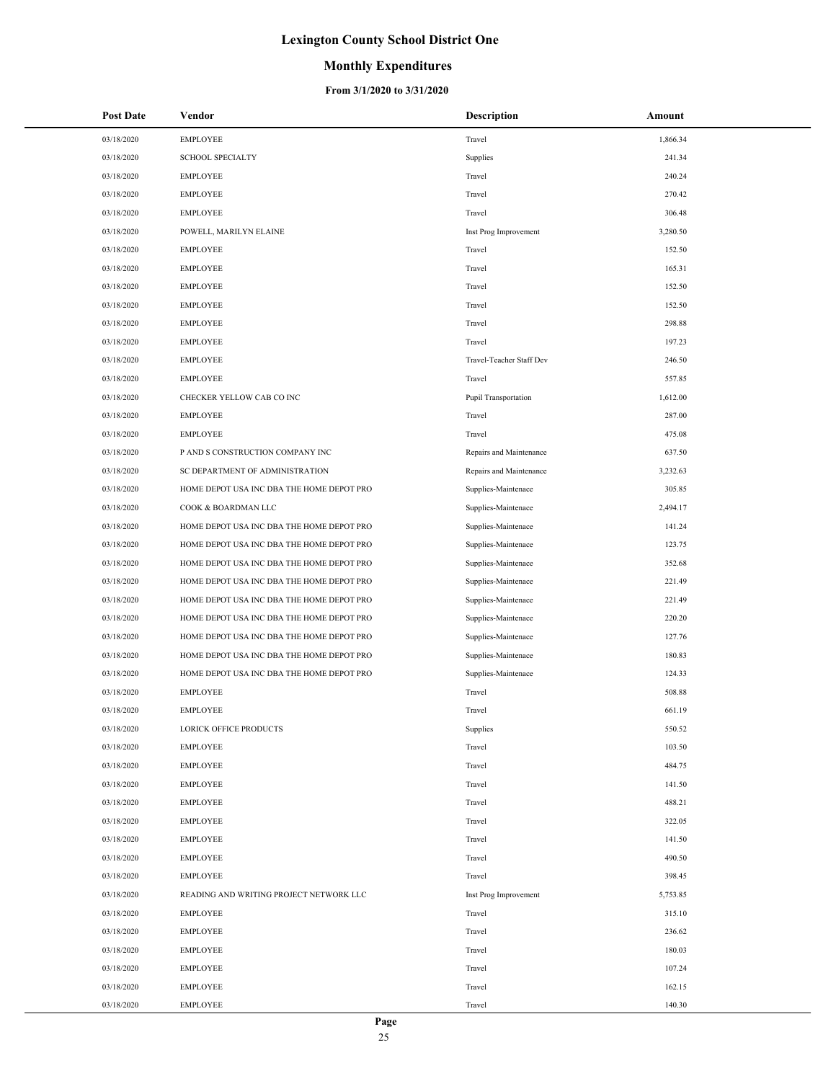### **Monthly Expenditures**

| <b>Post Date</b> | Vendor                                    | <b>Description</b>       | Amount   |
|------------------|-------------------------------------------|--------------------------|----------|
| 03/18/2020       | <b>EMPLOYEE</b>                           | Travel                   | 1,866.34 |
| 03/18/2020       | <b>SCHOOL SPECIALTY</b>                   | Supplies                 | 241.34   |
| 03/18/2020       | <b>EMPLOYEE</b>                           | Travel                   | 240.24   |
| 03/18/2020       | <b>EMPLOYEE</b>                           | Travel                   | 270.42   |
| 03/18/2020       | <b>EMPLOYEE</b>                           | Travel                   | 306.48   |
| 03/18/2020       | POWELL, MARILYN ELAINE                    | Inst Prog Improvement    | 3,280.50 |
| 03/18/2020       | <b>EMPLOYEE</b>                           | Travel                   | 152.50   |
| 03/18/2020       | <b>EMPLOYEE</b>                           | Travel                   | 165.31   |
| 03/18/2020       | <b>EMPLOYEE</b>                           | Travel                   | 152.50   |
| 03/18/2020       | <b>EMPLOYEE</b>                           | Travel                   | 152.50   |
| 03/18/2020       | <b>EMPLOYEE</b>                           | Travel                   | 298.88   |
| 03/18/2020       | <b>EMPLOYEE</b>                           | Travel                   | 197.23   |
| 03/18/2020       | <b>EMPLOYEE</b>                           | Travel-Teacher Staff Dev | 246.50   |
| 03/18/2020       | <b>EMPLOYEE</b>                           | Travel                   | 557.85   |
| 03/18/2020       | CHECKER YELLOW CAB CO INC                 | Pupil Transportation     | 1,612.00 |
| 03/18/2020       | <b>EMPLOYEE</b>                           | Travel                   | 287.00   |
| 03/18/2020       | <b>EMPLOYEE</b>                           | Travel                   | 475.08   |
| 03/18/2020       | P AND S CONSTRUCTION COMPANY INC          | Repairs and Maintenance  | 637.50   |
| 03/18/2020       | SC DEPARTMENT OF ADMINISTRATION           | Repairs and Maintenance  | 3,232.63 |
| 03/18/2020       | HOME DEPOT USA INC DBA THE HOME DEPOT PRO | Supplies-Maintenace      | 305.85   |
| 03/18/2020       | COOK & BOARDMAN LLC                       | Supplies-Maintenace      | 2,494.17 |
| 03/18/2020       | HOME DEPOT USA INC DBA THE HOME DEPOT PRO | Supplies-Maintenace      | 141.24   |
| 03/18/2020       | HOME DEPOT USA INC DBA THE HOME DEPOT PRO | Supplies-Maintenace      | 123.75   |
| 03/18/2020       | HOME DEPOT USA INC DBA THE HOME DEPOT PRO | Supplies-Maintenace      | 352.68   |
| 03/18/2020       | HOME DEPOT USA INC DBA THE HOME DEPOT PRO | Supplies-Maintenace      | 221.49   |
| 03/18/2020       | HOME DEPOT USA INC DBA THE HOME DEPOT PRO | Supplies-Maintenace      | 221.49   |
| 03/18/2020       | HOME DEPOT USA INC DBA THE HOME DEPOT PRO | Supplies-Maintenace      | 220.20   |
| 03/18/2020       | HOME DEPOT USA INC DBA THE HOME DEPOT PRO | Supplies-Maintenace      | 127.76   |
| 03/18/2020       | HOME DEPOT USA INC DBA THE HOME DEPOT PRO | Supplies-Maintenace      | 180.83   |
| 03/18/2020       | HOME DEPOT USA INC DBA THE HOME DEPOT PRO | Supplies-Maintenace      | 124.33   |
| 03/18/2020       | <b>EMPLOYEE</b>                           | Travel                   | 508.88   |
| 03/18/2020       | <b>EMPLOYEE</b>                           | Travel                   | 661.19   |
| 03/18/2020       | LORICK OFFICE PRODUCTS                    | Supplies                 | 550.52   |
| 03/18/2020       | <b>EMPLOYEE</b>                           | Travel                   | 103.50   |
| 03/18/2020       | <b>EMPLOYEE</b>                           | Travel                   | 484.75   |
| 03/18/2020       | <b>EMPLOYEE</b>                           | Travel                   | 141.50   |
| 03/18/2020       | <b>EMPLOYEE</b>                           | Travel                   | 488.21   |
| 03/18/2020       | <b>EMPLOYEE</b>                           | Travel                   | 322.05   |
| 03/18/2020       | <b>EMPLOYEE</b>                           | Travel                   | 141.50   |
| 03/18/2020       | <b>EMPLOYEE</b>                           | Travel                   | 490.50   |
| 03/18/2020       | <b>EMPLOYEE</b>                           | Travel                   | 398.45   |
| 03/18/2020       | READING AND WRITING PROJECT NETWORK LLC   | Inst Prog Improvement    | 5,753.85 |
| 03/18/2020       | <b>EMPLOYEE</b>                           | Travel                   | 315.10   |
| 03/18/2020       | <b>EMPLOYEE</b>                           | Travel                   | 236.62   |
| 03/18/2020       | <b>EMPLOYEE</b>                           | Travel                   | 180.03   |
| 03/18/2020       | <b>EMPLOYEE</b>                           | Travel                   | 107.24   |
| 03/18/2020       | <b>EMPLOYEE</b>                           | Travel                   | 162.15   |
| 03/18/2020       | <b>EMPLOYEE</b>                           | Travel                   | 140.30   |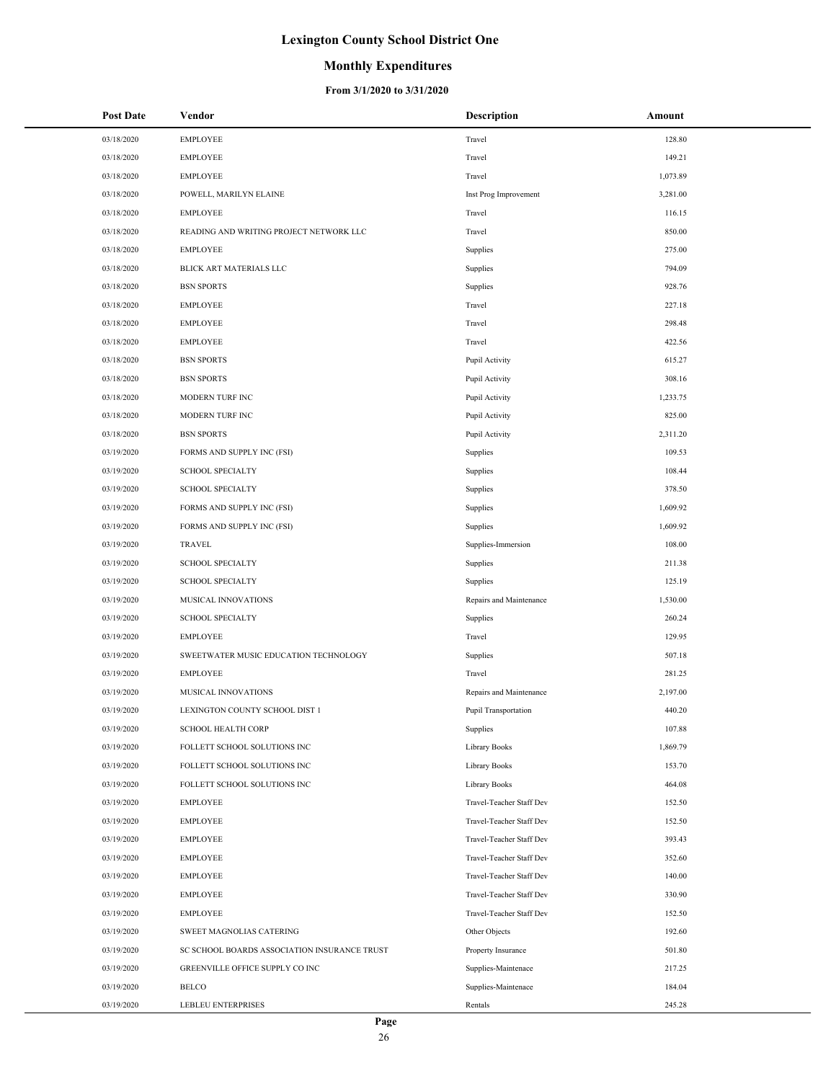## **Monthly Expenditures**

| <b>Post Date</b> | Vendor                                       | <b>Description</b>       | Amount   |
|------------------|----------------------------------------------|--------------------------|----------|
| 03/18/2020       | <b>EMPLOYEE</b>                              | Travel                   | 128.80   |
| 03/18/2020       | <b>EMPLOYEE</b>                              | Travel                   | 149.21   |
| 03/18/2020       | <b>EMPLOYEE</b>                              | Travel                   | 1,073.89 |
| 03/18/2020       | POWELL, MARILYN ELAINE                       | Inst Prog Improvement    | 3,281.00 |
| 03/18/2020       | <b>EMPLOYEE</b>                              | Travel                   | 116.15   |
| 03/18/2020       | READING AND WRITING PROJECT NETWORK LLC      | Travel                   | 850.00   |
| 03/18/2020       | <b>EMPLOYEE</b>                              | Supplies                 | 275.00   |
| 03/18/2020       | BLICK ART MATERIALS LLC                      | Supplies                 | 794.09   |
| 03/18/2020       | <b>BSN SPORTS</b>                            | Supplies                 | 928.76   |
| 03/18/2020       | <b>EMPLOYEE</b>                              | Travel                   | 227.18   |
| 03/18/2020       | <b>EMPLOYEE</b>                              | Travel                   | 298.48   |
| 03/18/2020       | <b>EMPLOYEE</b>                              | Travel                   | 422.56   |
| 03/18/2020       | <b>BSN SPORTS</b>                            | Pupil Activity           | 615.27   |
| 03/18/2020       | <b>BSN SPORTS</b>                            | Pupil Activity           | 308.16   |
| 03/18/2020       | MODERN TURF INC                              | Pupil Activity           | 1,233.75 |
| 03/18/2020       | MODERN TURF INC                              | Pupil Activity           | 825.00   |
| 03/18/2020       | <b>BSN SPORTS</b>                            | Pupil Activity           | 2,311.20 |
| 03/19/2020       | FORMS AND SUPPLY INC (FSI)                   | Supplies                 | 109.53   |
| 03/19/2020       | <b>SCHOOL SPECIALTY</b>                      | Supplies                 | 108.44   |
| 03/19/2020       | <b>SCHOOL SPECIALTY</b>                      | Supplies                 | 378.50   |
| 03/19/2020       | FORMS AND SUPPLY INC (FSI)                   | Supplies                 | 1,609.92 |
| 03/19/2020       | FORMS AND SUPPLY INC (FSI)                   | Supplies                 | 1,609.92 |
| 03/19/2020       | <b>TRAVEL</b>                                | Supplies-Immersion       | 108.00   |
| 03/19/2020       | <b>SCHOOL SPECIALTY</b>                      | Supplies                 | 211.38   |
| 03/19/2020       | <b>SCHOOL SPECIALTY</b>                      | Supplies                 | 125.19   |
| 03/19/2020       | MUSICAL INNOVATIONS                          | Repairs and Maintenance  | 1,530.00 |
| 03/19/2020       | <b>SCHOOL SPECIALTY</b>                      | Supplies                 | 260.24   |
| 03/19/2020       | <b>EMPLOYEE</b>                              | Travel                   | 129.95   |
| 03/19/2020       | SWEETWATER MUSIC EDUCATION TECHNOLOGY        | Supplies                 | 507.18   |
| 03/19/2020       | <b>EMPLOYEE</b>                              | Travel                   | 281.25   |
| 03/19/2020       | MUSICAL INNOVATIONS                          | Repairs and Maintenance  | 2,197.00 |
| 03/19/2020       | LEXINGTON COUNTY SCHOOL DIST 1               | Pupil Transportation     | 440.20   |
| 03/19/2020       | <b>SCHOOL HEALTH CORP</b>                    | Supplies                 | 107.88   |
| 03/19/2020       | FOLLETT SCHOOL SOLUTIONS INC                 | Library Books            | 1,869.79 |
| 03/19/2020       | FOLLETT SCHOOL SOLUTIONS INC                 | Library Books            | 153.70   |
| 03/19/2020       | FOLLETT SCHOOL SOLUTIONS INC                 | Library Books            | 464.08   |
| 03/19/2020       | <b>EMPLOYEE</b>                              | Travel-Teacher Staff Dev | 152.50   |
| 03/19/2020       | <b>EMPLOYEE</b>                              | Travel-Teacher Staff Dev | 152.50   |
| 03/19/2020       | <b>EMPLOYEE</b>                              | Travel-Teacher Staff Dev | 393.43   |
| 03/19/2020       | <b>EMPLOYEE</b>                              | Travel-Teacher Staff Dev | 352.60   |
| 03/19/2020       | <b>EMPLOYEE</b>                              | Travel-Teacher Staff Dev | 140.00   |
| 03/19/2020       | <b>EMPLOYEE</b>                              | Travel-Teacher Staff Dev | 330.90   |
| 03/19/2020       | <b>EMPLOYEE</b>                              | Travel-Teacher Staff Dev | 152.50   |
| 03/19/2020       | SWEET MAGNOLIAS CATERING                     | Other Objects            | 192.60   |
| 03/19/2020       | SC SCHOOL BOARDS ASSOCIATION INSURANCE TRUST | Property Insurance       | 501.80   |
| 03/19/2020       | GREENVILLE OFFICE SUPPLY CO INC              | Supplies-Maintenace      | 217.25   |
| 03/19/2020       | <b>BELCO</b>                                 | Supplies-Maintenace      | 184.04   |
| 03/19/2020       | LEBLEU ENTERPRISES                           | Rentals                  | 245.28   |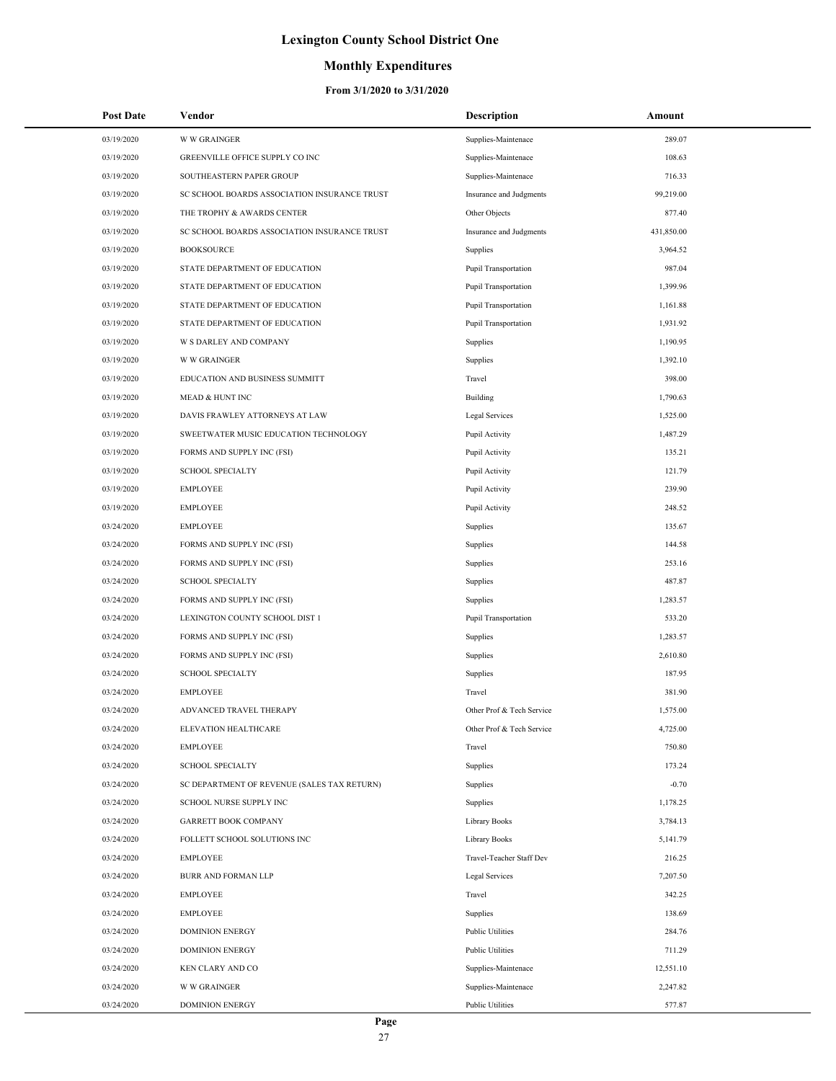## **Monthly Expenditures**

| <b>Post Date</b> | Vendor                                       | Description               | Amount     |
|------------------|----------------------------------------------|---------------------------|------------|
| 03/19/2020       | <b>W W GRAINGER</b>                          | Supplies-Maintenace       | 289.07     |
| 03/19/2020       | GREENVILLE OFFICE SUPPLY CO INC              | Supplies-Maintenace       | 108.63     |
| 03/19/2020       | SOUTHEASTERN PAPER GROUP                     | Supplies-Maintenace       | 716.33     |
| 03/19/2020       | SC SCHOOL BOARDS ASSOCIATION INSURANCE TRUST | Insurance and Judgments   | 99,219.00  |
| 03/19/2020       | THE TROPHY & AWARDS CENTER                   | Other Objects             | 877.40     |
| 03/19/2020       | SC SCHOOL BOARDS ASSOCIATION INSURANCE TRUST | Insurance and Judgments   | 431,850.00 |
| 03/19/2020       | <b>BOOKSOURCE</b>                            | Supplies                  | 3,964.52   |
| 03/19/2020       | STATE DEPARTMENT OF EDUCATION                | Pupil Transportation      | 987.04     |
| 03/19/2020       | STATE DEPARTMENT OF EDUCATION                | Pupil Transportation      | 1,399.96   |
| 03/19/2020       | STATE DEPARTMENT OF EDUCATION                | Pupil Transportation      | 1,161.88   |
| 03/19/2020       | STATE DEPARTMENT OF EDUCATION                | Pupil Transportation      | 1,931.92   |
| 03/19/2020       | W S DARLEY AND COMPANY                       | Supplies                  | 1,190.95   |
| 03/19/2020       | <b>W W GRAINGER</b>                          | Supplies                  | 1,392.10   |
| 03/19/2020       | EDUCATION AND BUSINESS SUMMITT               | Travel                    | 398.00     |
| 03/19/2020       | <b>MEAD &amp; HUNT INC</b>                   | Building                  | 1,790.63   |
| 03/19/2020       | DAVIS FRAWLEY ATTORNEYS AT LAW               | Legal Services            | 1,525.00   |
| 03/19/2020       | SWEETWATER MUSIC EDUCATION TECHNOLOGY        | Pupil Activity            | 1,487.29   |
| 03/19/2020       | FORMS AND SUPPLY INC (FSI)                   | Pupil Activity            | 135.21     |
| 03/19/2020       | <b>SCHOOL SPECIALTY</b>                      | Pupil Activity            | 121.79     |
| 03/19/2020       | <b>EMPLOYEE</b>                              | Pupil Activity            | 239.90     |
| 03/19/2020       | <b>EMPLOYEE</b>                              | Pupil Activity            | 248.52     |
| 03/24/2020       | <b>EMPLOYEE</b>                              | Supplies                  | 135.67     |
| 03/24/2020       | FORMS AND SUPPLY INC (FSI)                   | Supplies                  | 144.58     |
| 03/24/2020       | FORMS AND SUPPLY INC (FSI)                   | Supplies                  | 253.16     |
| 03/24/2020       | <b>SCHOOL SPECIALTY</b>                      | Supplies                  | 487.87     |
| 03/24/2020       | FORMS AND SUPPLY INC (FSI)                   | Supplies                  | 1,283.57   |
| 03/24/2020       | LEXINGTON COUNTY SCHOOL DIST 1               | Pupil Transportation      | 533.20     |
| 03/24/2020       | FORMS AND SUPPLY INC (FSI)                   | Supplies                  | 1,283.57   |
| 03/24/2020       | FORMS AND SUPPLY INC (FSI)                   | Supplies                  | 2,610.80   |
| 03/24/2020       | <b>SCHOOL SPECIALTY</b>                      | Supplies                  | 187.95     |
| 03/24/2020       | <b>EMPLOYEE</b>                              | Travel                    | 381.90     |
| 03/24/2020       | ADVANCED TRAVEL THERAPY                      | Other Prof & Tech Service | 1,575.00   |
| 03/24/2020       | ELEVATION HEALTHCARE                         | Other Prof & Tech Service | 4,725.00   |
| 03/24/2020       | <b>EMPLOYEE</b>                              | Travel                    | 750.80     |
| 03/24/2020       | <b>SCHOOL SPECIALTY</b>                      | Supplies                  | 173.24     |
| 03/24/2020       | SC DEPARTMENT OF REVENUE (SALES TAX RETURN)  | Supplies                  | $-0.70$    |
| 03/24/2020       | SCHOOL NURSE SUPPLY INC                      | Supplies                  | 1,178.25   |
| 03/24/2020       | GARRETT BOOK COMPANY                         | Library Books             | 3,784.13   |
| 03/24/2020       | FOLLETT SCHOOL SOLUTIONS INC                 | Library Books             | 5,141.79   |
| 03/24/2020       | <b>EMPLOYEE</b>                              | Travel-Teacher Staff Dev  | 216.25     |
| 03/24/2020       | <b>BURR AND FORMAN LLP</b>                   | Legal Services            | 7,207.50   |
| 03/24/2020       | <b>EMPLOYEE</b>                              | Travel                    | 342.25     |
| 03/24/2020       | <b>EMPLOYEE</b>                              | Supplies                  | 138.69     |
| 03/24/2020       | <b>DOMINION ENERGY</b>                       | <b>Public Utilities</b>   | 284.76     |
| 03/24/2020       | DOMINION ENERGY                              | <b>Public Utilities</b>   | 711.29     |
| 03/24/2020       | KEN CLARY AND CO                             | Supplies-Maintenace       | 12,551.10  |
| 03/24/2020       | <b>W W GRAINGER</b>                          | Supplies-Maintenace       | 2,247.82   |
| 03/24/2020       | <b>DOMINION ENERGY</b>                       | <b>Public Utilities</b>   | 577.87     |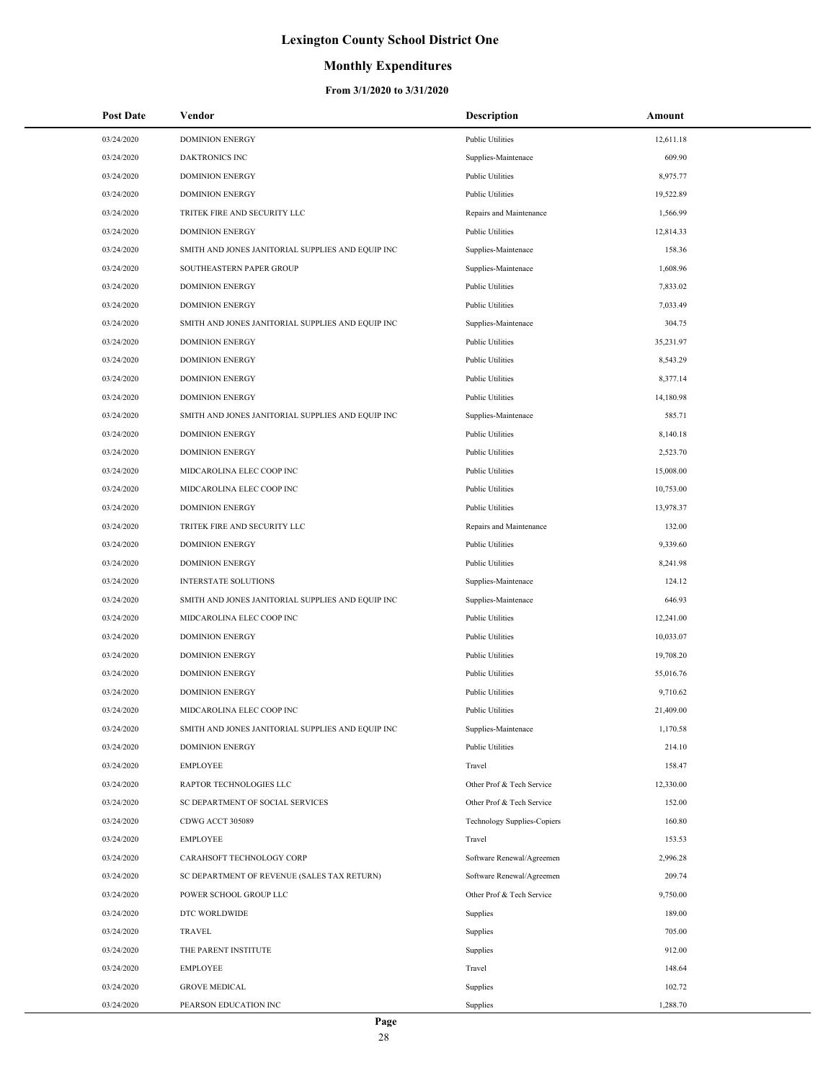### **Monthly Expenditures**

| <b>Post Date</b> | Vendor                                            | <b>Description</b>                 | Amount    |
|------------------|---------------------------------------------------|------------------------------------|-----------|
| 03/24/2020       | <b>DOMINION ENERGY</b>                            | <b>Public Utilities</b>            | 12,611.18 |
| 03/24/2020       | <b>DAKTRONICS INC</b>                             | Supplies-Maintenace                | 609.90    |
| 03/24/2020       | <b>DOMINION ENERGY</b>                            | <b>Public Utilities</b>            | 8,975.77  |
| 03/24/2020       | <b>DOMINION ENERGY</b>                            | <b>Public Utilities</b>            | 19,522.89 |
| 03/24/2020       | TRITEK FIRE AND SECURITY LLC                      | Repairs and Maintenance            | 1,566.99  |
| 03/24/2020       | <b>DOMINION ENERGY</b>                            | <b>Public Utilities</b>            | 12,814.33 |
| 03/24/2020       | SMITH AND JONES JANITORIAL SUPPLIES AND EQUIP INC | Supplies-Maintenace                | 158.36    |
| 03/24/2020       | SOUTHEASTERN PAPER GROUP                          | Supplies-Maintenace                | 1,608.96  |
| 03/24/2020       | <b>DOMINION ENERGY</b>                            | <b>Public Utilities</b>            | 7,833.02  |
| 03/24/2020       | <b>DOMINION ENERGY</b>                            | <b>Public Utilities</b>            | 7,033.49  |
| 03/24/2020       | SMITH AND JONES JANITORIAL SUPPLIES AND EQUIP INC | Supplies-Maintenace                | 304.75    |
| 03/24/2020       | <b>DOMINION ENERGY</b>                            | <b>Public Utilities</b>            | 35,231.97 |
| 03/24/2020       | <b>DOMINION ENERGY</b>                            | <b>Public Utilities</b>            | 8,543.29  |
| 03/24/2020       | <b>DOMINION ENERGY</b>                            | <b>Public Utilities</b>            | 8,377.14  |
| 03/24/2020       | <b>DOMINION ENERGY</b>                            | <b>Public Utilities</b>            | 14,180.98 |
| 03/24/2020       | SMITH AND JONES JANITORIAL SUPPLIES AND EQUIP INC | Supplies-Maintenace                | 585.71    |
| 03/24/2020       | <b>DOMINION ENERGY</b>                            | <b>Public Utilities</b>            | 8,140.18  |
| 03/24/2020       | <b>DOMINION ENERGY</b>                            | <b>Public Utilities</b>            | 2,523.70  |
| 03/24/2020       | MIDCAROLINA ELEC COOP INC                         | <b>Public Utilities</b>            | 15,008.00 |
| 03/24/2020       | MIDCAROLINA ELEC COOP INC                         | <b>Public Utilities</b>            | 10,753.00 |
| 03/24/2020       | <b>DOMINION ENERGY</b>                            | <b>Public Utilities</b>            | 13,978.37 |
| 03/24/2020       | TRITEK FIRE AND SECURITY LLC                      | Repairs and Maintenance            | 132.00    |
| 03/24/2020       | <b>DOMINION ENERGY</b>                            | <b>Public Utilities</b>            | 9,339.60  |
| 03/24/2020       | <b>DOMINION ENERGY</b>                            | Public Utilities                   | 8,241.98  |
| 03/24/2020       | <b>INTERSTATE SOLUTIONS</b>                       | Supplies-Maintenace                | 124.12    |
| 03/24/2020       | SMITH AND JONES JANITORIAL SUPPLIES AND EQUIP INC | Supplies-Maintenace                | 646.93    |
| 03/24/2020       | MIDCAROLINA ELEC COOP INC                         | <b>Public Utilities</b>            | 12,241.00 |
| 03/24/2020       | <b>DOMINION ENERGY</b>                            | <b>Public Utilities</b>            | 10,033.07 |
| 03/24/2020       | <b>DOMINION ENERGY</b>                            | Public Utilities                   | 19,708.20 |
| 03/24/2020       | <b>DOMINION ENERGY</b>                            | <b>Public Utilities</b>            | 55,016.76 |
| 03/24/2020       | <b>DOMINION ENERGY</b>                            | <b>Public Utilities</b>            | 9,710.62  |
| 03/24/2020       | MIDCAROLINA ELEC COOP INC                         | <b>Public Utilities</b>            | 21,409.00 |
| 03/24/2020       | SMITH AND JONES JANITORIAL SUPPLIES AND EQUIP INC | Supplies-Maintenace                | 1,170.58  |
| 03/24/2020       | <b>DOMINION ENERGY</b>                            | <b>Public Utilities</b>            | 214.10    |
| 03/24/2020       | <b>EMPLOYEE</b>                                   | Travel                             | 158.47    |
| 03/24/2020       | RAPTOR TECHNOLOGIES LLC                           | Other Prof & Tech Service          | 12,330.00 |
| 03/24/2020       | SC DEPARTMENT OF SOCIAL SERVICES                  | Other Prof & Tech Service          | 152.00    |
| 03/24/2020       | CDWG ACCT 305089                                  | <b>Technology Supplies-Copiers</b> | 160.80    |
| 03/24/2020       | <b>EMPLOYEE</b>                                   | Travel                             | 153.53    |
| 03/24/2020       | CARAHSOFT TECHNOLOGY CORP                         | Software Renewal/Agreemen          | 2,996.28  |
| 03/24/2020       | SC DEPARTMENT OF REVENUE (SALES TAX RETURN)       | Software Renewal/Agreemen          | 209.74    |
| 03/24/2020       | POWER SCHOOL GROUP LLC                            | Other Prof & Tech Service          | 9,750.00  |
| 03/24/2020       | DTC WORLDWIDE                                     | Supplies                           | 189.00    |
| 03/24/2020       | <b>TRAVEL</b>                                     | Supplies                           | 705.00    |
| 03/24/2020       | THE PARENT INSTITUTE                              | Supplies                           | 912.00    |
| 03/24/2020       | <b>EMPLOYEE</b>                                   | Travel                             | 148.64    |
| 03/24/2020       | <b>GROVE MEDICAL</b>                              | Supplies                           | 102.72    |
| 03/24/2020       | PEARSON EDUCATION INC                             | Supplies                           | 1,288.70  |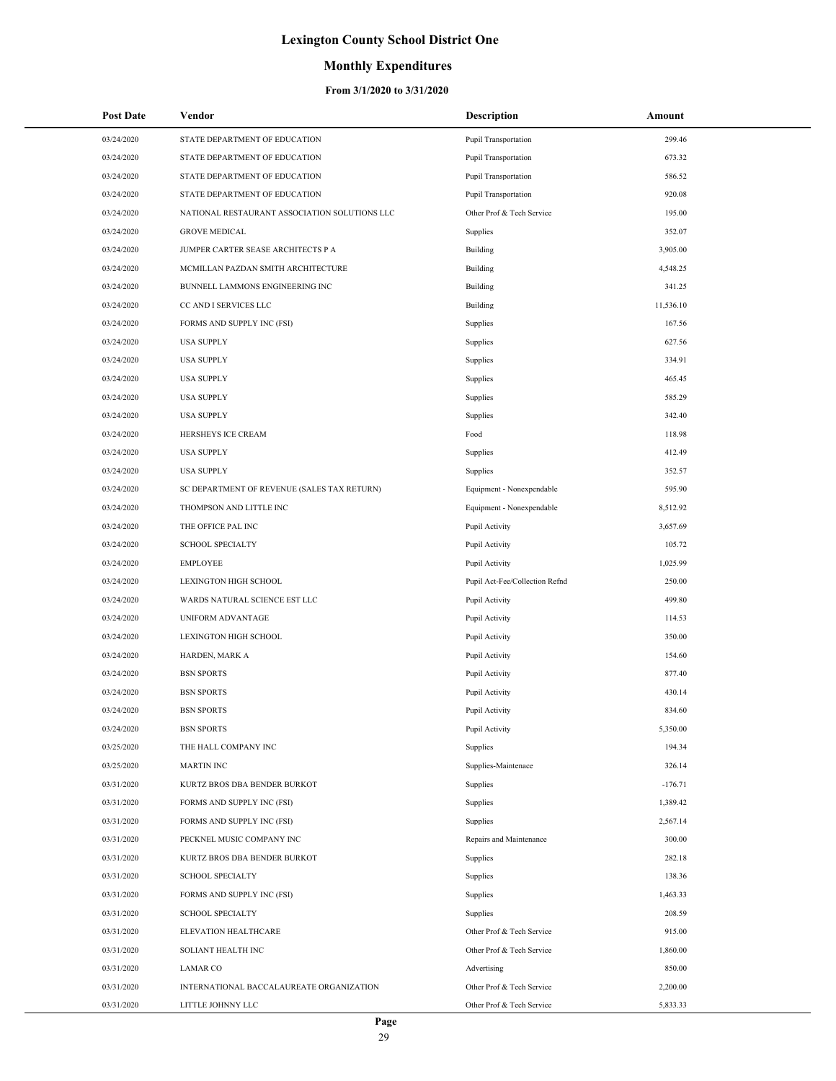### **Monthly Expenditures**

| <b>Post Date</b> | Vendor                                        | <b>Description</b>             | Amount    |
|------------------|-----------------------------------------------|--------------------------------|-----------|
| 03/24/2020       | STATE DEPARTMENT OF EDUCATION                 | <b>Pupil Transportation</b>    | 299.46    |
| 03/24/2020       | STATE DEPARTMENT OF EDUCATION                 | <b>Pupil Transportation</b>    | 673.32    |
| 03/24/2020       | STATE DEPARTMENT OF EDUCATION                 | Pupil Transportation           | 586.52    |
| 03/24/2020       | STATE DEPARTMENT OF EDUCATION                 | <b>Pupil Transportation</b>    | 920.08    |
| 03/24/2020       | NATIONAL RESTAURANT ASSOCIATION SOLUTIONS LLC | Other Prof & Tech Service      | 195.00    |
| 03/24/2020       | <b>GROVE MEDICAL</b>                          | Supplies                       | 352.07    |
| 03/24/2020       | JUMPER CARTER SEASE ARCHITECTS P A            | Building                       | 3,905.00  |
| 03/24/2020       | MCMILLAN PAZDAN SMITH ARCHITECTURE            | Building                       | 4,548.25  |
| 03/24/2020       | BUNNELL LAMMONS ENGINEERING INC               | Building                       | 341.25    |
| 03/24/2020       | CC AND I SERVICES LLC                         | Building                       | 11,536.10 |
| 03/24/2020       | FORMS AND SUPPLY INC (FSI)                    | Supplies                       | 167.56    |
| 03/24/2020       | <b>USA SUPPLY</b>                             | Supplies                       | 627.56    |
| 03/24/2020       | <b>USA SUPPLY</b>                             | Supplies                       | 334.91    |
| 03/24/2020       | <b>USA SUPPLY</b>                             | Supplies                       | 465.45    |
| 03/24/2020       | <b>USA SUPPLY</b>                             | Supplies                       | 585.29    |
| 03/24/2020       | <b>USA SUPPLY</b>                             | Supplies                       | 342.40    |
| 03/24/2020       | HERSHEYS ICE CREAM                            | Food                           | 118.98    |
| 03/24/2020       | <b>USA SUPPLY</b>                             | Supplies                       | 412.49    |
| 03/24/2020       | <b>USA SUPPLY</b>                             | Supplies                       | 352.57    |
| 03/24/2020       | SC DEPARTMENT OF REVENUE (SALES TAX RETURN)   | Equipment - Nonexpendable      | 595.90    |
| 03/24/2020       | THOMPSON AND LITTLE INC                       | Equipment - Nonexpendable      | 8,512.92  |
| 03/24/2020       | THE OFFICE PAL INC                            | Pupil Activity                 | 3,657.69  |
| 03/24/2020       | <b>SCHOOL SPECIALTY</b>                       | Pupil Activity                 | 105.72    |
| 03/24/2020       | <b>EMPLOYEE</b>                               | Pupil Activity                 | 1,025.99  |
| 03/24/2020       | <b>LEXINGTON HIGH SCHOOL</b>                  | Pupil Act-Fee/Collection Refnd | 250.00    |
| 03/24/2020       | WARDS NATURAL SCIENCE EST LLC                 | Pupil Activity                 | 499.80    |
| 03/24/2020       | UNIFORM ADVANTAGE                             | Pupil Activity                 | 114.53    |
| 03/24/2020       | LEXINGTON HIGH SCHOOL                         | Pupil Activity                 | 350.00    |
| 03/24/2020       | HARDEN, MARK A                                | Pupil Activity                 | 154.60    |
| 03/24/2020       | <b>BSN SPORTS</b>                             | Pupil Activity                 | 877.40    |
| 03/24/2020       | <b>BSN SPORTS</b>                             | Pupil Activity                 | 430.14    |
| 03/24/2020       | <b>BSN SPORTS</b>                             | Pupil Activity                 | 834.60    |
| 03/24/2020       | <b>BSN SPORTS</b>                             | Pupil Activity                 | 5,350.00  |
| 03/25/2020       | THE HALL COMPANY INC                          | Supplies                       | 194.34    |
| 03/25/2020       | <b>MARTIN INC</b>                             | Supplies-Maintenace            | 326.14    |
| 03/31/2020       | KURTZ BROS DBA BENDER BURKOT                  | Supplies                       | $-176.71$ |
| 03/31/2020       | FORMS AND SUPPLY INC (FSI)                    | Supplies                       | 1,389.42  |
| 03/31/2020       | FORMS AND SUPPLY INC (FSI)                    | Supplies                       | 2,567.14  |
| 03/31/2020       | PECKNEL MUSIC COMPANY INC                     | Repairs and Maintenance        | 300.00    |
| 03/31/2020       | KURTZ BROS DBA BENDER BURKOT                  | Supplies                       | 282.18    |
| 03/31/2020       | <b>SCHOOL SPECIALTY</b>                       | Supplies                       | 138.36    |
| 03/31/2020       | FORMS AND SUPPLY INC (FSI)                    | Supplies                       | 1,463.33  |
| 03/31/2020       | <b>SCHOOL SPECIALTY</b>                       | Supplies                       | 208.59    |
| 03/31/2020       | ELEVATION HEALTHCARE                          | Other Prof & Tech Service      | 915.00    |
| 03/31/2020       | SOLIANT HEALTH INC                            | Other Prof & Tech Service      | 1,860.00  |
| 03/31/2020       | <b>LAMAR CO</b>                               | Advertising                    | 850.00    |
| 03/31/2020       | INTERNATIONAL BACCALAUREATE ORGANIZATION      | Other Prof & Tech Service      | 2,200.00  |
| 03/31/2020       | LITTLE JOHNNY LLC                             | Other Prof & Tech Service      | 5,833.33  |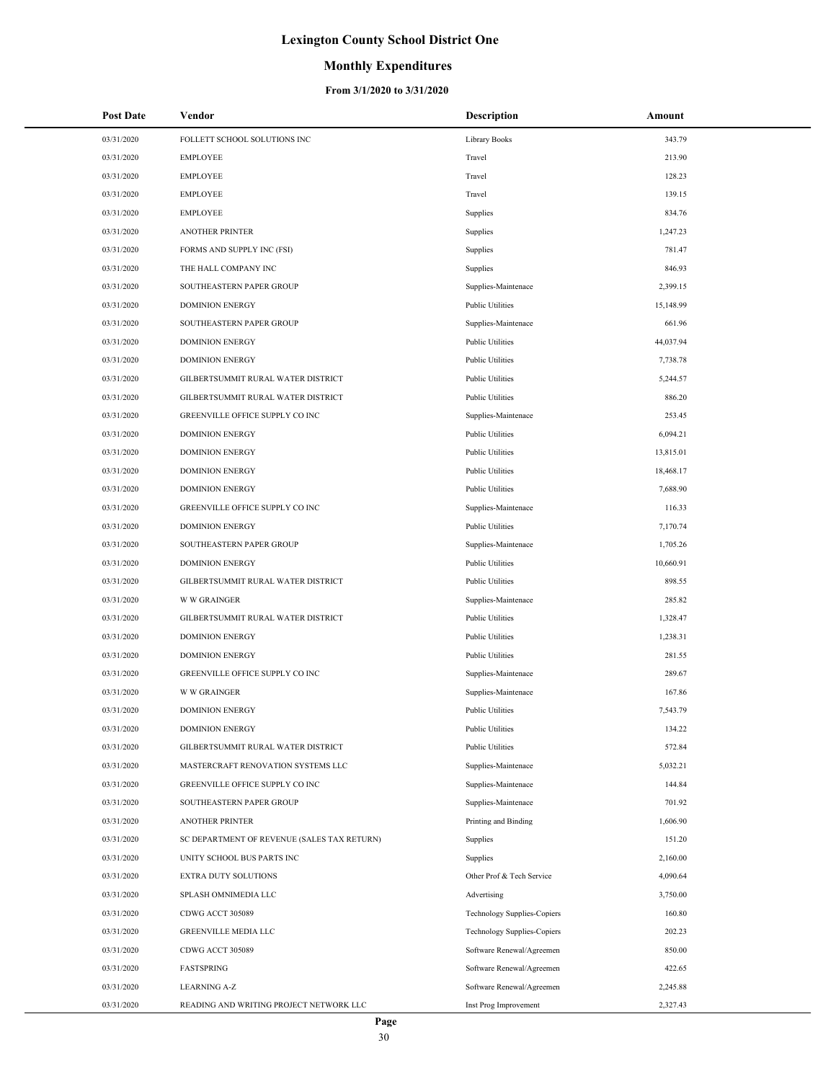### **Monthly Expenditures**

| <b>Post Date</b> | Vendor                                      | Description                        | Amount    |
|------------------|---------------------------------------------|------------------------------------|-----------|
| 03/31/2020       | FOLLETT SCHOOL SOLUTIONS INC                | Library Books                      | 343.79    |
| 03/31/2020       | <b>EMPLOYEE</b>                             | Travel                             | 213.90    |
| 03/31/2020       | <b>EMPLOYEE</b>                             | Travel                             | 128.23    |
| 03/31/2020       | <b>EMPLOYEE</b>                             | Travel                             | 139.15    |
| 03/31/2020       | <b>EMPLOYEE</b>                             | Supplies                           | 834.76    |
| 03/31/2020       | <b>ANOTHER PRINTER</b>                      | Supplies                           | 1,247.23  |
| 03/31/2020       | FORMS AND SUPPLY INC (FSI)                  | Supplies                           | 781.47    |
| 03/31/2020       | THE HALL COMPANY INC                        | Supplies                           | 846.93    |
| 03/31/2020       | SOUTHEASTERN PAPER GROUP                    | Supplies-Maintenace                | 2,399.15  |
| 03/31/2020       | <b>DOMINION ENERGY</b>                      | <b>Public Utilities</b>            | 15,148.99 |
| 03/31/2020       | SOUTHEASTERN PAPER GROUP                    | Supplies-Maintenace                | 661.96    |
| 03/31/2020       | <b>DOMINION ENERGY</b>                      | <b>Public Utilities</b>            | 44,037.94 |
| 03/31/2020       | <b>DOMINION ENERGY</b>                      | <b>Public Utilities</b>            | 7,738.78  |
| 03/31/2020       | GILBERTSUMMIT RURAL WATER DISTRICT          | <b>Public Utilities</b>            | 5,244.57  |
| 03/31/2020       | GILBERTSUMMIT RURAL WATER DISTRICT          | <b>Public Utilities</b>            | 886.20    |
| 03/31/2020       | GREENVILLE OFFICE SUPPLY CO INC             | Supplies-Maintenace                | 253.45    |
| 03/31/2020       | <b>DOMINION ENERGY</b>                      | <b>Public Utilities</b>            | 6,094.21  |
| 03/31/2020       | <b>DOMINION ENERGY</b>                      | <b>Public Utilities</b>            | 13,815.01 |
| 03/31/2020       | <b>DOMINION ENERGY</b>                      | <b>Public Utilities</b>            | 18,468.17 |
| 03/31/2020       | <b>DOMINION ENERGY</b>                      | <b>Public Utilities</b>            | 7,688.90  |
| 03/31/2020       | GREENVILLE OFFICE SUPPLY CO INC             | Supplies-Maintenace                | 116.33    |
| 03/31/2020       | <b>DOMINION ENERGY</b>                      | <b>Public Utilities</b>            | 7,170.74  |
| 03/31/2020       | SOUTHEASTERN PAPER GROUP                    | Supplies-Maintenace                | 1,705.26  |
| 03/31/2020       | <b>DOMINION ENERGY</b>                      | <b>Public Utilities</b>            | 10,660.91 |
| 03/31/2020       | GILBERTSUMMIT RURAL WATER DISTRICT          | <b>Public Utilities</b>            | 898.55    |
| 03/31/2020       | <b>W W GRAINGER</b>                         | Supplies-Maintenace                | 285.82    |
| 03/31/2020       | GILBERTSUMMIT RURAL WATER DISTRICT          | <b>Public Utilities</b>            | 1,328.47  |
| 03/31/2020       | <b>DOMINION ENERGY</b>                      | <b>Public Utilities</b>            | 1,238.31  |
| 03/31/2020       | <b>DOMINION ENERGY</b>                      | <b>Public Utilities</b>            | 281.55    |
| 03/31/2020       | GREENVILLE OFFICE SUPPLY CO INC             | Supplies-Maintenace                | 289.67    |
| 03/31/2020       | <b>W W GRAINGER</b>                         | Supplies-Maintenace                | 167.86    |
| 03/31/2020       | <b>DOMINION ENERGY</b>                      | <b>Public Utilities</b>            | 7,543.79  |
| 03/31/2020       | <b>DOMINION ENERGY</b>                      | <b>Public Utilities</b>            | 134.22    |
| 03/31/2020       | GILBERTSUMMIT RURAL WATER DISTRICT          | <b>Public Utilities</b>            | 572.84    |
| 03/31/2020       | MASTERCRAFT RENOVATION SYSTEMS LLC          | Supplies-Maintenace                | 5,032.21  |
| 03/31/2020       | GREENVILLE OFFICE SUPPLY CO INC             | Supplies-Maintenace                | 144.84    |
| 03/31/2020       | SOUTHEASTERN PAPER GROUP                    | Supplies-Maintenace                | 701.92    |
| 03/31/2020       | <b>ANOTHER PRINTER</b>                      | Printing and Binding               | 1,606.90  |
| 03/31/2020       | SC DEPARTMENT OF REVENUE (SALES TAX RETURN) | Supplies                           | 151.20    |
| 03/31/2020       | UNITY SCHOOL BUS PARTS INC                  | Supplies                           | 2,160.00  |
| 03/31/2020       | EXTRA DUTY SOLUTIONS                        | Other Prof & Tech Service          | 4,090.64  |
| 03/31/2020       | SPLASH OMNIMEDIA LLC                        | Advertising                        | 3,750.00  |
| 03/31/2020       | CDWG ACCT 305089                            | <b>Technology Supplies-Copiers</b> | 160.80    |
| 03/31/2020       | GREENVILLE MEDIA LLC                        | <b>Technology Supplies-Copiers</b> | 202.23    |
| 03/31/2020       | CDWG ACCT 305089                            | Software Renewal/Agreemen          | 850.00    |
| 03/31/2020       | FASTSPRING                                  | Software Renewal/Agreemen          | 422.65    |
| 03/31/2020       | <b>LEARNING A-Z</b>                         | Software Renewal/Agreemen          | 2,245.88  |
| 03/31/2020       | READING AND WRITING PROJECT NETWORK LLC     | Inst Prog Improvement              | 2,327.43  |